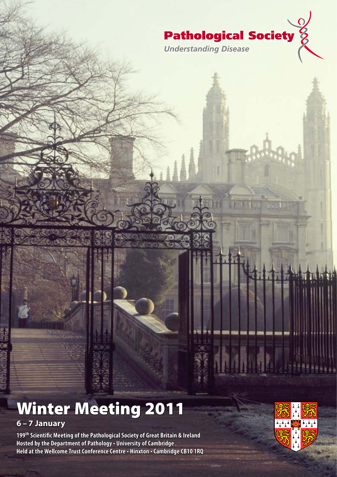# Pathological Society

# *Understanding Disease*

# Winter Meeting 2011

# **6 – 7 January**

**199th Scientific Meeting of the Pathological Society of Great Britain & Ireland Hosted by the Department of Pathology • University of Cambridge Held at the Wellcome Trust Conference Centre • Hinxton • Cambridge CB10 1RQ**

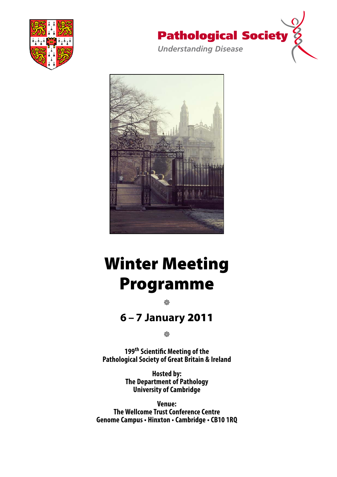





# Winter Meeting Programme

22

# **6 – 7 January** 2011

₩

**199th Scientific Meeting of the Pathological Society of Great Britain & Ireland**

> **Hosted by: The Department of Pathology University of Cambridge**

**Venue: The Wellcome Trust Conference Centre Genome Campus • Hinxton • Cambridge • CB10 1RQ**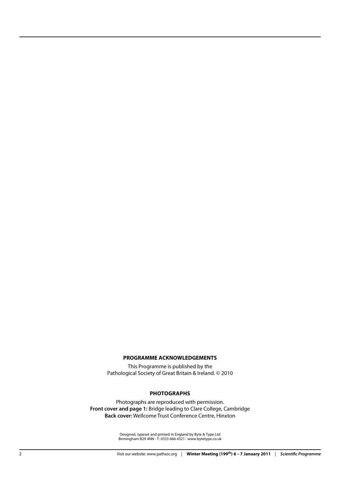#### **Programme acknowledgements**

This Programme is published by the Pathological Society of Great Britain & Ireland. © 2010

### **Photographs**

Photographs are reproduced with permission. **Front cover and page 1:** Bridge leading to Clare College, Cambridge **Back cover:** Wellcome Trust Conference Centre, Hinxton

> Designed, typeset and printed in England by Byte & Type Ltd Birmingham B29 4NN · T: 0333 666 4321 · www.bytetype.co.uk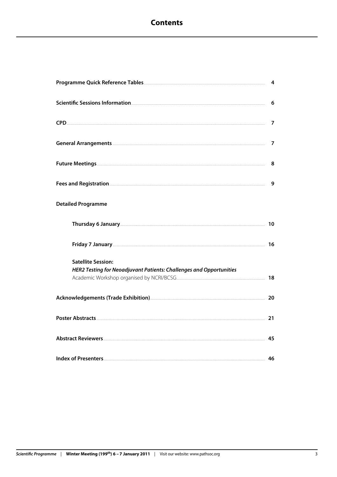|                                                                                                                                                                                                                                   | $\overline{4}$ |
|-----------------------------------------------------------------------------------------------------------------------------------------------------------------------------------------------------------------------------------|----------------|
|                                                                                                                                                                                                                                   | 6              |
|                                                                                                                                                                                                                                   | 7              |
|                                                                                                                                                                                                                                   |                |
|                                                                                                                                                                                                                                   | 8              |
| Fees and Registration <b>Executive Construction Figure 2</b> and <b>Registration</b>                                                                                                                                              | 9              |
| <b>Detailed Programme</b>                                                                                                                                                                                                         |                |
| Thursday 6 January<br>2010 - 2021 - 2022 12:20 12:20 12:20 12:20 12:20 12:20 12:20 12:20 12:20 12:20 12:20 12:20 12:20 12:20 12:20 12:20 12:20 12:20 12:20 12:20 12:20 12:20 12:20 12:20 12:20 12:20 12:20 12:20 12:20 12:20 12:2 |                |
| Friday 7 January 2014 16: 2014 17: 2014 18: 2014 18: 2014 18: 2014 18: 2014 18: 2014 18: 2014 18: 20                                                                                                                              |                |
| <b>Satellite Session:</b><br>HER2 Testing for Neoadjuvant Patients: Challenges and Opportunities                                                                                                                                  |                |
|                                                                                                                                                                                                                                   |                |
| Acknowledgements (Trade Exhibition) 20 20                                                                                                                                                                                         |                |
|                                                                                                                                                                                                                                   |                |
| Abstract Reviewers 45 and 200 million and 200 million and 200 million and 200 million and 200 million and 200 million and 200 million and 200 million and 200 million and 200 million and 200 million and 200 million and 200     |                |
|                                                                                                                                                                                                                                   |                |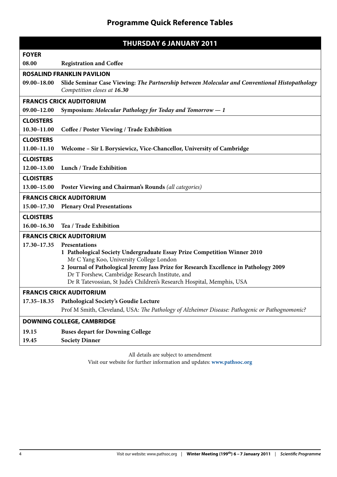# **THURsday 6 JANUARY 2011**

|                  | IVIIJDAT UJANUANT ZUT                                                                                                        |
|------------------|------------------------------------------------------------------------------------------------------------------------------|
| <b>FOYER</b>     |                                                                                                                              |
| 08.00            | <b>Registration and Coffee</b>                                                                                               |
|                  | <b>ROSALIND FRANKLIN PAVILION</b>                                                                                            |
| $09.00 - 18.00$  | Slide Seminar Case Viewing: The Partnership between Molecular and Conventional Histopathology<br>Competition closes at 16.30 |
|                  | <b>FRANCIS CRICK AUDITORIUM</b>                                                                                              |
| $09.00 - 12.00$  | Symposium: Molecular Pathology for Today and Tomorrow $-1$                                                                   |
| <b>CLOISTERS</b> |                                                                                                                              |
| $10.30 - 11.00$  | Coffee / Poster Viewing / Trade Exhibition                                                                                   |
| <b>CLOISTERS</b> |                                                                                                                              |
| $11.00 - 11.10$  | Welcome - Sir L Borysiewicz, Vice-Chancellor, University of Cambridge                                                        |
| <b>CLOISTERS</b> |                                                                                                                              |
| $12.00 - 13.00$  | Lunch / Trade Exhibition                                                                                                     |
| <b>CLOISTERS</b> |                                                                                                                              |
| 13.00-15.00      | Poster Viewing and Chairman's Rounds (all categories)                                                                        |
|                  | <b>FRANCIS CRICK AUDITORIUM</b>                                                                                              |
| 15.00-17.30      | <b>Plenary Oral Presentations</b>                                                                                            |
| <b>CLOISTERS</b> |                                                                                                                              |
| $16.00 - 16.30$  | Tea / Trade Exhibition                                                                                                       |
|                  | <b>FRANCIS CRICK AUDITORIUM</b>                                                                                              |
| 17.30-17.35      | Presentations                                                                                                                |
|                  | 1 Pathological Society Undergraduate Essay Prize Competition Winner 2010                                                     |
|                  | Mr C Yang Koo, University College London                                                                                     |
|                  | 2 Journal of Pathological Jeremy Jass Prize for Research Excellence in Pathology 2009                                        |
|                  | Dr T Forshew, Cambridge Research Institute, and                                                                              |
|                  | Dr R Tatevossian, St Jude's Children's Research Hospital, Memphis, USA                                                       |
|                  | <b>FRANCIS CRICK AUDITORIUM</b>                                                                                              |
| 17.35-18.35      | Pathological Society's Goudie Lecture                                                                                        |
|                  | Prof M Smith, Cleveland, USA: The Pathology of Alzheimer Disease: Pathogenic or Pathognomonic?                               |
|                  | <b>DOWNING COLLEGE, CAMBRIDGE</b>                                                                                            |
| 19.15            | <b>Buses depart for Downing College</b>                                                                                      |
|                  |                                                                                                                              |

**19.45 Society Dinner**

> All details are subject to amendment Visit our website for further information and updates: **[www.pathsoc.org](http://www.pathsoc.org/index.php?option=com_events&task=view_detail&agid=16&year=2011&month=01&day=06&Itemid=1&catids=67)**

 $\overline{\phantom{a}}$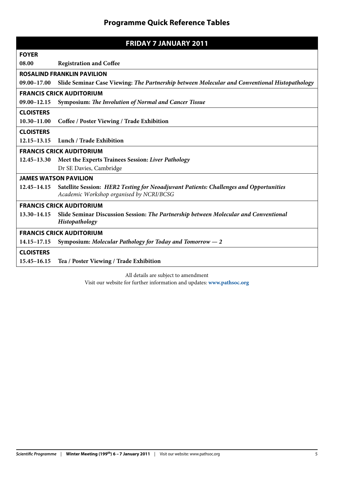# **FRIday 7 JANUARY 2011**

| <b>FOYER</b>     |                                                                                                                                    |
|------------------|------------------------------------------------------------------------------------------------------------------------------------|
| 08.00            | <b>Registration and Coffee</b>                                                                                                     |
|                  | <b>ROSALIND FRANKLIN PAVILION</b>                                                                                                  |
| $09.00 - 17.00$  | Slide Seminar Case Viewing: The Partnership between Molecular and Conventional Histopathology                                      |
|                  | <b>FRANCIS CRICK AUDITORIUM</b>                                                                                                    |
| $09.00 - 12.15$  | Symposium: The Involution of Normal and Cancer Tissue                                                                              |
| <b>CLOISTERS</b> |                                                                                                                                    |
| $10.30 - 11.00$  | Coffee / Poster Viewing / Trade Exhibition                                                                                         |
| <b>CLOISTERS</b> |                                                                                                                                    |
| $12.15 - 13.15$  | Lunch / Trade Exhibition                                                                                                           |
|                  | <b>FRANCIS CRICK AUDITORIUM</b>                                                                                                    |
| $12.45 - 13.30$  | Meet the Experts Trainees Session: Liver Pathology                                                                                 |
|                  | Dr SE Davies, Cambridge                                                                                                            |
|                  | <b>JAMES WATSON PAVILION</b>                                                                                                       |
| $12.45 - 14.15$  | Satellite Session: HER2 Testing for Neoadjuvant Patients: Challenges and Opportunities<br>Academic Workshop organised by NCRI/BCSG |
|                  | <b>FRANCIS CRICK AUDITORIUM</b>                                                                                                    |
| $13.30 - 14.15$  | Slide Seminar Discussion Session: The Partnership between Molecular and Conventional<br>Histopathology                             |
|                  | <b>FRANCIS CRICK AUDITORIUM</b>                                                                                                    |
| 14.15-17.15      | Symposium: Molecular Pathology for Today and Tomorrow $-2$                                                                         |
| <b>CLOISTERS</b> |                                                                                                                                    |
| $15.45 - 16.15$  | Tea / Poster Viewing / Trade Exhibition                                                                                            |

All details are subject to amendment Visit our website for further information and updates: **[www.pathsoc.org](http://www.pathsoc.org/index.php?option=com_events&task=view_detail&agid=16&year=2011&month=01&day=06&Itemid=1&catids=67)**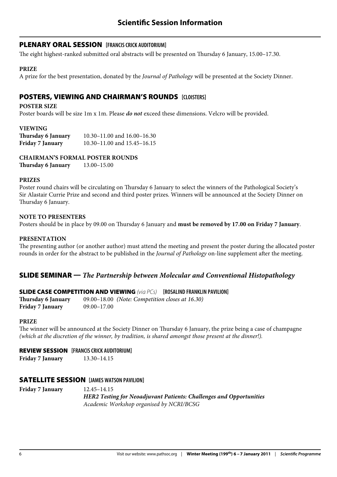### PLENARY ORAL SESSION **[Francis CRICK Auditorium]**

The eight highest-ranked submitted oral abstracts will be presented on Thursday 6 January, 15.00–17.30.

### **Prize**

A prize for the best presentation, donated by the *Journal of Pathology* will be presented at the Society Dinner.

## POSTERS, VIEWING AND CHAIRMAN'S ROUNDS **[Cloisters]**

**Poster Size** Poster boards will be size 1m x 1m. Please *do not* exceed these dimensions. Velcro will be provided.

### **Viewing**

**Thursday 6 January** 10.30–11.00 and 16.00–16.30 **Friday 7 January** 10.30–11.00 and 15.45–16.15

### **Chairman's Formal Poster Rounds**

**Thursday 6 January** 13.00–15.00

### **Prizes**

Poster round chairs will be circulating on Thursday 6 January to select the winners of the Pathological Society's Sir Alastair Currie Prize and second and third poster prizes. Winners will be announced at the Society Dinner on Thursday 6 January.

### **Note to presenters**

Posters should be in place by 09.00 on Thursday 6 January and **must be removed by 17.00 on Friday 7 January**.

### **Presentation**

The presenting author (or another author) must attend the meeting and present the poster during the allocated poster rounds in order for the abstract to be published in the *Journal of Pathology* on-line supplement after the meeting.

### SLIDE Seminar — *The Partnership between Molecular and Conventional Histopathology*

### SLIDE Case COMPETITION and Viewing *(via PCs)* **[Rosalind Franklin Pavilion]**

**Thursday 6 January** 09.00–18.00 *(Note: Competition closes at 16.30)* **Friday 7 January** 09.00–17.00

### **Prize**

The winner will be announced at the Society Dinner on Thursday 6 January, the prize being a case of champagne *(which at the discretion of the winner, by tradition, is shared amongst those present at the dinner!).*

### Review Session **[Francis CRICK Auditorium]**

**Friday 7 January** 13.30–14.15

### **SATELLITE SESSION <b>[JAMES WATSON PAVILION]**

**Friday 7 January** 12.45–14.15  *HER2 Testing for Neoadjuvant Patients: Challenges and Opportunities Academic Workshop organised by NCRI/BCSG*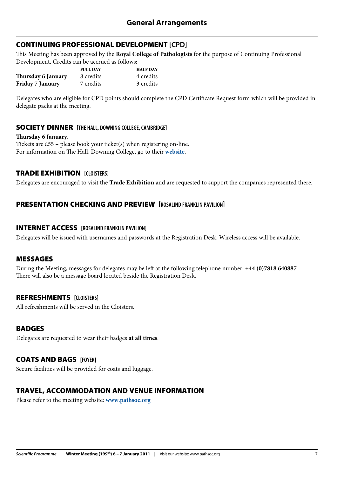# CONTINUING PROFESSIONAL DEVELOPMENT **[CPD]**

This Meeting has been approved by the **Royal College of Pathologists** for the purpose of Continuing Professional Development. Credits can be accrued as follows:

|                         | <b>FULL DAY</b> | <b>HALF DAY</b> |
|-------------------------|-----------------|-----------------|
| Thursday 6 January      | 8 credits       | 4 credits       |
| <b>Friday 7 January</b> | 7 credits       | 3 credits       |

Delegates who are eligible for CPD points should complete the CPD Certificate Request form which will be provided in delegate packs at the meeting.

### Society Dinner **[The Hall, Downing College, Cambridge]**

### **Thursday 6 January.**

Tickets are  $£55$  – please book your ticket(s) when registering on-line. For information on The Hall, Downing College, go to their **[website](http://www.downing-conferences-cambridge.co.uk/dining/function-rooms/the-hall)**.

### TRADE EXHIBITION **[Cloisters]**

Delegates are encouraged to visit the **Trade Exhibition** and are requested to support the companies represented there.

## Presentation Checking and Preview **[Rosalind Franklin Pavilion]**

### Internet Access **[Rosalind Franklin Pavilion]**

Delegates will be issued with usernames and passwords at the Registration Desk. Wireless access will be available.

### Messages

During the Meeting, messages for delegates may be left at the following telephone number: **+44 (0)7818 640887** There will also be a message board located beside the Registration Desk.

### **REFRESHMENTS [CLOISTERS]**

All refreshments will be served in the Cloisters.

# **BADGES**

Delegates are requested to wear their badges **at all times**.

### Coats and Bags **[Foyer]**

Secure facilities will be provided for coats and luggage.

### Travel, ACCOMMODATION and Venue Information

Please refer to the meeting website: **[www.pathsoc.org](http://www.pathsoc.org/index.php?option=com_events&task=view_detail&agid=16&year=2011&month=01&day=06&Itemid=1&catids=67)**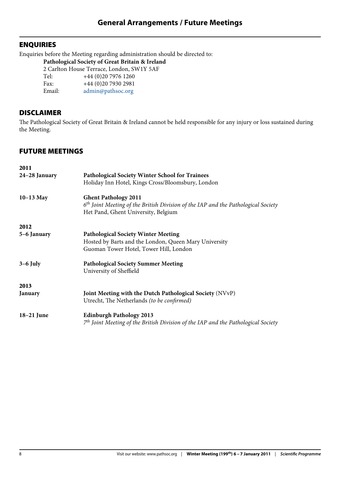# **ENQUIRIES**

Enquiries before the Meeting regarding administration should be directed to:

**Pathological Society of Great Britain & Ireland** 2 Carlton House Terrace, London, SW1Y 5AF<br>Tel:  $+44(0)2079761260$ Tel: +44 (0)20 7976 1260<br>Fax: +44 (0)20 7930 2981 Fax: +44 (0)20 7930 2981 Email: [admin@pathsoc.org](mailto:admin%40pathsoc.org?subject=)

# **DISCLAIMER**

The Pathological Society of Great Britain & Ireland cannot be held responsible for any injury or loss sustained during the Meeting.

# Future Meetings

| 2011          |                                                                                                                                                           |
|---------------|-----------------------------------------------------------------------------------------------------------------------------------------------------------|
| 24-28 January | <b>Pathological Society Winter School for Trainees</b>                                                                                                    |
|               | Holiday Inn Hotel, Kings Cross/Bloomsbury, London                                                                                                         |
| $10-13$ May   | <b>Ghent Pathology 2011</b><br>$6th$ Joint Meeting of the British Division of the IAP and the Pathological Society<br>Het Pand, Ghent University, Belgium |
| 2012          |                                                                                                                                                           |
| 5-6 January   | <b>Pathological Society Winter Meeting</b>                                                                                                                |
|               | Hosted by Barts and the London, Queen Mary University                                                                                                     |
|               | Guoman Tower Hotel, Tower Hill, London                                                                                                                    |
| $3-6$ July    | <b>Pathological Society Summer Meeting</b>                                                                                                                |
|               | University of Sheffield                                                                                                                                   |
| 2013          |                                                                                                                                                           |
| January       | Joint Meeting with the Dutch Pathological Society (NVvP)                                                                                                  |
|               | Utrecht, The Netherlands (to be confirmed)                                                                                                                |
| 18-21 June    | <b>Edinburgh Pathology 2013</b>                                                                                                                           |
|               | 7 <sup>th</sup> Joint Meeting of the British Division of the IAP and the Pathological Society                                                             |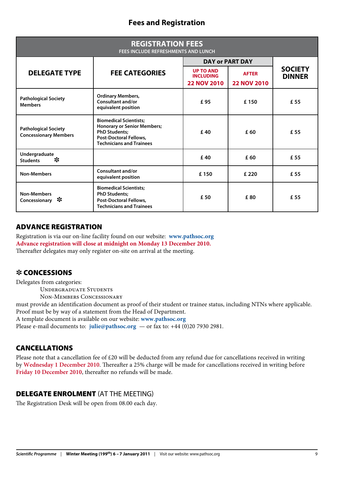# **Fees and Registration**

| <b>REGISTRATION FEES</b><br>FEES INCLUDE REFRESHMENTS AND LUNCH |                                                                                                                                                          |                                                            |                                    |                                 |
|-----------------------------------------------------------------|----------------------------------------------------------------------------------------------------------------------------------------------------------|------------------------------------------------------------|------------------------------------|---------------------------------|
|                                                                 | <b>FEE CATEGORIES</b>                                                                                                                                    | <b>DAY or PART DAY</b>                                     |                                    |                                 |
| <b>DELEGATE TYPE</b>                                            |                                                                                                                                                          | <b>UP TO AND</b><br><b>INCLUDING</b><br><b>22 NOV 2010</b> | <b>AFTER</b><br><b>22 NOV 2010</b> | <b>SOCIETY</b><br><b>DINNER</b> |
| <b>Pathological Society</b><br><b>Members</b>                   | <b>Ordinary Members,</b><br>Consultant and/or<br>equivalent position                                                                                     | £95                                                        | £150                               | £ 55                            |
| <b>Pathological Society</b><br><b>Concessionary Members</b>     | <b>Biomedical Scientists;</b><br><b>Honorary or Senior Members;</b><br><b>PhD Students;</b><br>Post-Doctoral Fellows,<br><b>Technicians and Trainees</b> | £40                                                        | £ 60                               | £ 55                            |
| Undergraduate<br>⋇<br><b>Students</b>                           |                                                                                                                                                          | £40                                                        | £ 60                               | £ 55                            |
| <b>Non-Members</b>                                              | Consultant and/or<br>equivalent position                                                                                                                 | £150                                                       | £ 220                              | £ 55                            |
| <b>Non-Members</b><br>Concessionary *                           | <b>Biomedical Scientists;</b><br><b>PhD Students;</b><br>Post-Doctoral Fellows,<br><b>Technicians and Trainees</b>                                       | £ 50                                                       | £80                                | £ 55                            |

# Advance Registration

Registration is via our on-line facility found on our website: **[www.pathsoc.org](http://www.pathsoc.org/index.php?option=com_events&task=view_detail&agid=16&year=2011&month=01&day=06&Itemid=1&catids=67) Advance registration will close at midnight on Monday 13 December 2010.**  Thereafter delegates may only register on-site on arrival at the meeting.

### **\* CONCESSIONS**

Delegates from categories:

Undergraduate Students

Non-Members Concessionary

must provide an identification document as proof of their student or trainee status, including NTNs where applicable. Proof must be by way of a statement from the Head of Department.

A template document is available on our website: **[www.pathsoc.org](http://www.pathsoc.org/index.php?option=com_events&task=view_detail&agid=16&year=2011&month=01&day=06&Itemid=1&catids=67)**

Please e-mail documents to: **[julie@pathsoc.org](mailto:julie%40pathsoc.org?subject=Concessions)** — or fax to: +44 (0)20 7930 2981.

# **CANCELLATIONS**

Please note that a cancellation fee of  $\text{\pounds}20$  will be deducted from any refund due for cancellations received in writing by **Wednesday 1 December 2010**. Thereafter a 25% charge will be made for cancellations received in writing before **Friday 10 December 2010**, thereafter no refunds will be made.

# **DELEGATE ENROLMENT** (AT THE MEETING)

The Registration Desk will be open from 08.00 each day.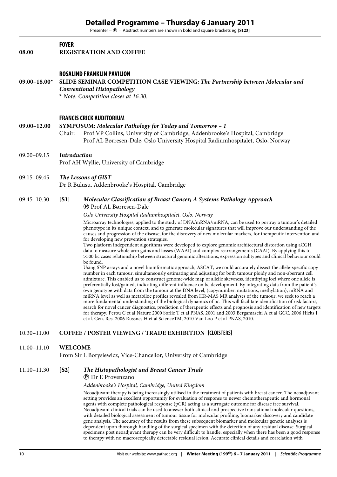Presenter =  $(P \cdot$  Abstract numbers are shown in bold and square brackets eg [S123]

#### **Foyer**

### **08.00 Registration and Coffee**

#### **Rosalind Franklin Pavilion**

### **09.00–18.00\* Slide seminar competition Case viewing:** *The Partnership between Molecular and Conventional Histopathology*

\* *Note: Competition closes at 16.30.*

#### **Francis Crick Auditorium**

#### **09.00–12.00 Symposum:** *Molecular Pathology for Today and Tomorrow – 1*

Chair: Prof VP Collins, University of Cambridge, Addenbrooke's Hospital, Cambridge Prof AL Børresen-Dale, Oslo University Hospital Radiumhospitalet, Oslo, Norway

09.00–09.15 *Introduction* Prof AH Wyllie, University of Cambridge

### 09.15–09.45 *The Lessons of GIST* Dr R Bulusu, Addenbrooke's Hospital, Cambridge

#### 09.45–10.30 [S1] *Molecular Classification of Breast Cancer; A Systems Pathology Approach*

### P Prof AL Børresen-Dale

#### *Oslo University Hospital Radiumhospitalet, Oslo, Norway*

Microarray technologies, applied to the study of DNA/mRNA/miRNA, can be used to portray a tumour's detailed phenotype in its unique context, and to generate molecular signatures that will improve our understanding of the causes and progression of the disease, for the discovery of new molecular markers, for therapeutic intervention and for developing new prevention strategies.

Two platform independent algorithms were developed to explore genomic architectural distortion using aCGH data to measure whole arm gains and losses (WAAI) and complex rearrangements (CAAI). By applying this to >500 bc cases relationship between structural genomic alterations, expression subtypes and clinical behaviour could be found.

Using SNP arrays and a novel bioinformatic approach, ASCAT, we could accurately dissect the allele-specific copy number in each tumour, simultaneously estimating and adjusting for both tumour ploidy and non-aberrant cell admixture. This enabled us to construct genome-wide map of allelic skewness, identifying loci where one allele is preferentially lost/gained, indicating different influence on bc development. By integrating data from the patient's own genotype with data from the tumour at the DNA level, (copynumber, mutations, methylation), mRNA and miRNA level as well as metabiloc profiles revealed from HR-MAS MR analyses of the tumour, we seek to reach a more fundamental understanding of the biological dynamics of bc. This will facilitate identification of risk factors, search for novel cancer diagnostics, prediction of therapeutic effects and prognosis and identification of new targets for therapy. Perou C et al Nature 2000 Sorlie T et al PNAS, 2001 and 2003 Bergamaschi A et al GCC, 2006 Hicks J et al. Gen. Res. 2006 Russnes H et al ScienceTM, 2010 Van Loo P et al PNAS, 2010.

### 10.30–11.00 **Coffee / Poster Viewing / Trade Exhibition [Cloisters]**

#### 11.00–11.10 **Welcome**

From Sir L Borysiewicz, Vice-Chancellor, University of Cambridge

#### 11.10–11.30 [S2] *The Histopathologist and Breast Cancer Trials*

#### P Dr E Provenzano

#### *Addenbrooke's Hospital, Cambridge, United Kingdom*

Neoadjuvant therapy is being increasingly utilised in the treatment of patients with breast cancer. The neoadjuvant setting provides an excellent opportunity for evaluation of response to newer chemotherapeutic and hormonal agents with complete pathological response (pCR) acting as a surrogate outcome for disease free survival. Neoadjuvant clinical trials can be used to answer both clinical and prospective translational molecular questions, with detailed biological assessment of tumour tissue for molecular profiling, biomarker discovery and candidate gene analysis. The accuracy of the results from these subsequent biomarker and molecular genetic analyses is dependent upon thorough handling of the surgical specimen with the detection of any residual disease. Surgical specimens post neoadjuvant therapy can be very difficult to handle, especially when there has been a good response to therapy with no macroscopically detectable residual lesion. Accurate clinical details and correlation with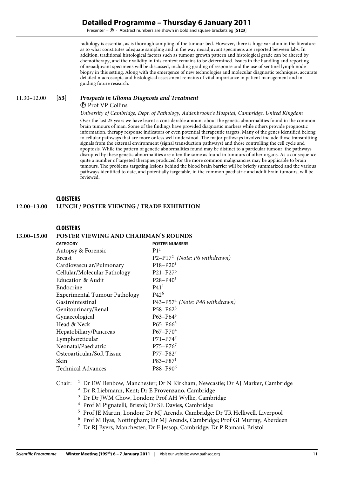Presenter =  $\circled{P}$  · Abstract numbers are shown in bold and square brackets eg [S123]

radiology is essential, as is thorough sampling of the tumour bed. However, there is huge variation in the literature as to what constitutes adequate sampling and in the way neoadjuvant specimens are reported between labs. In addition, traditional histological factors such as tumour growth pattern and histological grade can be altered by chemotherapy, and their validity in this context remains to be determined. Issues in the handling and reporting of neoadjuvant specimens will be discussed, including grading of response and the use of sentinel lymph node biopsy in this setting. Along with the emergence of new technologies and molecular diagnostic techniques, accurate detailed macroscopic and histological assessment remains of vital importance in patient management and in guiding future research.

#### 11.30–12.00 [S3] *Prospects in Glioma Diagnosis and Treatment*

P Prof VP Collins

*University of Cambridge, Dept. of Pathology, Addenbrooke's Hospital, Cambridge, United Kingdom* Over the last 25 years we have learnt a considerable amount about the genetic abnormalities found in the common brain tumours of man. Some of the findings have provided diagnostic markers while others provide prognostic information, therapy response indicators or even potential therapeutic targets. Many of the genes identified belong to cellular pathways that are more or less well understood. The major pathways involved include those transmitting signals from the external environment (signal transduction pathways) and those controlling the cell cycle and apoptosis. While the pattern of genetic abnormalities found may be distinct to a particular tumour, the pathways disrupted by these genetic abnormalities are often the same as found in tumours of other organs. As a consequence quite a number of targeted therapies produced for the more common malignancies may be applicable to brain tumours. The problems targeting lesions behind the blood brain barrier will be briefly summarized and the various pathways identified to date, and potentially targetable, in the common paediatric and adult brain tumours, will be reviewed.

#### **Cloisters**

#### **12.00–13.00 Lunch / Poster viewing / Trade Exhibition**

#### **Cloisters**

| 13.00-15.00 | POSTER VIEWING AND CHAIRMAN'S ROUNDS |                                            |  |  |
|-------------|--------------------------------------|--------------------------------------------|--|--|
|             | <b>CATEGORY</b>                      | <b>POSTER NUMBERS</b>                      |  |  |
|             | Autopsy & Forensic                   | P1 <sup>1</sup>                            |  |  |
|             | <b>Breast</b>                        | $P2-P172$ (Note: P6 withdrawn)             |  |  |
|             | Cardiovascular/Pulmonary             | $P18 - P201$                               |  |  |
|             | Cellular/Molecular Pathology         | $P21 - P276$                               |  |  |
|             | Education & Audit                    | $P28 - P40^3$                              |  |  |
|             | Endocrine                            | P41 <sup>1</sup>                           |  |  |
|             | <b>Experimental Tumour Pathology</b> | P42 <sup>6</sup>                           |  |  |
|             | Gastrointestinal                     | P43-P57 <sup>4</sup> (Note: P46 withdrawn) |  |  |
|             | Genitourinary/Renal                  | $P58 - P62^5$                              |  |  |
|             | Gynaecological                       | $P63 - P64^5$                              |  |  |
|             | Head & Neck                          | $P65 - P665$                               |  |  |
|             | Hepatobiliary/Pancreas               | $P67 - P704$                               |  |  |
|             | Lymphoreticular                      | $P71 - P74^7$                              |  |  |
|             | Neonatal/Paediatric                  | $P75 - P767$                               |  |  |
|             | Osteoarticular/Soft Tissue           | $P77 - P82^7$                              |  |  |
|             | Skin                                 | $P83 - P871$                               |  |  |
|             | <b>Technical Advances</b>            | P88-P90 <sup>6</sup>                       |  |  |
|             |                                      |                                            |  |  |

## Chair: ¹ Dr EW Benbow, Manchester; Dr N Kirkham, Newcastle; Dr AJ Marker, Cambridge

- ² Dr R Liebmann, Kent; Dr E Provenzano, Cambridge
- ³ Dr Dr JWM Chow, London; Prof AH Wyllie, Cambridge
- <sup>4</sup> Prof M Pignatelli, Bristol; Dr SE Davies, Cambridge
- <sup>5</sup> Prof JE Martin, London; Dr MJ Arends, Cambridge; Dr TR Helliwell, Liverpool
- <sup>6</sup> Prof M Ilyas, Nottingham; Dr MJ Arends, Cambridge; Prof GI Murray, Aberdeen
- <sup>7</sup> Dr RJ Byers, Manchester; Dr F Jessop, Cambridge; Dr P Ramani, Bristol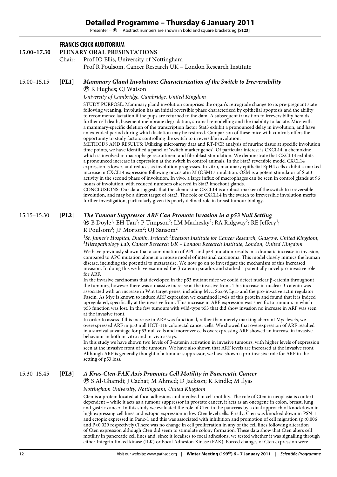Presenter =  $\odot$  · Abstract numbers are shown in bold and square brackets eg [S123]

### **Francis Crick Auditorium**

| 15.00-17.30     | PLENARY ORAL PRESENTATIONS |                                                                                                                                                                                                                                                                                                                                                                                                                                                                                                                                                                                                                                                                                                                                                                                                                                                                                                                                                                                                                                                                                                                                                                                                                                                                                                                                                                                                                                                                                                                                                                                                                                                                                                                                                                                                                                                                                                                                                                                                                                               |  |
|-----------------|----------------------------|-----------------------------------------------------------------------------------------------------------------------------------------------------------------------------------------------------------------------------------------------------------------------------------------------------------------------------------------------------------------------------------------------------------------------------------------------------------------------------------------------------------------------------------------------------------------------------------------------------------------------------------------------------------------------------------------------------------------------------------------------------------------------------------------------------------------------------------------------------------------------------------------------------------------------------------------------------------------------------------------------------------------------------------------------------------------------------------------------------------------------------------------------------------------------------------------------------------------------------------------------------------------------------------------------------------------------------------------------------------------------------------------------------------------------------------------------------------------------------------------------------------------------------------------------------------------------------------------------------------------------------------------------------------------------------------------------------------------------------------------------------------------------------------------------------------------------------------------------------------------------------------------------------------------------------------------------------------------------------------------------------------------------------------------------|--|
|                 | Chair:                     | Prof IO Ellis, University of Nottingham                                                                                                                                                                                                                                                                                                                                                                                                                                                                                                                                                                                                                                                                                                                                                                                                                                                                                                                                                                                                                                                                                                                                                                                                                                                                                                                                                                                                                                                                                                                                                                                                                                                                                                                                                                                                                                                                                                                                                                                                       |  |
|                 |                            | Prof R Poulsom, Cancer Research UK - London Research Institute                                                                                                                                                                                                                                                                                                                                                                                                                                                                                                                                                                                                                                                                                                                                                                                                                                                                                                                                                                                                                                                                                                                                                                                                                                                                                                                                                                                                                                                                                                                                                                                                                                                                                                                                                                                                                                                                                                                                                                                |  |
| 15.00-15.15     | [PL1]                      | Mammary Gland Involution: Characterization of the Switch to Irreversibility<br><b><i>O</i></b> K Hughes; CJ Watson                                                                                                                                                                                                                                                                                                                                                                                                                                                                                                                                                                                                                                                                                                                                                                                                                                                                                                                                                                                                                                                                                                                                                                                                                                                                                                                                                                                                                                                                                                                                                                                                                                                                                                                                                                                                                                                                                                                            |  |
|                 |                            | University of Cambridge, Cambridge, United Kingdom                                                                                                                                                                                                                                                                                                                                                                                                                                                                                                                                                                                                                                                                                                                                                                                                                                                                                                                                                                                                                                                                                                                                                                                                                                                                                                                                                                                                                                                                                                                                                                                                                                                                                                                                                                                                                                                                                                                                                                                            |  |
|                 |                            | STUDY PURPOSE: Mammary gland involution comprises the organ's retrograde change to its pre-pregnant state<br>following weaning. Involution has an initial reversible phase characterized by epithelial apoptosis and the ability<br>to recommence lactation if the pups are returned to the dam. A subsequent transition to irreversibility heralds<br>further cell death, basement membrane degradation, stromal remodelling and the inability to lactate. Mice with<br>a mammary-specific deletion of the transcription factor Stat3 exhibit a pronounced delay in involution, and have<br>an extended period during which lactation may be restored. Comparison of these mice with controls offers the<br>opportunity to study factors controlling the switch to irreversible involution.<br>METHODS AND RESULTS: Utilizing microarray data and RT-PCR analysis of murine tissue at specific involution<br>time points, we have identified a panel of 'switch marker genes'. Of particular interest is CXCL14, a chemokine<br>which is involved in macrophage recruitment and fibroblast stimulation. We demonstrate that CXCL14 exhibits<br>a pronounced increase in expression at the switch in control animals. In the Stat3 reversible model CXCL14<br>expression is lower, and reduces as involution progresses. In vitro, mammary epithelial EpH4 cells exhibit a marked<br>increase in CXCL14 expression following oncostatin M (OSM) stimulation. OSM is a potent stimulator of Stat3<br>activity in the second phase of involution. In vivo, a large influx of macrophages can be seen in control glands at 96<br>hours of involution, with reduced numbers observed in Stat3 knockout glands.<br>CONCLUSIONS: Our data suggests that the chemokine CXCL14 is a robust marker of the switch to irreversible<br>involution, and may be a direct target of Stat3. The role of CXCL14 in the switch to irreversible involution merits<br>further investigation, particularly given its poorly defined role in breast tumour biology. |  |
| $15.15 - 15.30$ | [PL2]                      | The Tumour Suppressor ARF Can Promote Invasion in a p53 Null Setting<br><b><i>@</i> B</b> Doyle <sup>1</sup> ; EH Tan <sup>2</sup> ; P Timpson <sup>2</sup> ; LM Machesky <sup>2</sup> ; RA Ridgway <sup>2</sup> ; RE Jeffery <sup>3</sup> ;<br>R Poulsom <sup>3</sup> ; JP Morton <sup>2</sup> ; OJ Sansom <sup>2</sup>                                                                                                                                                                                                                                                                                                                                                                                                                                                                                                                                                                                                                                                                                                                                                                                                                                                                                                                                                                                                                                                                                                                                                                                                                                                                                                                                                                                                                                                                                                                                                                                                                                                                                                                      |  |
|                 |                            | <sup>1</sup> St. James's Hospital, Dublin, Ireland; <sup>2</sup> Beatson Institute for Cancer Research, Glasgow, United Kingdom;<br><sup>3</sup> Histopathology Lab, Cancer Research UK – London Research Institute, London, United Kingdom                                                                                                                                                                                                                                                                                                                                                                                                                                                                                                                                                                                                                                                                                                                                                                                                                                                                                                                                                                                                                                                                                                                                                                                                                                                                                                                                                                                                                                                                                                                                                                                                                                                                                                                                                                                                   |  |
|                 |                            | We have previously shown that a combination of APC and p53 mutation results in a dramatic increase in invasion,<br>compared to APC mutation alone in a mouse model of intestinal carcinoma. This model closely mimics the human<br>disease, including the potential to metastasise. We now go on to investigate the mechanism of this increased<br>invasion. In doing this we have examined the $\beta$ -catenin paradox and studied a potentially novel pro-invasive role<br>for ARF.                                                                                                                                                                                                                                                                                                                                                                                                                                                                                                                                                                                                                                                                                                                                                                                                                                                                                                                                                                                                                                                                                                                                                                                                                                                                                                                                                                                                                                                                                                                                                        |  |
|                 |                            | In the invasive carcinomas that developed in the p53 mutant mice we could detect nuclear $\beta$ -catenin throughout<br>the tumours, however there was a massive increase at the invasive front. This increase in nuclear $\beta$ -catenin was<br>associated with an increase in Wnt target genes, including Myc, Sox-9, Lgr5 and the pro-invasive actin regulator<br>Fascin. As Myc is known to induce ARF expression we examined levels of this protein and found that it is indeed<br>upregulated, specifically at the invasive front. This increase in ARF expression was specific to tumours in which<br>p53 function was lost. In the few tumours with wild-type p53 that did show invasion no increase in ARF was seen                                                                                                                                                                                                                                                                                                                                                                                                                                                                                                                                                                                                                                                                                                                                                                                                                                                                                                                                                                                                                                                                                                                                                                                                                                                                                                                 |  |
|                 |                            | at the invasive front.<br>In order to assess if this increase in ARF was functional, rather than merely marking aberrant Myc levels, we<br>overexpressed ARF in p53 null HCT-116 colorectal cancer cells. We showed that overexpression of ARF resulted<br>in a survival advantage for p53 null cells and moreover cells overexpressing ARF showed an increase in invasive<br>behaviour in both in-vitro and in-vivo assays.                                                                                                                                                                                                                                                                                                                                                                                                                                                                                                                                                                                                                                                                                                                                                                                                                                                                                                                                                                                                                                                                                                                                                                                                                                                                                                                                                                                                                                                                                                                                                                                                                  |  |
|                 |                            | In this study we have shown two levels of $\beta$ -catenin activation in invasive tumours, with higher levels of expression<br>seen at the invasive front of the tumours. We have also shown that ARF levels are increased at the invasive front.<br>Although ARF is generally thought of a tumour suppressor, we have shown a pro-invasive role for ARF in the<br>setting of p53 loss.                                                                                                                                                                                                                                                                                                                                                                                                                                                                                                                                                                                                                                                                                                                                                                                                                                                                                                                                                                                                                                                                                                                                                                                                                                                                                                                                                                                                                                                                                                                                                                                                                                                       |  |
| 15.30 - 15.45   | [PL3]                      | A Kras-Cten-FAK Axis Promotes Cell Motility in Pancreatic Cancer<br><b>D</b> S Al-Ghamdi; J Cachat; M Ahmed; D Jackson; K Kindle; M Ilyas                                                                                                                                                                                                                                                                                                                                                                                                                                                                                                                                                                                                                                                                                                                                                                                                                                                                                                                                                                                                                                                                                                                                                                                                                                                                                                                                                                                                                                                                                                                                                                                                                                                                                                                                                                                                                                                                                                     |  |
|                 |                            | Nottingham University, Nottingham, United Kingdom                                                                                                                                                                                                                                                                                                                                                                                                                                                                                                                                                                                                                                                                                                                                                                                                                                                                                                                                                                                                                                                                                                                                                                                                                                                                                                                                                                                                                                                                                                                                                                                                                                                                                                                                                                                                                                                                                                                                                                                             |  |
|                 |                            | Cten is a protein located at focal adhesions and involved in cell motility. The role of Cten in neoplasia is context<br>dependent - while it acts as a tumour suppressor in prostate cancer, it acts as an oncogene in colon, breast, lung<br>and gastric cancer. In this study we evaluated the role of Cten in the pancreas by a dual approach of knockdown in<br>high expressing cell lines and ectopic expression in low Cten level cells. Firstly, Cten was knocked down in PSN-1<br>and ectopic expressed in Panc-1 and this was associated with inhibition and promotion of cell migration ( $p<0.006$ )<br>and P<0.029 respectively). There was no change in cell proliferation in any of the cell lines following alteration<br>of Cten expression although Cten did seem to stimulate colony formation. These data show that Cten alters cell                                                                                                                                                                                                                                                                                                                                                                                                                                                                                                                                                                                                                                                                                                                                                                                                                                                                                                                                                                                                                                                                                                                                                                                       |  |

motility in pancreatic cell lines and, since it localises to focal adhesions, we tested whether it was signalling through either Integrin-linked kinase (ILK) or Focal Adhesion Kinase (FAK). Forced changes of Cten expression were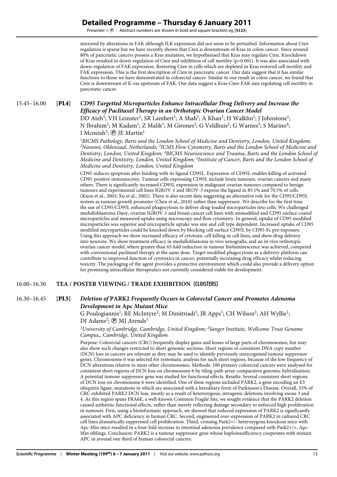Presenter =  $(P \cdot$  Abstract numbers are shown in bold and square brackets eg [S123]

mirrored by alterations in FAK although ILK expression did not seem to be perturbed. Information about Cten regulation is sparse but we have recently shown that Cten is downstream of Kras in colon cancer. Since around 80% of pancreatic cancers possess a Kras mutation, we hypothesised that Kras may regulate Cten. Knockdown of Kras resulted in down-regulation of Cten and inhibition of cell motility (p<0.001). It was also associated with down-regulation of FAK expression. Restoring Cten in cells which are depleted in Kras restored cell motility and FAK expression. This is the first description of Cten in pancreatic cancer. Our data suggest that it has similar functions to those we have demonstrated in colorectal cancer. Similar to our result in colon cancer, we found that Cten is downstream of K-ras upstream of FAK. Our data suggest a Kras-Cten-FAK axis regulating cell motility in pancreatic cancer.

#### 15.45–16.00 [PL4] *CD95 Targetted Microparticles Enhance Intracellular Drug Delivery and Increase the Efficacy of Paclitaxel Therapy in an Orthotopic Ovarian Cancer Model*

DD Ateh<sup>1</sup>; VH Leinster<sup>1</sup>; SR Lambert<sup>1</sup>; A Shah<sup>1</sup>; A Khan<sup>1</sup>; H Walklin<sup>1</sup>; J Johnstone<sup>1</sup>; N Ibrahim<sup>1</sup>; M Kadam<sup>1</sup>; Z Malik<sup>1</sup>; M Girones<sup>2</sup>; G Veldhuis<sup>2</sup>; G Warnes<sup>3</sup>; S Marino<sup>4</sup>; I Mcneish<sup>5</sup>;  $\textcircled{P}$  JE Martin<sup>1</sup>

<sup>1</sup>BICMS Pathology, Barts and the London School of Medicine and Dentistry, London, United Kingdom; *2Nanomi, Oldenzaal, Netherlands; 3ICMS Flow Cytometry, Barts and the London School of Medicine and Dentistry, London, United Kingdom; 4BICMS Neurioscience and Trauma, Barts and the London School of Medicine and Dentistry, London, United Kingdom; 5Institute of Cancer, Barts and the London School of Medicine and Dentistry, London, United Kingdom*

CD95 induces apoptosis after binding with its ligand CD95L. Expression of CD95L enables killing of activated CD95-positive immunocytes. Tumour cells expressing CD95L include brain tumours, ovarian cancers and many others. There is significantly increased CD95L expression in malignant ovarian tumours compared to benign tumours and experimental cell lines IGROV-1 and SKOV-3 express the ligand in 85.1% and 70.5% of cells (Knox et al., 2003; Xu et al., 2002). There is also recent data suggesting an alternative role for the CD95/CD95L system as tumour growth promoter (Chen et al., 2010) rather than suppressor. We describe for the first time the use of CD95/CD95L enhanced phagocytosis to deliver drug-loaded microparticles into cells. We challenged medulloblastoma Daoy, ovarian IGROV-1 and breast cancer cell lines with unmodified and CD95 surface coated microparticles and measured uptake using microscopy and flow cytometry. In general, uptake of CD95 modified microparticles was superior and microparticle uptake was size and cell type dependent. Increased uptake of CD95 modified microparticles could be knocked down by blocking cell surface CD95L by CD95-Fc pre-exposure. Using this approach we show increased efficacy of cytotoxic cell killing in cell lines, and show drug delivery into neurons. We show treatment efficacy in medulloblastoma in vivo xenografts, and an in vivo orthotopic ovarian cancer model, where greater than 65 fold reduction in tumour bioluminescence was achieved, compared with conventional paclitaxel therapy at the same dose. Target modified phagocytosis as a delivery platform can contribute to improved function of cytotoxics in cancer, potentially increasing drug efficacy whilst reducing toxicity. The packaging of the agent provides a protective environment which could also provide a delivery option for promising intracellular therapeutics not currently considered viable for development.

#### 16.00–16.30 **TEA / POSTER VIEWING / Trade Exhibition [Cloisters]**

16.30–16.45 [PL5] *Deletion of* **PARK2** *Frequently Occurs in Colorectal Cancer and Promotes Adenoma Development in* **Apc** *Mutant Mice*

G Poulogiannis<sup>1</sup>; RE McIntyre<sup>2</sup>; M Dimitriadi<sup>1</sup>; JR Apps<sup>1</sup>; CH Wilson<sup>2</sup>; AH Wyllie<sup>1</sup>; DJ Adams<sup>2</sup>;  $\textcircled{P}$  MJ Arends<sup>1</sup>

*1University of Cambridge, Cambridge, United Kingdom; 2Sanger Institute, Wellcome Trust Genome Campus,, Cambridge, United Kingdom*

Purpose: Colorectal cancers (CRC) frequently display gains and losses of large parts of chromosomes, but may also show such changes restricted to short genomic sections. Short regions of consistent DNA copy number (DCN) loss in cancers are relevant as they may be used to identify previously unrecognised tumour suppressor genes. Chromosome 6 was selected for systematic analysis for such short regions, because of the low frequency of DCN alterations relative to most other chromosomes. Methods: 100 primary colorectal cancers were analysed for consistent short regions of DCN loss on chromosome 6 by tiling-path array comparative genomic hybridization. A potential tumour suppressor gene was studied for functional effects. Results: Several consistent short regions of DCN loss on chromosome 6 were identified. One of these regions included PARK2, a gene encoding an E3 ubiquitin ligase, mutations in which are associated with a hereditary form of Parkinson's Disease. Overall, 33% of CRC exhibited PARK2 DCN loss, mostly as a result of heterozygous, intragenic deletions involving exons 3 and 4. As this region spans FRA6E, a well-known Common Fragile Site, we sought evidence that the PARK2 deletion caused authentic functional effects, rather than merely reflecting damage secondary to enforced high proliferation in tumours. First, using a bioinformatic approach, we showed that reduced expression of PARK2 is significantly associated with APC deficiency in human CRC. Second, engineered over-expression of PARK2 in cultured CRC cell lines dramatically suppressed cell proliferation. Third, crossing Park2+/- heterozygous knockout mice with Apc-Min mice resulted in a four-fold increase in intestinal adenoma prevalence compared with Park2+/+, Apc-Min siblings. Conclusion: PARK2 is a tumour suppressor gene whose haploinsufficiency cooperates with mutant APC in around one third of human colorectal cancers.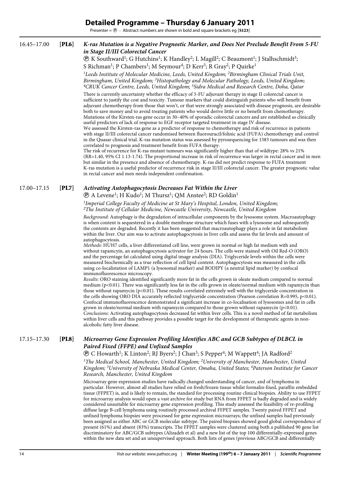Presenter =  $(P \cdot$  Abstract numbers are shown in bold and square brackets eg [S123]

### 16.45–17.00 [PL6] *K-ras Mutation is a Negative Prognostic Marker, and Does Not Preclude Benefit From 5-FU in Stage II/III Colorectal Cancer*

 $\mathcal{P}$  K Southward<sup>1</sup>; G Hutchins<sup>1</sup>; K Handley<sup>2</sup>; L Magill<sup>2</sup>; C Beaumont<sup>1</sup>; J Stalhschmidt<sup>3</sup>; S Richman<sup>1</sup>; P Chambers<sup>1</sup>; M Seymour<sup>4</sup>; D Kerr<sup>5</sup>; R Gray<sup>2</sup>; P Quirke<sup>1</sup>

*1Leeds Institute of Molecular Medicine, Leeds, United Kingdom; 2Birmingham Clinical Trials Unit, Birmingham, United Kingdom; 3Histopathology and Molecular Pathology, Leeds, United Kingdom; 4CRUK Cancer Centre, Leeds, United Kingdom; 5Sidra Medical and Research Centre, Doha, Qatar*

There is currently uncertainty whether the efficacy of 5-FU adjuvant therapy in stage II colorectal cancer is sufficient to justify the cost and toxicity. Tumour markers that could distinguish patients who will benefit from adjuvant chemotherapy from those that won't, or that were strongly associated with disease prognosis, are desirable both to save money and to avoid treating patients who would derive little or no benefit from chemotherapy. Mutations of the Kirsten-ras gene occur in 30–40% of sporadic colorectal cancers and are established as clinically useful predictors of lack of response to EGF receptor targeted treatment in stage IV disease.

We assessed the Kirsten-ras gene as a predictor of response to chemotherapy and risk of recurrence in patients with stage II/III colorectal cancer randomised between fluorouracil/folinic acid (FUFA) chemotherapy and control in the Quasar clinical trial. K-ras mutation status was assessed by pyrosequencing for 1583 tumours and was then correlated to prognosis and treatment benefit from FUFA therapy.

The risk of recurrence for K-ras mutant tumours was significantly higher than that of wildtype: 28% vs 21% (RR=1.40, 95% CI 1.13-1.74). The proportional increase in risk of recurrence was larger in rectal cancer and in men but similar in the presence and absence of chemotherapy. K-ras did not predict response to FUFA treatment K-ras mutation is a useful predictor of recurrence risk in stage II/III colorectal cancer. The greater prognostic value in rectal cancer and men needs independent confirmation.

### 17.00–17.15 [PL7] *Activating Autophagocytosis Decreases Fat Within the Liver*

P A Levene1; H Kudo1; M Thursz1; QM Anstee2; RD Goldin1

*1Imperial College Faculty of Medicine at St Mary's Hospital, London, United Kingdom; 2The Institute of Cellular Medicine, Newcastle University, Newcastle, United Kingdom*

*Background*: Autophagy is the degradation of intracellular components by the lysosome system. Macroautophagy is when content is sequestered in a double membrane structure which fuses with a lysosome and subsequently the contents are degraded. Recently it has been suggested that macroautophagy plays a role in fat metabolism within the liver. Our aim was to activate autophagocytosis in liver cells and assess the fat levels and amount of autophagocytosis.

*Methods*: HUH7 cells, a liver differentiated cell line, were grown in normal or high fat medium with and without rapamcyin, an autophagocytosis activator for 24 hours. The cells were stained with Oil Red-O (ORO) and the percentage fat calculated using digital image analysis (DIA). Triglyceride levels within the cells were measured biochemically as a true reflection of cell lipid content. Autophagocytosis was measured in the cells using co-localistation of LAMP1 (a lysosomal marker) and BODIPY (a neutral lipid marker) by confocal immunofluorescence microscopy.

*Results*: ORO staining identified significantly more fat in the cells grown in oleate medium compared to normal medium (p<0.01). There was significantly less fat in the cells grown in oleate/normal medium with rapamycin than those without rapamycin ( $p<0.01$ ). These results correlated extremely well with the triglyceride concentration in the cells showing ORO DIA accurately reflected triglyceride concentration (Pearson correlation R=0.995, p<0.01). Confocal immunofluorescence demonstrated a significant increase in co-localisation of lysosomes and fat in cells grown in oleate/normal medium with rapamycin compared to those grown without rapamycin  $(p<0.01)$ . *Conclusions*: Activating autophagocytosis decreased fat within liver cells. This is a novel method of fat metabolism within liver cells and this pathway provides a possible target for the development of therapeutic agents in nonalcoholic fatty liver disease.

### 17.15–17.30 [PL8] *Microarray Gene Expression Profiling Identifies ABC and GCB Subtypes of DLBCL in Paired Fixed (FFPE) and Unfixed Samples*

 $\mathcal{P}$  C Howarth<sup>1</sup>; K Linton<sup>2</sup>; RJ Byers<sup>2</sup>; J Chan<sup>3</sup>; S Pepper<sup>4</sup>; M Wappett<sup>4</sup>; JA Radford<sup>2</sup>

*1The Medical School, Manchester, United Kingdom; 2University of Manchester, Manchester, United Kingdom; 3University of Nebraska Medical Center, Omaha, United States; 4Paterson Institute for Cancer Research, Manchester, United Kingdom*

Microarray gene expression studies have radically changed understanding of cancer, and of lymphoma in particular. However, almost all studies have relied on fresh/frozen tissue whilst formalin-fixed, paraffin embedded tissue (FFPET) is, and is likely to remain, the standard for processing routine clinical biopsies. Ability to use FFPET for microarray analysis would open a vast archive for study but RNA from FFPET is badly degraded and is widely considered unsuitable for microarray gene expression profiling. This study assessed the feasibility of re-profiling diffuse large B-cell lymphoma using routinely processed archival FFPET samples. Twenty paired FFPET and unfixed lymphoma biopsies were processed for gene expression microarrays; the unfixed samples had previously been assigned as either ABC or GCB molecular subtype. The paired biopsies showed good global correspondence of present (61%) and absent (83%) transcripts. The FFPET samples were clustered using both a published 90 gene list discriminatory for ABC/GCB subtypes (Alizadeh et al) and a new list of the top 100 differentially-expressed genes within the new data set and an unsupervised approach. Both lists of genes (previous ABC/GCB and differentially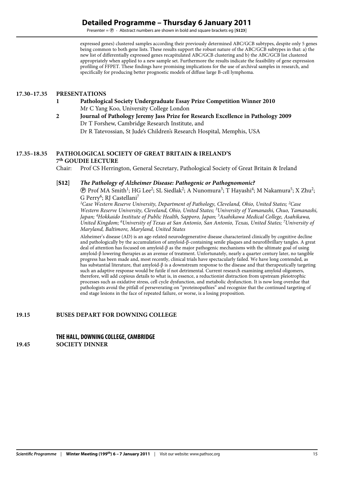Presenter =  $\circled{P}$  · Abstract numbers are shown in bold and square brackets eg [S123]

expressed genes) clustered samples according their previously determined ABC/GCB subtypes, despite only 5 genes being common to both gene lists. These results support the robust nature of the ABC/GCB subtypes in that: a) the new list of differentially expressed genes recapitulated ABC/GCB clustering and b) the ABC/GCB list clustered appropriately when applied to a new sample set. Furthermore the results indicate the feasibility of gene expression profiling of FFPET. These findings have promising implications for the use of archival samples in research, and specifically for producing better prognostic models of diffuse large B-cell lymphoma.

#### **17.30–17.35 Presentations**

- **1 Pathological Society Undergraduate Essay Prize Competition Winner 2010** Mr C Yang Koo, University College London
- **2 Journal of Pathology Jeremy Jass Prize for Research Excellence in Pathology 2009** Dr T Forshew, Cambridge Research Institute, and Dr R Tatevossian, St Jude's Children's Research Hospital, Memphis, USA

### **17.35–18.35 Pathological Society of Great Britain & Ireland's 7th GOUDIE Lecture**

Chair: Prof CS Herrington, General Secretary, Pathological Society of Great Britain & Ireland

#### [S12] *The Pathology of Alzheimer Disease: Pathogenic or Pathognomonic?*

 $\textcircled{P}$  Prof MA Smith<sup>1</sup>; HG Lee<sup>2</sup>; SL Siedlak<sup>2</sup>; A Nunomura<sup>3</sup>; T Hayashi<sup>4</sup>; M Nakamura<sup>5</sup>; X Zhu<sup>2</sup>; G Perry<sup>6</sup>; RJ Castellani<sup>7</sup>

*1Case Western Reserve University, Department of Pathology, Cleveland, Ohio, United States; 2Case Western Reserve University, Cleveland, Ohio, United States; 3University of Yamanashi, Chuo, Yamanashi, Japan; 4Hokkaido Institute of Public Health, Sapporo, Japan; 5Asahikawa Medical College, Asahikawa, United Kingdom; 6University of Texas at San Antonio, San Antonio, Texas, United States; 7University of Maryland, Baltimore, Maryland, United States*

Alzheimer's disease (AD) is an age-related neurodegenerative disease characterized clinically by cognitive decline and pathologically by the accumulation of amyloid-β-containing senile plaques and neurofibrillary tangles. A great deal of attention has focused on amyloid-β as the major pathogenic mechanisms with the ultimate goal of using amyloid-β lowering therapies as an avenue of treatment. Unfortunately, nearly a quarter century later, no tangible progress has been made and, most recently, clinical trials have spectacularly failed. We have long contended, as has substantial literature, that amyloid-β is a downstream response to the disease and that therapeutically targeting such an adaptive response would be futile if not detrimental. Current research examining amyloid oligomers, therefore, will add copious details to what is, in essence, a reductionist distraction from upstream pleiotrophic processes such as oxidative stress, cell cycle dysfunction, and metabolic dysfunction. It is now long overdue that pathologists avoid the pitfall of perseverating on "proteinopathies" and recognize that the continued targeting of end stage lesions in the face of repeated failure, or worse, is a losing proposition.

### **19.15 Buses Depart for Downing College**

### **The Hall, Downing College, Cambridge 19.45 Society Dinner**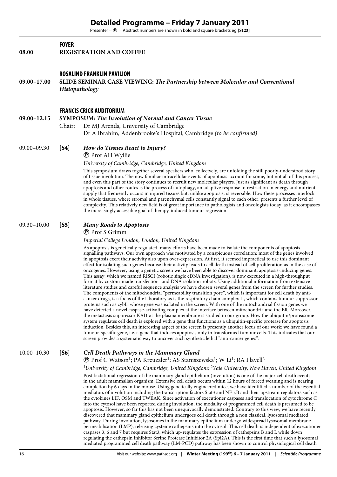Presenter = P **·** Abstract numbers are shown in bold and square brackets eg [S123]

| 08.00           | <b>FOYER</b><br>REGISTRATION AND COFFEE                                                                                               |                                                                                                                                                                                                                                                                                                                                                                                                                                                                                                                                                                                                                                                                                                                                                                                                                                                                                                                                                                                                                                                                                                                                                                                                                                                                                                                                                                                                                                                                                                                                                                                                                                                                                                                                                                                                                                                                                                                                                                                                                                                                                                                  |  |
|-----------------|---------------------------------------------------------------------------------------------------------------------------------------|------------------------------------------------------------------------------------------------------------------------------------------------------------------------------------------------------------------------------------------------------------------------------------------------------------------------------------------------------------------------------------------------------------------------------------------------------------------------------------------------------------------------------------------------------------------------------------------------------------------------------------------------------------------------------------------------------------------------------------------------------------------------------------------------------------------------------------------------------------------------------------------------------------------------------------------------------------------------------------------------------------------------------------------------------------------------------------------------------------------------------------------------------------------------------------------------------------------------------------------------------------------------------------------------------------------------------------------------------------------------------------------------------------------------------------------------------------------------------------------------------------------------------------------------------------------------------------------------------------------------------------------------------------------------------------------------------------------------------------------------------------------------------------------------------------------------------------------------------------------------------------------------------------------------------------------------------------------------------------------------------------------------------------------------------------------------------------------------------------------|--|
| $09.00 - 17.00$ | <b>ROSALIND FRANKLIN PAVILION</b><br>SLIDE SEMINAR CASE VIEWING: The Partnership between Molecular and Conventional<br>Histopathology |                                                                                                                                                                                                                                                                                                                                                                                                                                                                                                                                                                                                                                                                                                                                                                                                                                                                                                                                                                                                                                                                                                                                                                                                                                                                                                                                                                                                                                                                                                                                                                                                                                                                                                                                                                                                                                                                                                                                                                                                                                                                                                                  |  |
| $09.00 - 12.15$ | Chair:                                                                                                                                | <b>FRANCIS CRICK AUDITORIUM</b><br><b>SYMPOSUM: The Involution of Normal and Cancer Tissue</b><br>Dr MJ Arends, University of Cambridge<br>Dr A Ibrahim, Addenbrooke's Hospital, Cambridge (to be confirmed)                                                                                                                                                                                                                                                                                                                                                                                                                                                                                                                                                                                                                                                                                                                                                                                                                                                                                                                                                                                                                                                                                                                                                                                                                                                                                                                                                                                                                                                                                                                                                                                                                                                                                                                                                                                                                                                                                                     |  |
| $09.00 - 09.30$ | [S4]                                                                                                                                  | How do Tissues React to Injury?<br><b><i>O</i></b> Prof AH Wyllie<br>University of Cambridge, Cambridge, United Kingdom<br>This symposium draws together several speakers who, collectvely, are unfolding the still poorly-understood story<br>of tissue involution. The now familiar intracellular events of apoptosis account for some, but not all of this process,<br>and even this part of the story continues to recruit new molecular players. Just as significant as death through<br>apoptosis and other routes is the process of autophagy, an adaptive response to restriction in energy and nutrient<br>supply that frequently occurs in injured tissues but, unlike apoptosis, is reversible. How these processes interlock<br>in whole tissues, where stromal and parenchymal cells constantly signal to each other, presents a further level of<br>complexity. This relatively new field is of great importance to pathologists and oncologists today, as it encompasses<br>the increasingly accessible goal of therapy-induced tumour regression.                                                                                                                                                                                                                                                                                                                                                                                                                                                                                                                                                                                                                                                                                                                                                                                                                                                                                                                                                                                                                                                |  |
| $09.30 - 10.00$ | [ <b>S</b>                                                                                                                            | <b>Many Roads to Apoptosis</b><br><b>P</b> Prof S Grimm<br>Imperial College London, London, United Kingdom<br>As apoptosis is genetically regulated, many efforts have been made to isolate the components of apoptosis<br>signalling pathways. Our own approach was motivated by a conspicuous correlation: most of the genes involved<br>in apoptosis exert their activity also upon over-expression. At first, it seemed impractical to use this dominant<br>effect for isolating such genes because their activity leads to cell death instead of cell proliferation as in the case of<br>oncogenes. However, using a genetic screen we have been able to discover dominant, apoptosis-inducing genes.<br>This assay, which we named RISCI (robotic single cDNA investigation), is now executed in a high-throughput<br>format by custom-made transfection- and DNA isolation-robots. Using additional information from extensive<br>literature studies and careful sequence analysis we have chosen several genes from the screen for further studies.<br>The components of the mitochondrial "permeability transition pore", which is important for cell death by anti-<br>cancer drugs, is a focus of the laboratory as is the respiratory chain complex II, which contains tumour suppressor<br>proteins such as cybL, whose gene was isolated in the screen. With one of the mitochondrial fission genes we<br>have detected a novel caspase-activating complex at the interface between mitochondria and the ER. Moreover,<br>the metastasis suppressor KAI1 at the plasma membrane is studied in our group. How the ubiquitin/proteasome<br>system regulates cell death is explored with a gene that functions as a ubiquitin-specific protease for apoptosis<br>induction. Besides this, an interesting aspect of the screen is presently another focus of our work: we have found a<br>tumour-specific gene, i.e. a gene that induces apoptosis only in transformed tumour cells. This indicates that our<br>screen provides a systematic way to uncover such synthetic lethal "anti-cancer genes". |  |
| $10.00 - 10.30$ | [ <b>S</b> 6]                                                                                                                         | Cell Death Pathways in the Mammary Gland<br><b>P</b> Prof C Watson <sup>1</sup> ; PA Kreuzaler <sup>1</sup> ; AS Staniszewska <sup>1</sup> ; W Li <sup>1</sup> ; RA Flavell <sup>2</sup><br><sup>1</sup> University of Cambridge, Cambridge, United Kingdom; <sup>2</sup> Yale University, New Haven, United Kingdom<br>Post-lactational regression of the mammary gland epithelium (involution) is one of the major cell death events<br>in the adult mammalian organism. Extensive cell death occurs within 12 hours of forced weaning and is nearing<br>completion by 6 days in the mouse. Using genetically engineered mice, we have identified a number of the essential<br>mediators of involution including the transcription factors Stat3 and NF-KB and their upstream regulators such as<br>the cytokines LIF, OSM and TWEAK. Since activation of executioner caspases and translocation of cytochrome C<br>into the cytosol have been reported during involution, the modality of programmed cell death is presumed to be<br>apoptosis. However, so far this has not been unequivocally demonstrated. Contrary to this view, we have recently<br>discovered that mammary gland epithelium undergoes cell death through a non classical, lysosomal mediated<br>pathway. During involution, lysosomes in the mammary epithelium undergo widespread lysosomal membrane<br>permeabilisation (LMP), releasing cysteine cathepsins into the cytosol. This cell death is independent of executioner<br>caspases 3, 6 and 7 but requires Stat3, which up-regulates the expression of cathepsins B and L while down<br>regulating the cathepsin inhibitor Serine Protease Inhibitor 2A (Spi2A). This is the first time that such a lysosomal                                                                                                                                                                                                                                                                                                                                                                   |  |

mediated programmed cell death pathway (LM-PCD) pathway has been shown to control physiological cell death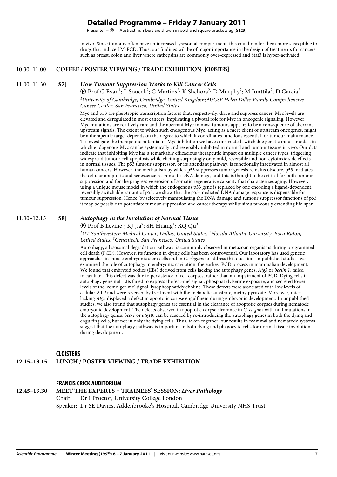Presenter =  $\circled{P}$  · Abstract numbers are shown in bold and square brackets eg [S123]

in vivo. Since tumours often have an increased lysosomal compartment, this could render them more susceptible to drugs that induce LM-PCD. Thus, our findings will be of major importance in the design of treatments for cancers such as breast, colon and liver where cathepsins are commonly over-expressed and Stat3 is hyper-activated.

#### 10.30–11.00 **Coffee / Poster Viewing / Trade Exhibition [Cloisters]**

#### 11.00–11.30 [S7] *How Tumour Suppression Works to Kill Cancer Cells*

P Prof G Evan1; L Soucek2; C Martins2; K Shchors2; D Murphy2; M Junttila2; D Garcia2 *1University of Cambridge, Cambridge, United Kingdom; 2UCSF Helen Diller Family Comprehensive Cancer Center, San Francisco, United States*

Myc and p53 are pleiotropic transcription factors that, respectively, drive and suppress cancer. Myc levels are elevated and deregulated in most cancers, implicating a pivotal role for Myc in oncogenic signaling. However, Myc mutations are relatively rare and the aberrant Myc in most tumours appears to be a consequence of aberrant upstream signals. The extent to which such endogenous Myc, acting as a mere client of upstream oncogenes, might be a therapeutic target depends on the degree to which it coordinates functions essential for tumour maintenance. To investigate the therapeutic potential of Myc inhibition we have constructed switchable genetic mouse models in which endogenous Myc can be systemically and reversibly inhibited in normal and tumour tissues in vivo. Our data indicate that inhibiting Myc has a remarkably efficacious therapeutic impact on multiple cancer types, triggering widespread tumour cell apoptosis while eliciting surprisingly only mild, reversible and non-cytotoxic side effects in normal tissues. The p53 tumour suppressor, or its attendant pathway, is functionally inactivated in almost all human cancers. However, the mechanism by which p53 suppresses tumorigenesis remains obscure. p53 mediates the cellular apoptotic and senescence response to DNA damage, and this is thought to be critical for both tumour suppression and for the progressive erosion of somatic regenerative capacity that characterizes aging. However, using a unique mouse model in which the endogenous p53 gene is replaced by one encoding a ligand-dependent, reversibly switchable variant of p53, we show that the p53-mediated DNA damage response is dispensable for tumour suppression. Hence, by selectively manipulating the DNA damage and tumour suppressor functions of p53 it may be possible to potentiate tumour suppression and cancer therapy whilst simultaneously extending life-span.

11.30–12.15 [S8] *Autophagy in the Involution of Normal Tissue*

P Prof B Levine1; KJ Jia2; SH Huang1; XQ Qu3

*1UT Southwestern Medical Center, Dallas, United States; 2Florida Atlantic University, Boca Raton, United States; 3Genentech, San Francisco, United States*

Autophagy, a lysosomal degradation pathway, is commonly observed in metazoan organisms during programmed cell death (PCD). However, its function in dying cells has been controversial. Our laboratory has used genetic approaches in mouse embryonic stem cells and in *C. elegans* to address this question. In published studies, we examined the role of autophagy in embryonic cavitation, the earliest PCD process in mammalian development. We found that embryoid bodies (EBs) derived from cells lacking the autophagy genes, *Atg5* or *beclin 1*, failed to cavitate. This defect was due to persistence of cell corpses, rather than an impairment of PCD. Dying cells in autophagy gene null EBs failed to express the 'eat-me' signal, phosphatidylserine exposure, and secreted lower levels of the 'come-get-me' signal, lysophosphatidylcholine. These defects were associated with low levels of cellular ATP and were reversed by treatment with the metabolic substrate, methylpyruvate. Moreover, mice lacking *Atg5* displayed a defect in apoptotic corpse engulfment during embryonic development. In unpublished studies, we also found that autophagy genes are essential in the clearance of apoptotic corpses during nematode embryonic development. The defects observed in apoptotic corpse clearance in *C. elegans* with null mutations in the autophagy genes, *bec-1* or *atg18*, can be rescued by re-introducing the autophagy genes in both the dying and engulfing cells, but not in only the dying cells. Thus, taken together, our results in mammal and nematode systems suggest that the autophagy pathway is important in both dying and phagocytic cells for normal tissue involution during development.

#### **Cloisters**

### **12.15–13.15 Lunch / Poster viewing / Trade Exhibition**

### **Francis Crick Auditorium**

**12.45–13.30 Meet the experts – Trainees' Session:** *Liver Pathology* Chair: Dr I Proctor, University College London Speaker: Dr SE Davies, Addenbrooke's Hospital, Cambridge University NHS Trust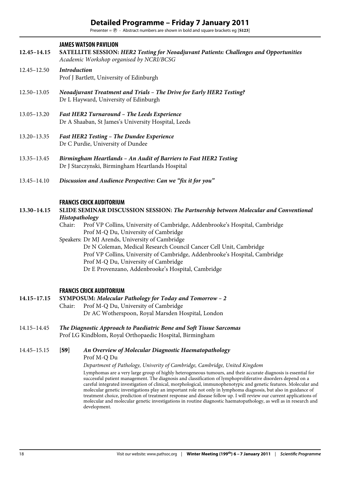Presenter =  $(P \cdot$  Abstract numbers are shown in bold and square brackets eg [**S123**]

#### **James Watson Pavilion**

- **12.45–14.15 Satellite Session:** *HER2 Testing for Neoadjuvant Patients: Challenges and Opportunities Academic Workshop organised by NCRI/BCSG*
- 12.45–12.50 *Introduction* Prof J Bartlett, University of Edinburgh
- 12.50–13.05 *Neoadjuvant Treatment and Trials – The Drive for Early HER2 Testing?* Dr L Hayward, University of Edinburgh
- 13.05–13.20 *Fast HER2 Turnaround – The Leeds Experience* Dr A Shaaban, St James's University Hospital, Leeds
- 13.20–13.35 *Fast HER2 Testing – The Dundee Experience* Dr C Purdie, University of Dundee
- 13.35–13.45 *Birmingham Heartlands – An Audit of Barriers to Fast HER2 Testing* Dr J Starczynski, Birmingham Heartlands Hospital
- 13.45–14.10 *Discussion and Audience Perspective: Can we "fix it for you"*

### **Francis Crick Auditorium**

**13.30–14.15 Slide Seminar Discussion Session:** *The Partnership between Molecular and Conventional Histopathology*

Chair: Prof VP Collins, University of Cambridge, Addenbrooke's Hospital, Cambridge Prof M-Q Du, University of Cambridge

Speakers: Dr MJ Arends, University of Cambridge Dr N Coleman, Medical Research Council Cancer Cell Unit, Cambridge Prof VP Collins, University of Cambridge, Addenbrooke's Hospital, Cambridge Prof M-Q Du, University of Cambridge Dr E Provenzano, Addenbrooke's Hospital, Cambridge

#### **Francis Crick Auditorium**

- **14.15–17.15 Symposum:** *Molecular Pathology for Today and Tomorrow – 2* Chair: Prof M-Q Du, University of Cambridge Dr AC Wotherspoon, Royal Marsden Hospital, London
- 14.15–14.45 *The Diagnostic Approach to Paediatric Bone and Soft Tissue Sarcomas* Prof LG Kindblom, Royal Orthopaedic Hospital, Birmingham
- 14.45–15.15 [S9] *An Overview of Molecular Diagnostic Haematopathology* Prof M-Q Du

*Department of Pathology, Univerity of Cambridge, Cambridge, United Kingdom*

Lymphomas are a very large group of highly heterogeneous tumours, and their accurate diagnosis is essential for successful patient management. The diagnosis and classification of lymphoproliferative disorders depend on a careful integrated investigation of clinical, morphological, immunophenotypic and genetic features. Molecular and molecular genetic investigations play an important role not only in lymphoma diagnosis, but also in guidance of treatment choice, prediction of treatment response and disease follow up. I will review our current applications of molecular and molecular genetic investigations in routine diagnostic haematopathology, as well as in research and development.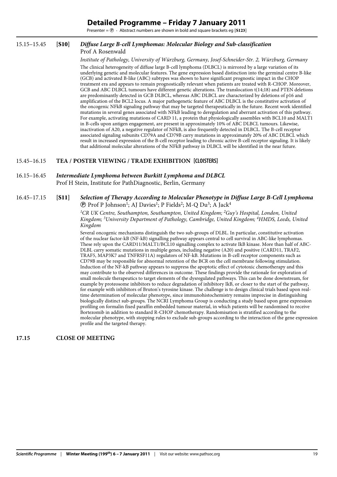Presenter =  $\circled{P}$  · Abstract numbers are shown in bold and square brackets eg [S123]

#### 15.15–15.45 [S10] *Diffuse Large B-cell Lymphomas: Molecular Biology and Sub-classification* Prof A Rosenwald

*Institute of Pathology, University of Würzburg, Germany, Josef-Schneider-Str. 2, Würzburg, Germany* The clinical heterogeneity of diffuse large B-cell lymphoma (DLBCL) is mirrored by a large variation of its underlying genetic and molecular features. The gene expression based distinction into the germinal centre B-like (GCB) and activated B-like (ABC) subtypes was shown to have significant prognostic impact in the CHOP treatment era and appears to remain prognostically relevant when patients are treated with R-CHOP. Moreover, GCB and ABC DLBCL tumours have different genetic alterations. The translocation t(14;18) and PTEN deletions are predominantly detected in GCB DLBCL, whereas ABC DLBCL are characterized by deletions of p16 and amplification of the BCL2 locus. A major pathogenetic feature of ABC DLBCL is the constitutive activation of the oncogenic NFkB signaling pathway that may be targeted therapeutically in the future. Recent work identified mutations in several genes associated with NFkB leading to deregulation and aberrant activation of this pathway. For example, activating mutations of CARD 11, a protein that physiologically assembles with BCL10 and MALT1 in B-cells upon antigen engagement, are present in approximately 10% of ABC DLBCL tumours. Likewise, inactivation of A20, a negative regulator of NFkB, is also frequently detected in DLBCL. The B-cell receptor associated signaling subunits CD79A and CD79B carry mutations in approximately 20% of ABC DLBCL which result in increased expression of the B-cell receptor leading to chronic active B-cell receptor signaling. It is likely that additional molecular alterations of the NFkB pathway in DLBCL will be identified in the near future.

### 15.45–16.15 **TEA / POSTER VIEWING / Trade Exhibition [Cloisters]**

#### 16.15–16.45 *Intermediate Lymphoma between Burkitt Lymphoma and DLBCL*

Prof H Stein, Institute for PathDiagnostic, Berlin, Germany

#### 16.45–17.15 [S11] *Selection of Therapy According to Molecular Phenotype in Diffuse Large B-Cell Lymphoma*  $\circled{P}$  Prof P Johnson<sup>1</sup>; AJ Davies<sup>1</sup>; P Fields<sup>2</sup>; M-O Du<sup>3</sup>; A Jack<sup>4</sup>

*1CR UK Centre, Southampton, Southampton, United Kingdom; 2Guy's Hospital, London, United Kingdom; 3University Department of Pathology, Cambridge, United Kingdom; 4HMDS, Leeds, United Kingdom*

Several oncogenic mechanisms distinguish the two sub-groups of DLBL. In particular, constitutive activation of the nuclear factor-kB (NF-kB) signalling pathway appears central to cell survival in ABC-like lymphomas. These rely upon the CARD11/MALT1/BCL10 signalling complex to activate IkB kinase. More than half of ABC-DLBL carry somatic mutations in multiple genes, including negative (A20) and positive (CARD11, TRAF2, TRAF5, MAP3K7 and TNFRSF11A) regulators of NF-kB. Mutations in B-cell receptor components such as CD79B may be responsible for abnormal retention of the BCR on the cell membrane following stimulation. Induction of the NF-kB pathway appears to suppress the apoptotic effect of cytotoxic chemotherapy and this may contribute to the observed differences in outcome. These findings provide the rationale for exploration of small molecule therapeutics to target elements of the dysregulated pathways. This can be done downstream, for example by proteosome inhibitors to reduce degradation of inhibitory IkB, or closer to the start of the pathway, for example with inhibitors of Bruton's tyrosine kinase. The challenge is to design clinical trials based upon realtime determination of molecular phenotype, since immunohistochemistry remains imprecise in distinguishing biologically distinct sub-groups. The NCRI Lymphoma Group is conducting a study based upon gene expression profiling on formalin fixed paraffin embedded tumour material, in which patients will be randomised to receive Bortezomib in addition to standard R-CHOP chemotherapy. Randomisation is stratified according to the molecular phenotype, with stopping rules to exclude sub-groups according to the interaction of the gene expression profile and the targeted therapy.

**17.15 Close of Meeting**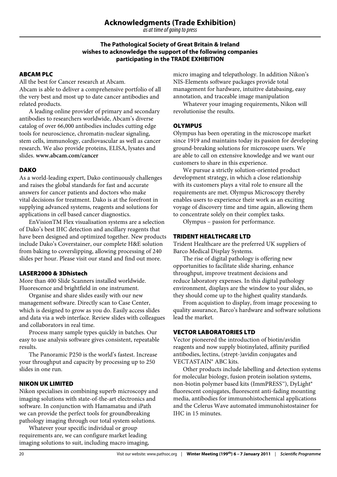*as at time of going to press*

### **The Pathological Society of Great Britain & Ireland wishes to acknowledge the support of the following companies participating in the TRADE EXHIBITION**

### ABCAM PLC

All the best for Cancer research at Abcam. Abcam is able to deliver a comprehensive portfolio of all the very best and most up to date cancer antibodies and related products.

A leading online provider of primary and secondary antibodies to researchers worldwide, Abcam's diverse catalog of over 66,000 antibodies includes cutting edge tools for neuroscience, chromatin-nuclear signaling, stem cells, immunology, cardiovascular as well as cancer research. We also provide proteins, ELISA, lysates and slides. **www.abcam.com/cancer**

### DAKO

As a world-leading expert, Dako continuously challenges and raises the global standards for fast and accurate answers for cancer patients and doctors who make vital decisions for treatment. Dako is at the forefront in supplying advanced systems, reagents and solutions for applications in cell based cancer diagnostics.

EnVisionTM Flex visualisation systems are a selection of Dako's best IHC detection and ancillary reagents that have been designed and optimized together. New products include Dako's Coverstainer, our complete H&E solution from baking to coverslipping, allowing processing of 240 slides per hour. Please visit our stand and find out more.

### Laser2000 & 3Dhistech

More than 400 Slide Scanners installed worldwide. Fluorescence and brightfield in one instrument.

Organise and share slides easily with our new management software. Directly scan to Case Center, which is designed to grow as you do. Easily access slides and data via a web interface. Review slides with colleagues and collaborators in real time.

Process many sample types quickly in batches. Our easy to use analysis software gives consistent, repeatable results.

The Panoramic P250 is the world's fastest. Increase your throughput and capacity by processing up to 250 slides in one run.

### NIKON UK LIMITED

Nikon specialises in combining superb microscopy and imaging solutions with state-of-the-art electronics and software. In conjunction with Hamamatsu and iPath we can provide the perfect tools for groundbreaking pathology imaging through our total system solutions.

Whatever your specific individual or group requirements are, we can configure market leading imaging solutions to suit, including macro imaging, micro imaging and telepathology. In addition Nikon's NIS-Elements software packages provide total management for hardware, intuitive databasing, easy annotation, and traceable image manipulation

Whatever your imaging requirements, Nikon will revolutionise the results.

### **OLYMPUS**

Olympus has been operating in the microscope market since 1919 and maintains today its passion for developing ground-breaking solutions for microscope users. We are able to call on extensive knowledge and we want our customers to share in this experience.

We pursue a strictly solution-oriented product development strategy, in which a close relationship with its customers plays a vital role to ensure all the requirements are met. Olympus Microscopy thereby enables users to experience their work as an exciting voyage of discovery time and time again, allowing them to concentrate solely on their complex tasks.

Olympus – passion for performance.

### Trident Healthcare Ltd

Trident Healthcare are the preferred UK suppliers of Barco Medical Display Systems.

The rise of digital pathology is offering new opportunities to facilitate slide sharing, enhance throughput, improve treatment decisions and reduce laboratory expenses. In this digital pathology environment, displays are the window to your slides, so they should come up to the highest quality standards.

From acquistion to display, from image processing to quality assurance, Barco's hardware and software solutions lead the market.

### VECTOR LABORATORIES LTD

Vector pioneered the introduction of biotin/avidin reagents and now supply biotinylated, affinity purified antibodies, lectins, (strept-)avidin conjugates and VECTASTAIN® ABC kits.

Other products include labelling and detection systems for molecular biology, fusion protein isolation systems, non-biotin polymer based kits (ImmPRESS™), DyLight® fluorescent conjugates, fluorescent anti-fading mounting media, antibodies for immunohistochemical applications and the Celerus Wave automated immunohistostainer for IHC in 15 minutes.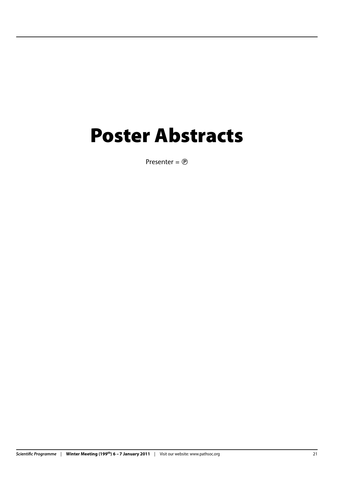# Poster Abstracts

Presenter =  $<sup>②</sup>$ </sup>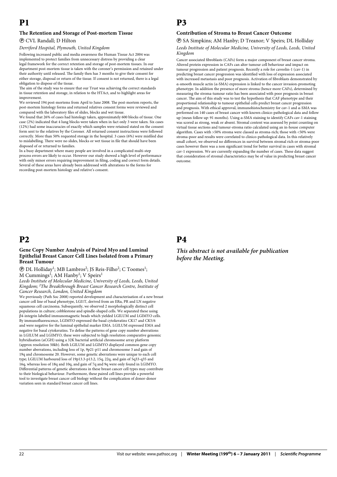# **The Retention and Storage of Post-mortem Tissue**

P CVL Randall; D Hilton

#### *Derriford Hospital, Plymouth, United Kingdom*

Following increased public and media awareness the Human Tissue Act 2004 was implemented to protect families from unnecessary distress by providing a clear legal framework for the correct retention and storage of post-mortem tissues. In our department post-mortem tissue is taken with the coroner's permission and retained under their authority until released. The family then has 3 months to give their consent for either storage, disposal or return of the tissue. If consent is not returned, there is a legal obligation to dispose of the tissue.

The aim of the study was to ensure that our Trust was achieving the correct standards in tissue retention and storage, in relation to the HTAct, and to highlight areas for improvement.

We reviewed 194 post-mortems from April to June 2008. The post-mortem reports, the post-mortem histology forms and returned relatives consent forms were reviewed and compared with the laboratory files of slides, blocks and wet tissue.

We found that 26% of cases had histology taken, approximately 600 blocks of tissue. One case (2%) indicated that 4 lung blocks were taken when in fact only 3 were taken. Six cases (12%) had some inaccuracies of exactly which samples were retained stated on the consent form sent to the relatives by the Coroner. All returned consent instructions were followed correctly. More than 50% requested storage in the hospital. 3 cases (6%) were misfiled due to mislabelling. There were no slides, blocks or wet tissue in file that should have been disposed of or returned to families.

In a busy department where many people are involved in a complicated multi-step process errors are likely to occur. However our study showed a high level of performance with only minor errors requiring improvement in filing, coding and correct form details. Several of these areas have already been addressed with alterations to the forms for recording post-mortem histology and relative's consent.

# P3

#### **Contribution of Stroma to Breast Cancer Outcome**

P SA Simpkins; AM Hanby; D Treanor; V Speirs; DL Holliday *Leeds Institute of Molecular Medicine, University of Leeds, Leeds, United Kingdom*

Cancer associated fibroblasts (CAFs) form a major component of breast cancer stroma. Altered protein expression in CAFs can alter tumour cell behaviour and impact on tumour progression and patient prognosis. Recently a role for caveolin-1 (cav-1) in predicting breast cancer progression was identified with loss of expression associated with increased metastasis and poor prognosis. Activation of fibroblasts demonstrated by α-smooth muscle actin (α-SMA) expression is linked to the cancer invasion-promoting phenotype. In addition the presence of more stroma (hence more CAFs), determined by measuring the stroma-tumour ratio has been associated with poor prognosis in breast cancer. The aim of this study was to test the hypothesis that CAF phenotype and their proportional relationship to tumour epithelial cells predict breast cancer progression and prognosis. With ethical approval, immunohistochemistry for cav-1 and α-SMA was performed on 140 cases of breast cancer with known clinico-pathological data and follow up (mean follow up: 91 months). Using α-SMA staining to identify CAFs cav-1 staining was scored as strong, weak or absent. Stromal content was assessed by point counting on virtual tissue sections and tumour-stroma ratio calculated using an in-house computer algorithm. Cases with >50% stroma were classed as stroma-rich; those with <50% were stroma-poor and results were correlated to clinico-pathological data. In this relatively small cohort, we observed no differences in survival between stromal rich or stroma-poor cases however there was a non significant trend for better survival in cases with stromal cav-1 expression. We are currently expanding the number of cases. These data suggest that consideration of stromal characteristics may be of value in predicting breast cancer outcome.

# P2

#### **Gene Copy Number Analysis of Paired Myo and Luminal Epithelial Breast Cancer Cell Lines Isolated from a Primary Breast Tumour**

P DL Holliday1; MB Lambros2; JS Reis-Filho2; C Toomes1; M Cummings<sup>1</sup>; AM Hanby<sup>1</sup>; V Speirs<sup>1</sup>

*Leeds Institute of Molecular Medicine, University of Leeds, Leeds, United Kingdom; 2The Breakthrough Breast Cancer Research Centre, Institute of Cancer Research, London, United Kingdom*

We previously (Path Soc 2008) reported development and characterisation of a new breast cancer cell line of basal phenotype, LGI1T, derived from an ERα, PR and LN negative squamous cell carcinoma. Subsequently, we observed 2 morphologically distinct cell populations in culture; cobblestone and spindle-shaped cells. We separated these using β4-integrin labelled immunomagnetic beads which yielded LGILUM and LGIMYO cells. By immunofluorescence, LGIMYO expressed the basal cytokeratins CK17 and CK5/6 and were negative for the luminal epithelial marker EMA. LGILUM expressed EMA and negative for basal cytokeratins. To define the patterns of gene copy number aberrations in LGILUM and LGIMYO, these were subjected to high resolution comparative genomic hybridisation (aCGH) using a 32K bacterial artificial chromosome array platform (approx resolution 50kb). Both LGILUM and LGIMYO displayed common gene copy number aberrations, including loss of 1p, 9p21-p11 and chromosome 3 and gain of 19q and chromosome 20. However, some genetic aberrations were unique to each cell type; LGILUM harboured loss of 19p13.3-p13.2, 15q, 22q, and gain of 5q33-q35 and 16q, whereas loss of 18q and 10q, and gain of 7q and 9q were only found in LGIMYO. Differential patterns of genetic aberrations in these breast cancer cell types may contribute to their biological behaviour. Furthermore, these paired cell lines provide a powerful tool to investigate breast cancer cell biology without the complication of donor-donor variation seen in standard breast cancer cell lines.

# **P4**

*This abstract is not available for publication before the Meeting.*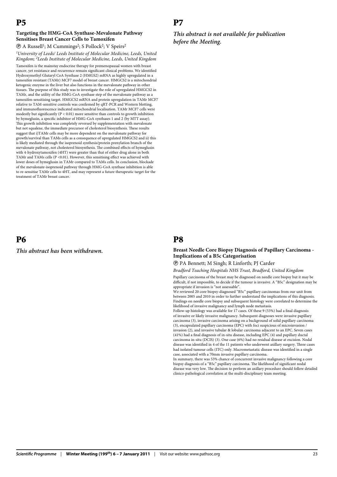#### **Targeting the HMG-CoA Synthase-Mevalonate Pathway Sensitises Breast Cancer Cells to Tamoxifen**

### $\textcircled{P}$  A Russell<sup>1</sup>; M Cummings<sup>2</sup>; S Pollock<sup>2</sup>; V Speirs<sup>2</sup> *1University of Leeds/ Leeds Institute of Molecular Medicine, Leeds, United*

*Kingdom; 2Leeds Institute of Molecular Medicine, Leeds, United Kingdom*

Tamoxifen is the mainstay endocrine therapy for premenopausal women with breast cancer, yet resistance and recurrence remain significant clinical problems. We identified Hydroxymethyl Glutaryl CoA Synthase 2 (HMGS2) mRNA as highly upregulated in a tamoxifen resistant (TAMr) MCF7 model of breast cancer. HMGCS2 is a mitochondrial ketogenic enzyme in the liver but also functions in the mevalonate pathway in other tissues. The purpose of this study was to investigate the role of upregulated HMGCS2 in TAMr, and the utility of the HMG-CoA synthase step of the mevalonate pathway as a tamoxifen-sensitising target. HMGCS2 mRNA and protein upregulation in TAMr MCF7 relative to TAM-sensitive controls was confirmed by qRT-PCR and Western blotting, and immunofluorescence indicated mitochondrial localisation. TAMr MCF7 cells were modestly but significantly ( $P < 0.01$ ) more sensitive than controls to growth inhibition by hymeglusin, a specific inhibitor of HMG-CoA synthases 1 and 2 (by MTT assay). This growth inhibition was completely reversed by supplementation with mevalonate but not squalene, the immediate precursor of cholesterol biosynthesis. These results suggest that i)TAMr cells may be more dependent on the mevalonate pathway for growth/survival than TAMs cells as a consequence of upregulated HMGCS2 and ii) this is likely mediated through the isoprenoid synthesis/protein prenylation branch of the mevalonate pathway, not cholesterol biosynthesis. The combined effects of hymeglusin with 4-hydroxytamoxifen (4HT) were greater than that of either drug alone in both TAMr and TAMs cells (P <0.01). However, this sensitising effect was achieved with lower doses of hymeglusin in TAMr compared to TAMs cells. In conclusion, blockade of the mevalonate-isoprenoid pathway through HMG-CoA synthase inhibition is able to re-sensitise TAMr cells to 4HT, and may represent a future therapeutic target for the treatment of TAMr breast cancer.

# P6

*This abstract has been withdrawn.*

*This abstract is not available for publication before the Meeting.*

# P8

#### **Breast Needle Core Biopsy Diagnosis of Papillary Carcinoma - Implications of a B5c Categorisation**

P PA Bennett; M Singh; R Linforth; PJ Carder

*Bradford Teaching Hospitals NHS Trust, Bradford, United Kingdom*

Papillary carcinoma of the breast may be diagnosed on needle core biopsy but it may be difficult, if not impossible, to decide if the tumour is invasive. A "B5c" designation may be appropriate if invasion is "not assessable".

We reviewed 20 core biopsy-diagnosed "B5c" papillary carcinomas from our unit from between 2005 and 2010 in order to further understand the implications of this diagnosis. Findings on needle core biopsy and subsequent histology were correlated to determine the likelihood of invasive malignancy and lymph node metastasis.

Follow-up histology was available for 17 cases. Of these 9 (53%) had a final diagnosis of invasive or likely invasive malignancy. Subsequent diagnoses were invasive papillary carcinoma (3), invasive carcinoma arising on a background of solid papillary carcinoma (3), encapsulated papillary carcinoma (EPC) with foci suspicious of microinvasion / invasion (2), and invasive tubular & lobular carcinoma adjacent to an EPC. Seven cases (41%) had a final diagnosis of in-situ disease, including EPC (4) and papillary ductal carcinoma in-situ (DCIS) (3). One case (6%) had no residual disease at excision. Nodal disease was identified in 4 of the 11 patients who underwent axillary surgery. Three cases had isolated tumour cells (ITC) only. Macrometastatic disease was identified in a single case, associated with a 70mm invasive papillary carcinoma.

In summary, there was 53% chance of concurrent invasive malignancy following a core biopsy diagnosis of a "B5c" papillary carcinoma. The likelihood of significant nodal disease was very low. The decision to perform an axillary procedure should follow detailed clinico-pathological correlation at the multi-disciplinary team meeting.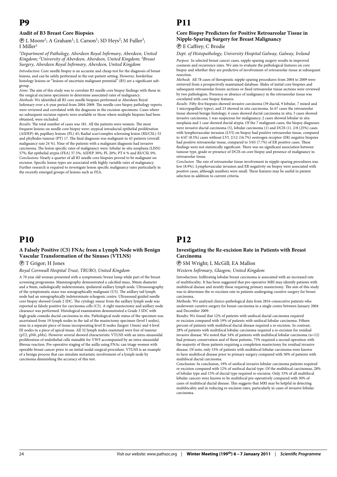# P9

#### **Audit of B3 Breast Core Biopsies**

 $\textcircled{P}$  L Moore<sup>1</sup>; A Graham<sup>1</sup>; L Carson<sup>1</sup>; SD Heys<sup>2</sup>; M Fuller<sup>3</sup>; I Miller<sup>1</sup>

*1Department of Pathology, Aberdeen Royal Infirmary, Aberdeen, United Kingdom; 2University of Aberdeen, Aberdeen, United Kingdom; 3Breast Surgery, Aberdeen Royal Infirmary, Aberdeen, United Kingdom*

*Introduction*: Core needle biopsy is an accurate and cheap test for the diagnosis of breast lesions, and can be safely performed in the out-patient setting. However, borderline histology lesions or "lesions of uncertain malignant potential" (B3) are a significant subgroup.

*Aims*: The aim of this study was to correlate B3 needle core biopsy findings with those in the surgical excision specimens to determine associated rates of malignancy. *Methods*: We identified all B3 core needle biopsies performed at Aberdeen Royal Infirmary over a 6-year period from 2004-2009. The needle core biopsy pathology reports were reviewed and correlated with the diagnosis in the excision specimens. Cases where no subsequent excision reports were available or those where multiple biopsies had been obtained, were excluded.

*Results*: The total number of cases was 181. All the patients were women. The most frequent lesions on needle core biopsy were: atypical intraductal epithelial proliferation (AIDEP) 46; papillary lesions (PL) 45; Radial scar/complex sclerosing lesion (RS/CSL) 33 and phyllodes tumour (PT) 17. The final diagnosis was malignant in 43 patients (overall malignancy rate 24 %). Nine of the patients with a malignant diagnosis had invasive carcinoma. The lesion specific rates of malignancy were: lobular in-situ neoplasia (LISN) 57%; flat epithelial atypia (FEA) 37.5%; AIDEP 30%; PL 20%; PT 6 % and RS/CSL 0%. *Conclusions*: Nearly a quarter of all B3 needle core biopsies proved to be malignant on excision. Specific lesion types are associated with highly variable rates of malignancy. Further research is required to investigate lesion specific malignancy rates particularly in the recently emerged groups of lesions such as FEA.

# P11

### **Core Biopsy Predictors for Positive Retroareolar Tissue in Nipple-Sparing Surgery for Breast Malignancy**

### P E Caffrey; C Brodie

*Dept. of Histopathology, University Hospital Galway, Galway, Ireland*

*Purpose* In selected breast cancer cases, nipple-sparing surgery results in improved cosmesis and recurrence rates. We aim to evaluate the pathological features on core biopsy and whether they are predictive of involvement of retroareolar tissue at subsequent resection.

*Methods* All 78 cases of therapeutic nipple-sparing procedures from 2004 to 2009 were retrieved from a prospectively maintained database. Slides of initial core biopsies and subsequent retroareolar frozen sections or fixed retroareolar tissue sections were reviewed by two pathologists. Presence or absence of malignancy in the retroareolar tissue was correlated with core biopsy features.

*Results* Fifty-five biopsies showed invasive carcinoma (39 ductal, 9 lobular, 7 mixed and 1 micropapillary types), and 23 showed in situ carcinoma. In 67 cases the retroareolar tissue showed benign histology; 4 cases showed ductal carcinoma in situ; 3 cases showed invasive carcinoma; 1 was suspicious for malignancy; 2 cases showed lobular in situ neoplasia and 1 case showed ductal atypia. Of the 7 malignant cases, the biopsy diagnoses were invasive ductal carcinoma (5), lobular carcinoma (1) and DCIS (1). 2/8 (25%) cases with lymphovascular invasion (LVI) on biopsy had positive retroareolar tissue, compared to 4/47 (8.5%) cases without LVI. 2/12 (16.7%) oestrogen receptor (ER) negative biopsies had positive retroareolar tissue, compared to 5/65 (7.7%) of ER positive cases. These findings were not statistically significant. There was no significant association between tumour type, grade or presence of DCIS on core biopsy and presence of malignancy in retroareolar tissue.

*Conclusion* The rate of retroareolar tissue involvement in nipple-sparing procedures was low (8.9%). Lymphovascular invasion and ER negativity on biopsy were associated with positive cases, although numbers were small. These features may be useful in patient selection in addition to current criteria.

# **P10**

#### **A Falsely Positive (C5) FNAc from a Lymph Node with Benign Vascular Transformation of the Sinuses (VTLNS)**

#### P T Grigor; H Jones

#### *Royal Cornwall Hospital Trust, TRURO, United Kingdom*

A 70 year old woman presented with a symptomatic breast lump while part of the breast screening programme. Mammography demonstrated a calcified mass, 30mm diameter and a 9mm, radiologically indeterminate, ipsilateral axillary lymph node. Ultrasonography of the symptomatic mass was sonographically malignant (U5). The axillary tail lymph node had an sonographically indeterminate echogenic centre. Ultrasound guided needle core biopsy showed Grade 2 IDC. The cytology smear from the axillary lymph node was reported as falsely positive for carcinoma cells (C5). A right mastectomy and axillary node clearance was performed. Histological examination demonstrated a Grade 3 IDC with high grade comedo ductal carcinoma in situ. Pathological node status of the specimen was ascertained from 19 lymph nodes in the tail of the mastectomy specimen (level I nodes), nine in a separate piece of tissue incorporating level II nodes (largest 13mm) and 4 level III nodes in a piece of apical tissue. All 32 lymph nodes examined were free of tumour (pT2, pN0, pMx). However several showed characteristic VTLNS with an intra-sinusoidal proliferation of endothelial cells stainable for VWF accompanied by an intra-sinusoidal fibrous reaction. Pre-operative staging of the axilla using FNAc can triage women with operable breast cancer prior to an initial nodal surgical procedure. VTLNS is an example of a benign process that can simulate metastatic involvement of a lymph node by carcinoma diminishing the accuracy of this test.

# P12

#### **Investigating the Re-excision Rate in Patients with Breast Carcinoma**

#### P SM Wright; L McGill; EA Mallon

#### *Western Infirmary, Glasgow, United Kingdom*

Introduction: Infiltrating lobular breast carcinoma is associated with an increased rate of multifocality. It has been suggested that pre-operative MRI may identify patients with multifocal disease and stratify those requiring primary mastectomy. The aim of this study was to determine the re-excision rate in patients undergoing curative surgery for breast carcinoma.

Methods: We analysed clinico-pathological data from 2816 consecutive patients who underwent curative surgery for breast carcinoma in a single centre between January 2004 and December 2009.

Results: We found that 12% of patients with unifocal ductal carcinoma required re-excision compared with 19% of patients with unifocal lobular carcinoma. Fifteen percent of patients with multifocal ductal disease required a re-excision. In contrast, 28% of patients with multifocal lobular carcinoma required a re-excision for residual invasive disease. We noted that 34% of patients with multifocal lobular carcinoma (n=12) had primary conservation and of these patients, 75% required a second operation with the majority of those patients requiring a completion mastectomy for residual invasive disease. Of note, only 33% of patients with multifocal lobular carcinoma were known to have multifocal disease prior to primary surgery compared with 50% of patients with multifocal ductal carcinoma.

Conclusion: In conclusion, 19% of unifocal invasive lobular carcinoma patients required re-excision compared with 12% of unifocal ductal type. Of the multifocal carcinomas, 28% of lobular type and 15% of ductal type required re-excision. Only 33% of all multifocal lobular cancers were known to be multifocal pre-operatively compared with 50% of cases of multifocal ductal disease. This suggests that MRI may be helpful in detecting multifocality and in reducing re-excision rates, particularly in cases of invasive lobular carcinoma.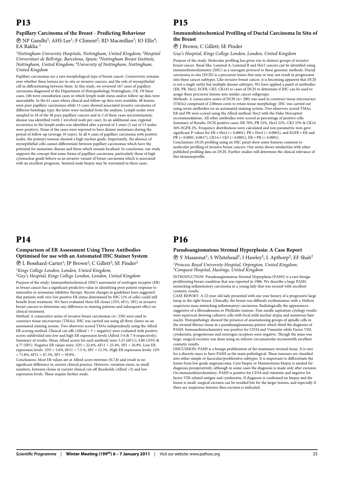# **P13**

**Papillary Carcinoma of the Breast - Predicting Behaviour**

P NP Gandhi1; AHS Lee1; F Climent2; RD Macmillan3; IO Ellis4; EA Rakha<sup>1</sup>

*1Nottingham University Hospitals, Nottingham, United Kingdom; 2Hospital Universitari de Bellvitge, Barcelona, Spain; 3Nottingham Breast Institute, Nottingham, United Kingdom; 4University of Nottingham, Nottingham, United Kingdom*

Papillary carcinomas are a rare morphological type of breast cancer. Controversy remains over whether these lesions are in-situ or invasive cancers, and the role of myoepithelial cell in differentiating between them. In this study, we reviewed 167 cases of papillary carcinoma diagnosed at the Department of Histopathology Nottingham, UK. Of these cases, 106 were consultation cases in which lymph node status and/or follow-up data were unavailable. In the 61 cases where clinical and follow-up data were available, 48 lesions were pure papillary carcinomas while 13 cases showed associated invasive carcinoma of different histologic type; the latter were excluded from the analysis. Lymph nodes were sampled in 18 of the 48 pure papillary cancers and in 3 of these cases micrometastatic disease was identified (with 1 involved node per case). In an additional case, regional recurrence in the lymph nodes was identified after a period of 2 years (2 out of 13 nodes were positive). None of the cases were reported to have distant metastases during the period of follow-up (average 10 years). In all 4 cases of papillary carcinoma with positive nodes, the primary tumour showed a high nuclear grade. Importantly, the absence of myoepithelial cells cannot differentiate between papillary carcinomas which have the potential for metastatic disease and those which remain localised. In conclusion, our study supports the concept that some forms of papillary carcinoma, particularly those of high cytonuclear grade behave as an invasive variant of breast carcinoma which is associated with an excellent prognosis. Sentinel node biopsy may be warranted in these cases.

# **P15**

#### **Immunohistochemical Profiling of Ductal Carcinoma In Situ of the Breast**

#### P J Brown; C Gillett; SE Pinder

*Guy's Hospital, Kings College London, London, United Kingdom*

Purpose of the study: Molecular profiling has given rise to distinct groups of invasive breast cancer. Basal-like, Luminal A, Luminal B and Her2 cancers can be identified using immunohistiochemistry (IHC) as a surrogate protocol to these genomic methods. Ductal carcinoma in situ (DCIS) is a precursor lesion that may or may not result in progression into these cancer subtypes. Like invasive breast cancer, it is becoming apparent that DCIS is not a single entity but multiple disease subtypes. We have applied a panel of antibodies (ER, PR, Her2, EGFR, CK5, CK14) to cases of DCIS to determine if IHC can be used to assign these precursor lesions into similar cancer subgroups.

Methods: A consecutive series of DCIS ( $n= 280$ ) was used to construct tissue microarrays (TMAs) comprised of 2.00mm cores to retain tissue morphology. IHC was carried out using seven antibodies on an automated staining system. Two observers scored TMAs. ER and PR were scored using the Allred method, Her2 with the Dako Herceptest recommendations. All other antibodies were scored as percentage of positive cells. Summary of Results: DCIS positive cases: ER 70%, PR 52%, Her2 22%, CK5 33% & CK14 36% EGFR 2%. Frequency distributions were calculated and non parametric tests gave significant P-values for ER v Her2 (< 0.0001), PR v Her2 (< 0.0001), and EGFR v ER and PR (< 0.0001, 0.0017), CK14 v Ck5 (< 0.0001), ER v PR (< 0.0001).

Conclusions: DCIS profiling using an IHC panel show some features common to molecular profiling of invasive breast cancers. Our series shows similarities with other published profiling data on DCIS. Further studies will determine the clinical relevance of this immunoprofile.

# P14

#### **Comparison of ER Assessment Using Three Antibodies Optimised for use with an Automated IHC Stainer System**

P L Bosshard-Carter1; JP Brown2; C Gillett2; SE Pinder2

*1Kings College London, London, United Kingdom;* 

*2Guy's Hospital, Kings College London, London, United Kingdom* Purpose of the study: Immunohistochemical (IHC) assessment of oestrogen receptor (ER) in breast cancer has a significant predictive value in identifying poor patient response to tamoxifen or aromatase inhibitor therapy. Recent changes in guidelines have suggested that patients with very low positive ER status determined by IHC (1% of cells) could still benefit from treatment. We have evaluated three ER clones (1D5, 6F11, SP1) in invasive breast cancers to determine any difference in staining patterns and subsequent effect on clinical treatment.

Method: A consecutive series of invasive breast carcinomas (n= 250) were used to construct tissue microarrays (TMAs). IHC was carried out using all three clones on an automated staining system. Two observers scored TMAs independently using the Allred ER scoring method. Clinical cut-offs (Allred < 3 = negative) were evaluated with positive scores subdivided into low and high ER expression levels (Allred 3-6 & 7-8 respectively). Summary of results. Mean Allred scores for each antibody were 5.23 (6F11), 4.80 (1D5) & 4.77 (SP1). Negative ER values were: 1D5 = 22.6%, 6F11 = 25.4%, SP1 = 26.9%. Low ER expression levels:  $1D5 = 5.6$ %,  $6F11 = 7.3$ %,  $SP1 = 13.3$ %. High ER expression levels:  $1D5$  $= 71.8\%, 6F11 = 67.3\%, SP1 = 59.8\%$ .

Conclusions: Most ER values are at Allred score extremes (0,7,8) and result in no significant difference in current clinical practice. However, variation exists, in small numbers, between clones at current clinical cut-off thresholds (Allred <3) and low expression levels. These require further study.

# P16

#### **Pseudoangiomatous Stromal Hyperplasia: A Case Report**

 $\textcircled{P}$  Y Masannat<sup>1</sup>; S Whitehead<sup>2</sup>; I Hawley<sup>2</sup>; L Apthorp<sup>2</sup>; EF Shah<sup>2</sup>

*1Princess Royal University Hospital, Orpington, United Kingdom; 2Conquest Hospital, Hastings, United Kingdom*

INTRODUCTION: Pseudoangiomatous Stromal Hyperplasia (PASH) is a rare benign proliferating breast condition that was reported in 1986. We describe a large PASH, mimicking inflammatory carcinoma in a young lady that was excised with excellent cosmetic results.

CASE REPORT: A 22-year-old lady presented with one year history of a progressive large lump in the right breast. Clinically, the breast was diffusely erythematous with a 10x8cm suspicious mass mimicking inflammatory carcinoma. Radiologically the appearances suggestive of a fibroadenoma or Phyllodes tumour. Fine needle aspiration cytology results were equivocal showing cohesive cells with focal mild nuclear atypia and numerous bare nuclei. Histopathology showed the presence of anastomosing groups of spindle cells in the stromal fibrous tissue in a pseudoangiomatous pattern which fitted the diagnosis of PASH. Immunohistochemistry was positive for CD34 and Vimentin while Factor VIII, cytokeratin, progesterone and oestrogen receptors were negative. Though the mass was large, surgical excision was done using an inferior circumareolar incisionwith excellent cosmetic results.

DISCUSSION: PASH is a benign proliferation of the mammary stromal tissue. It is rare for a discrete mass to have PASH as the main pathological. These tumours are classified into either simple or fascicular/proliferative subtypes. It is important to differentiate the lesion from low grade angiosarcoma. Core biopsy or Mammotome biopsy is needed for diagnosis preoperatively, although in some cases the diagnosis is made only after excision. On immunohistochemistry, PASH is positive for CD34 and vimentin and negative for factor VIII-related antigen and cytokeratin. If diagnosis is confirmed on biopsy and the lesion is small, surgical excision can be avoided but for the larger lesions, and especially if there are suspicious features then excision is indicated.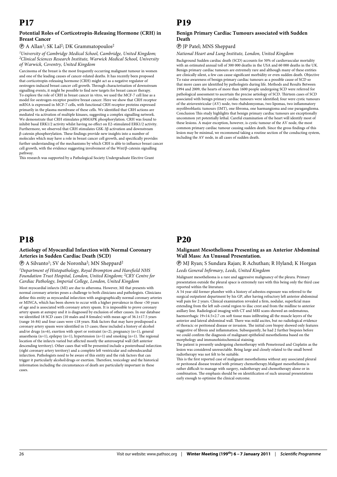#### Potential Roles of Corticotropin-Releasing Hormone (CRH) in **Breast Cancer**

#### $\textcircled{P}$  A Allan<sup>1</sup>; SK Lal<sup>2</sup>; DK Grammatopoulos<sup>2</sup>

*1University of Cambridge Medical School, Cambridge, United Kingdom; 2Clinical Sciences Research Institute, Warwick Medical School, University of Warwick, Coventry, United Kingdom*

Carcinoma of the breast is the most frequently occurring malignant tumour in women and one of the leading causes of cancer-related deaths. It has recently been proposed that corticotropin-releasing hormone (CRH) might act as a negative regulator of oestrogen-induced breast cancer cell growth. Through characterisation of downstream signalling events, it might be possible to find new targets for breast cancer therapy. To explore the role of CRH in breast cancer in vitro, we used the MCF-7 cell line as a model for oestrogen-receptor positive breast cancer. Here we show that CRH receptor mRNA is expressed in MCF-7 cells, with functional CRH receptor proteins expressed primarily in the plasma membrane of these cells. We identified that CRH actions are mediated via activation of multiple kinases, suggesting a complex signalling network. We demonstrate that CRH stimulates p38MAPK phosphorylation. CRH was found to inhibit basal ERK1/2 activity whilst having no effect on E2-stimulated ERK1/2 activity. Furthermore, we observed that CRH stimulates GSK-3β activation and downstream β-catenin phosphorylation. These findings provide new insights into a number of molecules which may have a role in breast cancer cell growth, and specifically provides further understanding of the mechanisms by which CRH is able to influence breast cancer cell growth, with the evidence suggesting involvement of the Wnt/β-catenin signalling pathway.

This research was supported by a Pathological Society Undergraduate Elective Grant

# P19

#### **Benign Primary Cardiac Tumours associated with Sudden Death**

#### P JP Patel; MNS Sheppard

#### *National Heart and Lung Institute, London, United Kingdom*

Background Sudden cardiac death (SCD) accounts for 50% of cardiovascular mortality with an estimated annual toll of 300 000 deaths in the USA and 60 000 deaths in the UK. Benign primary cardiac tumours are extremely rare and although many of these entities are clinically silent, a few can cause significant morbidity or even sudden death. Objective To raise awareness of benign primary cardiac tumours as a possible cause of SCD so that more cases are identified by pathologists during life. Methods and Results Between 1994 and 2009, the hearts of more than 1600 people undergoing SCD were referred for pathological assessment to ascertain the precise aetiology of SCD. Thirteen cases of SCD associated with benign primary cardiac tumours were identified; four were cystic tumours of the atrioventricular  $(AV)$  node, two rhabdomyomas, two lipomas, two inflammatory myofibroblastic tumours (IMT), one fibroma, one haemangioma and one paraganglioma. Conclusion This study highlights that benign primary cardiac tumours are exceptionally uncommon yet potentially lethal. Careful examination of the heart will identify most of these lesions. A major exception, however, is cystic tumour of the AV node, the most common primary cardiac tumour causing sudden death. Since the gross findings of this lesion may be minimal, we recommend taking a routine section of the conducting system, including the AV node, in all cases of sudden death.

# P18

#### **Aetiology of Myocardial Infarction with Normal Coronary Arteries in Sudden Cardiac Death (SCD)**

#### $\textcircled{P}$  A Silvanto<sup>1</sup>; SV de Noronha<sup>2</sup>; MN Sheppard<sup>2</sup>

*1Department of Histopathology, Royal Brompton and Harefield NHS Foundation Trust Hospital, London, United Kingdom; 2CRY Centre for Cardiac Pathology, Imperial College, London, United Kingdom*

Most myocardial infarcts (MI) are due to atheroma. However, MI that presents with normal coronary arteries poses a challenge to both clinicians and pathologists. Clinicians define this entity as myocardial infarction with angiographically normal coronary arteries or MINCA, which has been shown to occur with a higher prevalence in those <50 years of age and is associated with coronary artery spasm. It is impossible to prove coronary artery spasm at autopsy and it is diagnosed by exclusion of other causes. In our database we identified 18 SCD cases (10 males and 8 females) with mean age of 36.1±17.5 years (range 16-84) and four cases were ≤18 years. Risk factors that may have predisposed a coronary artery spasm were identified in 13 cases; these included a history of alcohol and/or drugs (n=6), exertion with sport or restraint (n=2), pregnancy (n=1), general anaesthesia (n=1), epilepsy (n=1), hypertension (n=1) and smoking (n=1). The regional location of the infarcts varied but affected mostly the anteroseptal wall (left anterior descending territory). Other cases that will be presented include a posterobasal infarction (right coronary artery territory) and a complete left ventricular and subendocardial infarction. Pathologists need to be aware of this entity and the risk factors that can trigger it particularly alcohol/drugs or exertion. Therefore, toxicology and the historical information including the circumstances of death are particularly important in these cases.

# P20

#### **Malignant Mesothelioma Presenting as an Anterior Abdominal Wall Mass: An Unusual Presentation.**

#### P MJ Ryan; S Sundara Rajan; R Achuthan; R Hyland; K Horgan

*Leeds General Infirmary, Leeds, United Kingdom*

Malignant mesothelioma is a rare and aggressive malignancy of the pleura. Primary presentation outside the pleural space is extremely rare with this being only the third case reported within the literature.

A 54 year old former plumber with a history of asbestos exposure was referred to the surgical outpatient department by his GP, after having refractory left anterior abdominal wall pain for 2 years. Clinical examination revealed a firm, nodular, superficial mass extending from the left sub-costal region to iliac crest and from the midline to anterior axillary line. Radiological imaging with CT and MRI scans showed an oedematous, haemorrhagic 19×14.5×2.7 cm soft tissue mass infiltrating all the muscle layers of the anterior and lateral abdominal wall. There was mild ascites, but no radiological evidence of thoracic or peritoneal disease or invasion. The initial core biopsy showed only features suggestive of fibrois and inflammation. Subsequently, he had 2 further biopsies before we could confirm the diagnosis of malignant epitheloid mesothelioma based on the morphology and immunohistochemical staining.

The patient is presently undergoing chemotherapy with Pemetrexed and Cisplatin as the lesion was considered unresectable. Being large and closely related to the small bowel radiotherapy was not felt to be suitable.

This is the first reported case of malignant mesothelioma without any associated pleural or peritoneal disease treated with primary chemotherapy.Maligant mesothelioma is rather difficult to manage with surgery, radiotherapy and chemotherapy alone or in combination. The emphasis should be on identification of such unusual presentations early enough to optimise the clinical outcome.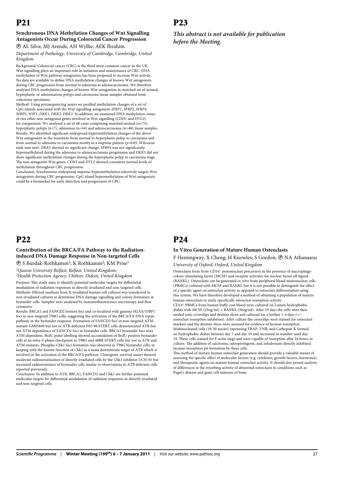### **Synchronous DNA Methylation Changes of Wnt Signalling Antagonists Occur During Colorectal Cancer Progression**

P AL Silva; MJ Arends; AH Wyllie; AEK Ibrahim

*Department of Pathology, University of Cambridge, Cambridge, United Kingdom*

Background: Colorectal cancer (CRC) is the third most common cancer in the UK. Wnt signalling plays an important role in initiation and maintenance of CRC. DNA methylation of Wnt pathway antagonists has been proposed to increase Wnt activity. No data are available to define DNA methylation changes of known Wnt antagonists during CRC progression from normal to adenoma to adenocarcinoma. We therefore analysed DNA methylation changes of known Wnt antagonists in matched set of normal, hyperplastic or adenomatous polyps and carcinoma tissue samples obtained from colectomy specimens.

Method: Using pyrosequencing assays we profiled methylation changes of a set of CpG islands associated with the Wnt signalling antagonists *SFRP1*, *SFRP2*, *SFRP4*, *SFRP5*, *WIF1*, *DKK1*, *DKK2*, *DKK3*. In addition, we examined DNA methylation status of two other non-antagonist genes involved in Wnt siganlling (*CDH1* and *DVL2*) for comparison. We analysed a set of 48 cases comprising matched normal (n=73), hyperplastic polyps (n=7), adenomas (n=44) and adenocarcinoma (n=48) tissue samples. Results: We identified significant widespread hypermethylation changes of the above Wnt antagonists in the transition from normal to hyperplastic polyp to carcinoma and from normal to adenoma to carcinoma mostly in a stepwise pattern (*p*<0.05, Wilcoxon rank sum test). *DKK1* showed no significant change, SFRP4 was not significantly hypermethylated during the adenoma to adenocarcinoma progression and *DKK3* did not show significant methylation changes during the hyperplastic polyp to carcinoma stage. The non-antagonist Wnt genes, *CDH1* and *DVL2* showed consistent normal levels of methylation throughout CRC progression.

Conclusion: Synchronous widespread stepwise hypermethylation selectively targets Wnt antagonists during CRC progression. CpG island hypermethylation of Wnt antagonists could be a biomarker for early detection and progression of CRC.

# P22

#### **Contribution of the BRCA/FA Pathway to the Radiationinduced DNA Damage Response in Non-targeted Cells**

P S Burdak-Rothkamm1; K Rothkamm2; KM Prise1

#### *1Queens University Belfast, Belfast, United Kingdom;*

*2Health Protection Agency, Chilton, Didcot, United Kingdom* Purpose: This study aims to identify potential molecular targets for differential modulation of radiation responses in directly irradiated and non-targeted cells. Methods: Filtered medium from X-irradiated human cell cultures was transferred to non-irradiated cultures to determine DNA damage signalling and colony formation in bystander cells. Samples were analysed by immunofluorescence microscopy and flow cytometry.

Results: BRCA1 and FANCD2 formed foci and co-localised with gamma-H2AX/53BP1 foci in non-targeted T98G cells, suggesting the activation of the BRCA/FA DNA repair pathway in the bystander response. Formation of FANCD2 foci in non-targeted ATMmutant GM05849 but not in ATR-deficient F02-98 hTERT cells demonstrated ATR but not ATM dependency of FANCD2 foci in bystander cells. BRCA1 bystander foci were ATM dependent. BrdU pulse labelling showed accumulation of BrdU positive bystander cells at an intra-S-phase checkpoint in T98G and 48BR hTERT cells but not in ATR and ATM mutants. Phospho-Chk1 foci formation was observed in T98G bystander cells, in keeping with the known function of Chk1 as a main downstream target of ATR which is involved in the activation of the BRCA/FA pathway. Clonogenic survival assays showed moderate radiosensitisation of directly irradiated cells by the Chk1 inhibitor UCN-01 but increased radioresistance of bystander cells similar to observations in ATR deficient cells reported previously.

Conclusion: In addition to ATR, BRCA1, FANCD2 and Chk1 are further potential molecular targets for differential modulation of radiation responses in directly irradiated and non-targeted cells.

*This abstract is not available for publication before the Meeting.*

# P24

#### **In Vitro Generation of Mature Human Osteoclasts**

F Hemingway; X Cheng; H Knowles; S Gordon;  $\Theta$  NA Athanasou *University of Oxford, Oxford, United Kingdom*

Osteoclasts form from CD14<sup>+</sup> mononuclear precursors in the presence of macrophage-

colony stimulating factor (MCSF) and receptor activator for nuclear factor κB ligand (RANKL). Osteoclasts can be generated *in vitro* from peripheral blood mononuclear cells (PBMCs) cultured with MCSF and RANKL but it is not possible to distinguish the effect of a specific agent on osteoclast activity as opposed to osteoclast differentiation using this system. We have therefore developed a method of obtaining a population of mature human osteoclasts to study specifically osteoclast resorption activity. CD14+ PBMCs from human buffy coat blood were cultured on Lumox hydrophobic dishes with MCSF (25ng/ml) + RANKL (50ng/ml). After 19 days the cells were then seeded onto coverslips and dentine slices and cultured for a further 1-4 days (+/ osteoclast resorption inhibitors). After culture the coverslips were stained for osteoclast markers and the dentine slices were assessed for evidence of lacunar resorption. Multinucleated cells (10-50 nuclei) expressing TRAP, VNR, and Cathepsin K formed on hydrophobic dishes between day 7 and day 10 and increased in number until day 19. These cells stained for F-actin rings and were capable of resorption after 24 hours in culture. The addition of calcitonin, osteoprotegerin, and zoledronate directly inhibited lacunar resorption pit formation by these cells.

This method of mature human osteoclast generation should provide a valuable means of assessing the specific effect of molecular factors (e.g. cytokines, growth factors, hormones) and therapeutic agents on mature human osteoclast activity. It should also permit analysis of differences in the resorbing activity of abnormal osteoclasts in conditions such as Paget's disease and giant cell tumours of bone.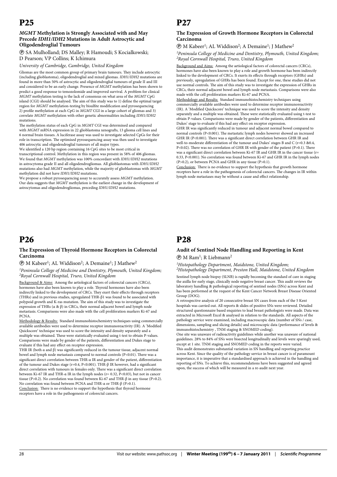#### *MGMT* **Methylation is Strongly Associated with and May Precede** *IDH1/IDH2* **Mutations in Adult Astrocytic and Oligodendroglial Tumours**

#### P SA Mulholland; DS Malley; R Hamoudi; S Kocialkowski; D Pearson; VP Collins; K Ichimura

#### *University of Cambridge, Cambridge, United Kingdom*

Gliomas are the most common group of primary brain tumours. They include astrocytic (including glioblastoma), oligodendroglial and mixed gliomas. *IDH1/IDH2* mutations are found in more than 50% of astrocytic and oligodendroglial tumours of grade II and III and considered to be an early change. Presence of *MGMT* methylation has been shown to predict a good response to temozolomide and improved survival. A problem for clinical *MGMT* methylation testing is the lack of consensus on what area of the *MGMT* CpG island (CGI) should be analysed. The aim of this study was to 1) define the optimal target region for *MGMT* methylation-testing by bisulfite modification and pyrosequencing 2) profile methylation at each CpG in *MGMT* CGI in a large cohort of gliomas and 3) correlate *MGMT* methylation with other genetic abnormalities including *IDH1/IDH2* mutations.

The methylation status of each CpG in *MGMT* CGI was determined and compared with *MGMT* mRNA expression in 22 glioblastoma xenografts, 13 glioma cell lines and 6 normal brain tissues. A luciferase assay was used to investigate selected CpGs for their role in transcription. The optimised pyrosequencing assay was then used to investigate 406 astrocytic and oligodendroglial tumours of all major types.

We identified a 120 bp region containing 16 CpG sites to be most critical in transcriptional control. Methylation in this region was present in 58% of 406 gliomas. We found that *MGMT* methylation was 100% concordant with *IDH1/IDH2* mutations in astrocytoma grade II and all oligodendrogliomas. All glioblastomas with *IDH1/IDH2* mutations also had *MGMT* methylation, while the majority of glioblastomas with *MGMT* methylation did not have *IDH1/IDH2* mutations.

We propose a robust pyrosequencing assay to accurately assess *MGMT* methylation. Our data suggests that *MGMT* methylation is the earliest change in the development of astrocytomas and oligodendrogliomas, preceding *IDH1/IDH2* mutations.

# P26

#### **The Expression of Thyroid Hormone Receptors in Colorectal Carcinoma**

#### $\textcircled{P}$  M Kabeer<sup>1</sup>; AL Widdison<sup>2</sup>; A Demaine<sup>1</sup>; J Mathew<sup>2</sup>

*1Peninsula College of Medicine and Dentistry, Plymouth, United Kingdom; 2Royal Cornwall Hospital, Truro, United Kingdom*

Background & Aims: Among the aetiological factors of colorectal cancers (CRCs), hormones have also been known to play a role. Thyroid hormones have also been indirectly linked to the development of CRCs. They exert their effects through receptors (THRs) and in previous studies, upregulated THR-β1 was found to be associated with polypoid growth and K-ras mutation. The aim of this study was to investigate the expression of THRs ( $\alpha$  &  $\beta$ ) in CRCs, their normal adjacent bowel and lymph node metastasis. Comparisons were also made with the cell proliferation markers Ki-67 and PCNA.

Methodology & Results: Standard immunohistochemistry techniques using commercially available antibodies were used to determine receptor immunoreactivity (IR). A 'Modified Quickscore' technique was used to score the intensity and density separately and a multiple was obtained. These were statistically evaluated using t-test to obtain P-values. Comparisons were made by gender of the patients, differentiation and Dukes stage to evaluate if this had any effect on receptor expression.

THR IR (both  $\alpha$  and  $\beta$ ) was significantly reduced in the tumour tissue, adjacent normal bowel and lymph node metastasis compared to normal controls (P<0.01). There was a significant direct correlation between THR-α IR and gender of the patient, differentiation of the tumour and Dukes stage (r=0.4, P<0.001). THR-β IR however, had a significant direct correlation with tumours in females only. There was a significant direct correlation between Ki-67 IR and THR-α IR in the lymph nodes (r= 0.32, P<0.03), but not in cancer tissue (P>0.2). No correlation was found between Ki-67 and THR-β in any tissue (P>0.2). No correlation was found between PCNA and THR-α or THR-β (P>0.1). Conclusion: There is no evidence to support the hypothesis that thyroid hormone receptors have a role in the pathogenesis of colorectal cancers.

# P<sub>27</sub>

#### **The Expression of Growth Hormone Receptors in Colorectal Carcinoma**

#### $\textcircled{P}$  M Kabeer<sup>1</sup>; AL Widdison<sup>2</sup>; A Demaine<sup>1</sup>; J Mathew<sup>2</sup>

*1Peninsula College of Medicine and Dentistry, Plymouth, United Kingdom; 2Royal Cornwall Hospital, Truro, United Kingdom*

Background and Aims: Among the aetiological factors of colorectal cancers (CRCs), hormones have also been known to play a role and growth hormone has been indirectly linked to the development of CRCs. It exerts its effects through receptors (GHRs) and previously, upregulation of GHRs has been found. Except for one, these studies did not use normal controls. The aim of this study was to investigate the expression of GHRs in CRCs, their normal adjacent bowel and lymph node metastasis. Comparisons were also made with the cell proliferation markers Ki-67 and PCNA.

Methodology and Results: Standard immunohistochemistry techniques using commercially available antibodies were used to determine receptor immunoreactivity (IR). A 'Modified Quickscore' technique was used to score the intensity and density separately and a multiple was obtained. These were statistically evaluated using t-test to obtain P-values. Comparisons were made by gender of the patients, differentiation and Dukes' stage to evaluate if this had any effect on receptor expression.

GHR IR was significantly reduced in tumour and adjacent normal bowel compared to normal controls (P<0.001). The metastatic lymph nodes however showed an increased GHR IR (P<0.001). There was a significant direct correlation between GHR IR and well-to-moderate differentiation of the tumour and Dukes' stages B and C (r=0.3 &0.4, P<0.02). There was no correlation of GHR IR with gender of the patient (P>0.1). There was a significant direct correlation between Ki-67 IR and GHR IR in the cancer tissue (r= 0.33, P<0.001). No correlation was found between Ki-67 and GHR IR in the lymph nodes (P>0.2), or between PCNA and GHR in any tissue (P>0.1).

Conclusion: There is no evidence to support the hypothesis that growth hormone receptors have a role in the pathogenesis of colorectal cancers. The changes in IR within lymph node metastases may be without a cause and effect relationship.

# P28

### **Audit of Sentinel Node Handling and Reporting in Kent**

P M Ram1; R Liebmann2

#### *1Histopathology Department, Maidstone, United Kingdom;*

*2Histopathology Department, Preston Hall, Maidstone, United Kingdom* Sentinel lymph node biopsy (SLNB) is rapidly becoming the standard of care in staging the axilla for early stage, clinically node negative breast cancer. This audit reviews the laboratory handling & pathological reporting of sentinel nodes (SNs) across Kent and has been performed at the request of the Kent Cancer Network Breast Disease Oriented Group (DOG).

A retrospective analysis of 20 consecutive breast SN cases from each of the 5 Kent hospitals was carried out. All reports & slides of positive SNs were reviewed. Detailed structured questionnaire based enquiries to lead breast pathologists were made. Data was extracted in Microsoft Excel & analysed in relation to the standards. All aspects of the pathology service were examined, including macroscopic data (number of SNs / case, dimensions, sampling and slicing details) and microscopic data (performance of levels & immunohistochemistry , TNM staging & SNOMED coding).

One site was unaware of radioactivity guidelines while another was unaware of national guidelines. 28% to 84% of SNs were bisected longitudinally and levels were sparingly used, except at 1 site. TNM staging and SNOMED coding in the reports were varied. This audit demonstrates substantial variation in SN handling and reporting practice across Kent. Since the quality of the pathology service in breast cancer is of paramount importance, it is imperative that a standardised approach is achieved in the handling and reporting of SNs. To achieve this, recommendations have been suggested and agreed upon, the success of which will be measured in a re-audit next year.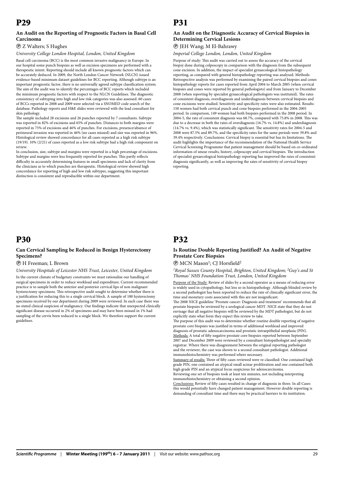#### **An Audit on the Reporting of Prognostic Factors in Basal Cell Carcinoma**

### P Z Walters; S Hughes

#### *University College London Hospital, London, United Kingdom*

Basal cell carcinoma (BCC) is the most common invasive malignancy in Europe. In our hospital some punch biopsies as well as excision specimens are performed with a therapeutic intent. Reporting should include all known prognostic factors which can be accurately deduced. In 2009, the North London Cancer Network (NLCN) issued evidence-based minimum dataset guidelines for BCC reporting. Although subtype is an important prognostic factor, there is no universally agreed subtype classification system. The aim of the audit was to identify the percentages of BCC reports which included the minimum prognostic factors with respect to the NLCN Guidelines. The diagnostic consistency of subtyping into high and low risk categories was also assessed. 60 cases of BCCs reported in 2008 and 2009 were selected via a SNOMED code search of the database. Pathology reports and H&E slides were reviewed with the lead consultant for skin pathology.

The sample included 28 excisions and 26 punches reported by 7 consultants. Subtype was reported in 82% of excisions and 65% of punches. Distances to both margins were reported in 75% of excisions and 46% of punches. For excisions, presence/absence of perineural invasion was reported in 46% (no cases missed) and size was reported in 96%. Histological review showed concordance for all cases reported as a high risk subtype (19/19). 10% (2/21) of cases reported as a low risk subtype had a high risk component on review.

In conclusion, size, subtype and margins were reported in a high percentage of excisions. Subtype and margins were less frequently reported for punches. This partly reflects difficulty in accurately determining features in small specimens and lack of clarity from the clinicians as to which punches are therapeutic. Histological review showed high concordance for reporting of high and low risk subtypes, suggesting this important distinction is consistent and reproducible within our department.

# P30

#### **Can Cervical Sampling be Reduced in Benign Hysterectomy Specimens?**

#### P H Freeman; L Brown

*University Hospitals of Leicester NHS Trust, Leicester, United Kingdom* In the current climate of budgetary constraints we must rationalise our handling of surgical specimens in order to reduce workload and expenditure. Current recommended practice is to sample both the anterior and posterior cervical lips of non malignant hysterectomy specimens. This retrospective audit sought to determine whether there is a justification for reducing this to a single cervical block. A sample of 100 hysterectomy specimens received by our department during 2009 were reviewed. In each case there was no stated clinical suspicion of malignancy. Our findings indicate that unexpected clinically significant disease occurred in 2% of specimens and may have been missed in 1% had sampling of the cervix been reduced to a single block. We therefore support the current guidelines.

### **An Audit on the Diagnostic Accuracy of Cervical Biopsies in Determining Cervical Lesions**

### P JEH Wang; M El-Bahrawy

#### *Imperial College London, London, United Kingdom*

Purpose of study: This audit was carried out to assess the accuracy of the cervical biopsy done during colposcopy in comparison with the diagnosis from the subsequent cone excision. In addition, the impact of specialist gynaecological histopathology reporting, as compared with general histopathology reporting was analysed. Methods: Retrospective analysis was performed by examining the paired cervical biopsies and cones histopathology reports for cases reported from April 2004 to March 2005 (when cervical biopsies and cones were reported by general pathologists) and from January to December 2008 (when reporting by specialist gynaecological pathologists was instituted). The rates of consistent diagnosis, overdiagnosis and underdiagnosis between cervical biopsies and cone excisions were studied. Sensitivity and specificity rates were also estimated. Results: 150 women had both cervical punch and cone biopsies performed in the 2004-2005 period. In comparison, 149 women had both biopsies performed in the 2008 period. In 2004-5, the rate of consistent diagnosis was 68.7%, compared with 75.8% in 2008. This was due to a decrease in both the rates of overdiagnosis (16.7% vs. 14.8%) and underdiagnosis (14.7% vs. 9.4%), which was statistically significant. The sensitivity rates for 2004-5 and 2008 were 87.5% and 89.7%, and the specificity rates for the same periods were 39.8% and 39.4% respectively. Conclusions: Cervical biopsy is essential but has its limitations. The audit highlights the importance of the recommendation of the National Health Service Cervical Screening Programme that patient management should be based on co-ordinated information of smear results, history, colposcopy and cervical biopsies. The introduction of specialist gynaecological histopathology reporting has improved the rates of consistent diagnosis significantly, as well as improving the rates of sensitivity of cervical biopsy reporting.

# P32

#### **Is Routine Double Reporting Justified? An Audit of Negative Prostate Core Biopsies**

#### $\textcircled{P}$  MCN Mason<sup>1</sup>; CJ Horsfield<sup>2</sup>

*1Royal Sussex County Hospital, Brighton, United Kingdom; 2Guy's and St Thomas' NHS Foundation Trust, London, United Kingdom*

Purpose of the Study: Review of slides by a second operator as a means of reducing error is widely used in cytopathology, but less so in histopathology. Although blinded review by a second pathologist has been reported to reduce the rate of clinically significant error, the time and monetary costs associated with this are not insignificant.

The 2008 NICE guideline 'Prostate cancer: Diagnosis and treatment' recommends that all prostate biopsies be reviewed by a urological cancer MDT. NICE state that they do not envisage that all negative biopsies will be reviewed by the MDT pathologist, but do not explicitly state what form they expect this review to take.

The purpose of this audit was to determine whether routine double reporting of negative prostate core biopsies was justified in terms of additional workload and improved diagnosis of prostatic adenocarcinoma and prostatic intraepithelial neoplasia (PIN). Methods: A total of fifty negative prostate core biopsies reported between September 2007 and December 2009 were reviewed by a consultant histopathologist and specialty registrar. Where there was disagreement between the original reporting pathologist and the reviewer, the case was shown to a second consultant pathologist. Additional immunohistochemistry was performed where necessary.

Summary of results: Three of fifty cases reviewed were re-classified: One contained high grade PIN, one contained an atypical small acinar proliferation and one contained both high grade PIN and an atypical focus suspicious for adenocarcinoma.

Reviewing one set of biopsies took at least ten minutes, not including interpreting immunohistochemistry or obtaining a second opinion.

Conclusions: Review of fifty cases resulted in change of diagnosis in three. In all Cases this would potentially have changed patient management. However double reporting is demanding of consultant time and there may be practical barriers to its institution.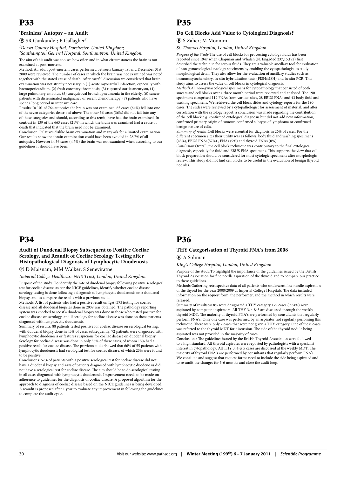#### **'Brainless' Autopsy – an Audit**

P SR Gankande1; P Gallagher2

*1Dorset County Hospital, Dorchester, United Kingdom; 2Southampton General Hospital, Southampton, United Kingdom*

The aim of this audit was too see how often and in what circumstances the brain is not examined at post-mortem.

Method: All adult post-mortem cases performed between January 1st and December 31st 2009 were reviewed. The number of cases in which the brain was not examined was noted together with the stated cause of death. After careful discussion we considered that brain examination was not strictly necessary in (1) acute myocardial infarction, especially with haemopericardium, (2) fresh coronary thrombosis, (3) ruptured aortic aneurysm, (4) large pulmonary embolus, (5) unequivocal bronchopneumonia in the elderly, (6) cancer patients with disseminated malignancy or recent chemotherapy, (7) patients who have spent a long period in intensive care.

Results: In 101 of 764 autopsies the brain was not examined. 65 cases (64%) fell into one of the seven categories described above. The other 36 cases (36%) did not fall into any of these categories and should, according to this remit, have had the brain examined. In contrast in 139 of the 663 cases (21%) in which the brain was examined had a cause of death that indicated that the brain need not be examined.

Conclusion: Relatives dislike brain examination and many ask for a limited examination. Our results show that brain examination could have been avoided in 26.7% of all autopsies. However in 36 cases (4.7%) the brain was not examined when according to our guidelines it should have been.

# **P35**

#### **Do Cell Blocks Add Value to Cytological Diagnosis?**

P S Zaher; M Moonim

#### *St. Thomas Hospital, London, United Kingdom*

*Purpose of the Study*:The use of cell blocks for processing cytology fluids has been reported since 1947 when Chapman and Whalen (N. Eng.Med 237;15,192) first described the technique for serous fluids. They are a valuable ancillary tool for evaluation of non-gynaecological cytology specimens by enabling the cytopathologist to study morphological detail. They also allow for the evaluation of ancillary studies such as immunocytochemistry, in-situ hybridisation tests (FISH/cISH) and in-situ PCR. This study aims to assess the value of cell blocks in cytological diagnosis.

*Methods:*All non-gynaecological specimens for cytopathology that consisted of both smears and cell blocks over a three month period were reviewed and analysed. The 190 specimens comprised 119 FNAs from various sites, 28 EBUS FNAs and 43 body fluid and washing specimens. We retrieved the cell block slides and cytology reports for the 190 cases. The slides were reviewed by a cytopathologist for assessment of material, and after correlation with the cytology report, a conclusion was made regarding the contribution of the cell block e.g. confirmed cytological diagnosis but did not add new information, confirmed primary origin of tumour, confirmed subtype of lymphoma or confirmed benign nature of cells.

*Summary of results:*Cell blocks were essential for diagnosis in 26% of cases. For the different specimen sites their utility was as follows: body fluid and washing specimens (43%), EBUS FNAs(57%) , FNAs (9%) and thyroid FNAs (0%).

*Conclusion:*Overall, the cell block technique was contributory to the final cytological diagnosis, especially for fluid and EBUS FNA specimens. This supports the view that cell block preparation should be considered for most cytologic specimens after morphologic review. This study did not find cell blocks to be useful in the evaluation of benign thyroid nodules.

# P34

#### **Audit of Duodenal Biopsy Subsequent to Positive Coeliac Serology, and Reaudit of Coeliac Serology Testing after Histopathological Diagnosis of Lymphocytic Duodenosis**

### P D Maisnam; MM Walker; S Seneviratne

*Imperial College Healthcare NHS Trust, London, United Kingdom*

Purpose of the study: To identify the rate of duodenal biopsy following positive serological test for coeliac disease as per the NICE guidelines, identify whether coeliac disease serology testing is done following a diagnosis of lymphocytic duodenosis on a duodenal biopsy, and to compare the results with a previous audit.

Methods: A list of patients who had a positive result on IgA tTG testing for coeliac disease and all duodenal biopsies done in 2009 was obtained. The pathology reporting system was checked to see if a duodenal biopsy was done in those who tested positive for coeliac disease on serology, and if serology for coeliac disease was done on those patients diagnosed with lymphocytic duodenosis.

Summary of results: 88 patients tested positive for coeliac disease on serological testing, with duodenal biopsy done in 43% of cases subsequently. 72 patients were diagnosed with lymphocytic duodenosis or features suspicious for coeliac disease on duodenal biopsy. Serology for coeliac disease was done in only 56% of these cases, of whom 15% had a positive result for coeliac disease. The previous audit showed that 66% of 55 patients with lymphocytic duodenosis had serological test for coeliac disease, of which 23% were found to be positive.

Conclusions: 57% of patients with a positive serological test for coeliac disease did not have a duodenal biopsy and 44% of patients diagnosed with lymphocytic duodenosis did not have a serological test for coeliac disease. The aim should be to do serological testing in all cases diagnosed with lymphocytic duodenosis. Improvement needs to be made on adherence to guidelines for the diagnosis of coeliac disease. A proposed algorithm for the approach to diagnosis of coeliac disease based on the NICE guidelines is being developed. A reaudit is proposed after 1 year to evaluate any improvement in following the guidelines to complete the audit cycle.

# P36

#### **THY Categorisation of Thyroid FNA's from 2008** P A Soliman

*King's College Hospital, London, United Kingdom*

Purpose of the study:To highlight the importance of the guidelines issued by the British Thyroid Association for fine needle aspiration of the thyroid and to compare our practice to these guidelines.

Methods:Gathering retrospecitve data of all patients who underwent fine needle aspiration of the thyoid for the year 2008/2009 at Imperial College Hospitals. The data included information on the request form, the performer, and the method in which results were released.

Summary of results:98.8% were designated a THY category 179 cases (99.4%) were aspirated by competent aspirators. All THY 3, 4 & 5 are discussed through the weekly thyroid MDT. The majority of thyroid FNA's are performed by consultants that regularly perform FNA's. Only one case was performed by an aspirator not regularly perfoming this technique. There were only 2 cases that were not given a THY category. One of these cases was referred to the thyroid MDT for discussion. The side of the thyroid nodule being aspirated was not provided in the majority of cases.

Conclusions: The guidelines issued by the British Thyroid Association were followed to a high standard. All thyroid aspirates were reported by pathologists with a specialist interest in cytopathology. All THY 3, 4 & 5 cases are discussed at the weekly MDT. The majority of thyroid FNA's are performed by consultants that regularly perform FNA's. We conclude and suggest that request forms need to include the side being aspirated and to re-audit the changes for 3-6 months and close the audit loop.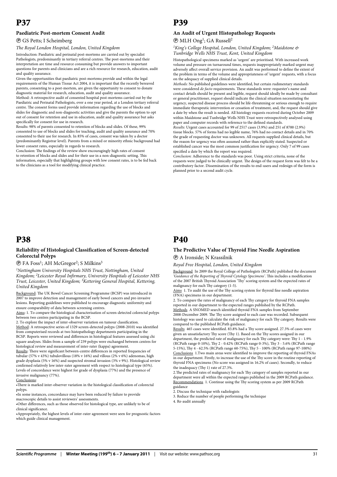#### **Paediatric Post-mortem Consent Audit**

#### P GS Petts; I Scheimberg

#### *The Royal London Hospital, London, United Kingdom*

Introduction: Paediatric and perinatal post-mortems are carried out by specialist Pathologists, predominantly in tertiary referral centres. The post-mortems and their interpretation are time and resource consuming but provide answers to important questions for parents and clinicians and are a rich resource for research, education, audit and quality assurance.

Given the opportunities that paediatric post-mortems provide and within the legal requirements of the Human Tissue Act 2004, it is important that the recently bereaved parents, consenting to a post-mortem, are given the opportunity to consent to donate diagnostic material for research, education, audit and quality assurance.

Method: A retrospective audit of consented hospital post-mortems carried out by the Paediatric and Perinatal Pathologists, over a one year period, at a London tertiary referral centre. The consent forms used provide information regarding the use of blocks and slides for diagnostic and non-diagnostic activities and give the parents the option to opt out of consent for retention and use in education, audit and quality assurance but asks specifically for consent for use in research.

Results: 98% of parents consented to retention of blocks and slides. Of these, 99% consented to use of blocks and slides for teaching, audit and quality assurance and 70% consented to their use for research. In 85% of cases, consent was taken by a doctor (predominantly Registrar level). Parents from a mixed or minority ethnic background had lower consent rates, especially in regards to research.

Conclusion: The findings of the review show encouragingly high rates of consent to retention of blocks and slides and for their use in a non-diagnostic setting. This information, especially that highlighting groups with low consent rates, is to be fed back to the clinicians as a tool for modifying clinical practice.

# P39

#### **An Audit of Urgent Histopathology Requests**

 $\textcircled{P}$  MLH Ong<sup>1</sup>; GA Russell<sup>2</sup>

*1King's College Hospital, London, United Kingdom; 2Maidstone & Tunbridge Wells NHS Trust, Kent, United Kingdom*

Histopathological specimens marked as 'urgent' are prioritised. With increased work volume and pressure on turnaround times, requests inappropriately marked urgent may adversely affect overall service provision. An audit was performed to define the extent of the problem in terms of the volume and appropriateness of 'urgent' requests, with a focus on the adequacy of supplied clinical details.

*Methods:* No published guidelines were identified, but certain rudimentary standards were considered *de facto* requirements. These standards were: requester's name and contact details should be present and legible, request should ideally be made by consultant or general practitioner, request should indicate the clinical situation necessitating the urgency, suspected disease process should be life-threatening or serious enough to require immediate therapeutic intervention or cessation of treatment, and, the request should give a date by when the result is needed. All histology requests received during October 2009 within Maidstone and Tunbridge Wells NHS Trust were retrospectively analysed using paper and computer records with reference to the defined standards.

*Results:* Urgent cases accounted for 99 of 2517 cases (3.9%) and 251 of 8700 (2.9%) tissue blocks. 57% of forms had no legible name, 76% had no contact details and in 70% the grade of requesting doctor was unknown. All requests supplied clinical details, but the reason for urgency was often assumed rather than explicitly stated. Suspected or established cancer was the most common justification for urgency. Only 7 of 99 cases specified a date by which the report was required.

*Conclusion:* Adherence to the standards was poor. Using strict criteria, none of the requests were judged to be clinically urgent. The design of the request form was felt to be a contributory factor. Dissemination of the results to end-users and redesign of the form is planned prior to a second audit cycle.

# P38

#### **Reliability of Histological Classification of Screen-detected Colorectal Polyps**

#### $\circledR$  FA Foss<sup>1</sup>; AH McGregor<sup>2</sup>; S Milkins<sup>3</sup>

*1Nottingham University Hospitals NHS Trust, Nottingham, United Kingdom; 2Leicester Royal Infirmary, University Hospitals of Leicester NHS Trust, Leicester, United Kingdom; 3Kettering General Hospital, Kettering, United Kingdom*

Background: The UK Bowel Cancer Screening Programme (BCSP) was introduced in 2007 to improve detection and management of early bowel cancers and pre-invasive lesions. Reporting guidelines were published to encourage diagnostic uniformity and ensure comparability of data between screening centres.

Aims: 1. To compare the histological characterisation of screen-detected colorectal polyps between two centres participating in the BCSP.

2. To explore the impact of inter-observer variation on tumour classification. Method: A retrospective series of 1329 screen-detected polyps (2008-2010) was identified from computerised records at two histopathology departments participating in the BCSP. Reports were reviewed and differences in histological features assessed using chi square analyses. Slides from a sample of 239 polyps were exchanged between centres for histological review and measurement of inter-rater (kappa) agreement.

Results: There were significant between-centre differences in reported frequencies of tubular (57% v 43%) tubulovillous (18% v 16%) and villous (2% v 6%) adenomas, high grade dysplasia (5% v 16%) and suspected stromal invasion (3% v 9%). Histological review confirmed relatively low inter-rater agreement with respect to histological type (65%). Levels of concordance were highest for grade of dysplasia (77%) and the presence of invasive malignancy (77%).

#### Conclusions:

•There is marked inter-observer variation in the histological classification of colorectal polyps.

•In some instances, concordance may have been reduced by failure to provide macroscopic details to assist reviewers' assessments.

•Other differences, such as those observed for histological type, are unlikely to be of clinical significance.

•Appropriately, the highest levels of inter-rater agreement were seen for prognostic factors which guide clinical management.

# **P40**

#### **The Predictive Value of Thyroid Fine Needle Aspiration**

P A Ironside; N Krassilnik

*Royal Free Hospital, London, United Kingdom*

Background In 2009 the Royal College of Pathologists (RCPath) published the document *'Guidance of the Reporting of Thyroid Cytology Specimens'*. This includes a modification of the 2007 British Thyroid Association 'Thy' scoring system and the expected rates of malignancy for each Thy category (1-5).

Aims 1. To audit the use of the Thy scoring system for thyroid fine needle aspiration (FNA) specimens in our department.

2. To compare the rates of malignancy of each Thy category for thyroid FNA samples reported in our department to the expected ranges published by the RCPath.

Methods A SNOMED search identified thyroid FNA samples from September 2008-December 2009. The Thy score assigned to each case was recorded. Subsequent histology was used to calculate the risk of malignancy for each Thy category. Results were compared to the published RCPath guidance.

Results 465 cases were identified. 83.8% had a Thy score assigned. 27.3% of cases were given an unsatisfactory Thy score (Thy 1). Based on the Thy scores assigned in our department, the predicted rate of malignancy for each Thy category were: Thy 1 - 1.9% (RCPath range 0-10%), Thy 2 - 0.42% (RCPath range 0-3%), Thy 3 - 5.6% (RCPath range 5-15%), Thy 4 - 62.5% (RCPath range 60-75%), Thy 5 - 100% (RCPath range 97-100%) Conclusions 1.Two main areas were identified to improve the reporting of thyroid FNAs in our department. Firstly, to increase the use of the Thy score in the routine reporting of thyroid FNA specimens (No score was assigned in 16.2% of cases). Secondly, to reduce the inadequacy (Thy 1) rate of 27.3%.

2.The predicted rates of malignancy for each Thy category of samples reported in our department were all within the expected ranges published in the 2009 RCPath guidance. Recommendations 1. Continue using the Thy scoring system as per 2009 RCPath guidance

2. Discuss the technique with radiologists

3. Reduce the number of people performing the technique

4. Re-audit annually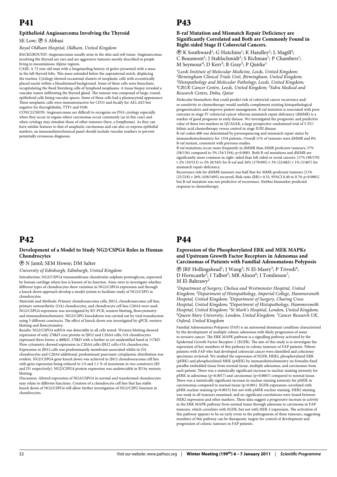#### **Epithelioid Angiosarcoma Involving the Thyroid**

SE Low;  $\textcircled{P}$  S Abbasi

#### *Royal Oldham Hospital, Oldham, United Kingdom*

BACKGROUND: Angiosarcomas usually arise in the skin and soft tissue. Angiosarcomas involving the thyroid are rare and are aggressive tumours mostly described in people living in mountainous Alpine regions.

CASE: A 73 year old man with a longstanding history of goitre presented with a mass in the left thyroid lobe. This mass extended below the suprasternal notch, displacing the trachea. Cytology showed occasional clusters of neoplastic cells with eccentrically placed nuclei within a bloodstained background. Some of these cells were binucleate, recapitulating the Reed Sternberg cells of lymphoid neoplasms. A tissue biopsy revealed a vascular tumor infiltrating the thyroid gland. The tumour was composed of large, round, epithelioid cells lining vascular spaces. Some of these cells had a plasmacytoid appearance. These neoplastic cells were immunoreactive for CD31 and focally for AE1.AE3 but negative for thyroglobulin, TTF1 and S100.

CONCLUSION: Angiosarcomas are difficult to recognize on FNA cytology especially when they occur in organs where carcinomas occur commonly (as in this case) and when cytology may simulate those of other tumours (here, a lymphoma). As they can have similar features to that of anaplastic carcinomas and can also co-express epithelial markers, an immunohistochemical panel should include vascular markers to prevent potentially erroneous diagnoses.

# P43

#### **B-raf Mutation and Mismatch Repair Deficiency are Significantly Correlated and Both are Commonly Found in Right-sided Stage II Colorectal Cancers.**

 $\mathcal{P}$  K Southward<sup>1</sup>; G Hutchins<sup>1</sup>; K Handley<sup>2</sup>; L Magill<sup>2</sup>; C Beaumont<sup>1</sup>; J Stahlschmidt<sup>3</sup>; S Richman<sup>1</sup>; P Chambers<sup>1</sup>; M Seymour<sup>4</sup>; D Kerr<sup>5</sup>; R Gray<sup>2</sup>; P Quirke<sup>1</sup>

*1Leeds Institute of Molecular Medicine, Leeds, United Kingdom; 2Birmingham Clinical Trials Unit, Birmingham, United Kingdom; 3Histopathology and Molecular Pathology, Leeds, United Kingdom; 4CRUK Cancer Centre, Leeds, United Kingdom; 5Sidra Medical and Research Centre, Doha, Qatar*

Molecular biomarkers that could predict risk of colorectal cancer recurrence and/ or sensitivity to chemotherapy would usefully complement existing histopathological prognosticators and improve patient management. B-raf mutation is associated with poor outcome in stage IV colorectal cancer whereas mismatch repair deficiency (dMMR) is a marker of good prognosis in early disease. We investigated the prognostic and predictive value of these two markers in QUASAR, a large prospective randomised trial of 5-FU/ folinic acid chemotherapy versus control in stage II/III disease.

B-raf codon 600 was determined by pyrosequencing and mismatch repair status by immunohistochemistry for 1354 patients. Overall 11% of tumours were dMMR and 8% B-raf mutant, consistent with previous studies.

B-raf mutations occur more frequently in dMMR than MMR proficient tumours; 37% (58/156) compared to 5% (54/1194);  $p < 0.0001$ . Both B-raf mutations and dMMR are significantly more common in right–sided than left-sided or rectal cancers: (17% (98/570) v 2% (10/513) vs 2% (8/345) for B-raf and 26% (179/695) v 3% (22/682) v 1% (3/407) for mismatch repair deficiency.

Recurrence risk for dMMR tumours was half that for MMR-proficient tumours [11% (25/218) v 26% (438/1695) recurred; Risk ratio (RR)= 0.53, 95%CI 0.40 to 0.70: p<0.0001] but B-raf mutation was not predictive of recurrence. Neither biomarker predicted response to chemotherapy.

# P<sub>42</sub>

#### **Development of a Model to Study NG2/CSPG4 Roles in Human Chondrocytes**

#### P N Jamil; SEM Howie; DM Salter

#### *University of Edinburgh, Edinburgh, United Kingdom*

Introduction: NG2/CSPG4 transmembrane chondroitin sulphate proteoglycan, expressed by human cartilage where less is known of its function. Aims were to investigate whether different types of chondrocytes show variation in NG2/CSPG4 expression and through a knock down approach develop a model system to facilitate study of NG2/CSPG in chondrocytes.

Materials and Methods: Primary chondrosarcoma cells, JJ012, chondrosarcoma cell line, primary osteoarthritic (OA) chondrocytes, and chondrocyte cell line C20A4 were used. NG2/CSPG4 expression was investigated by RT-PCR, western blotting, flowcytometry and immunohistochemistry. NG2/CSPG knockdown was carried out by viral transduction using 5 different constructs. The effect of knock-down was investigated by qPCR, western blotting and flowcytometry.

Results: NG2/CSPG4 mRNA was detectable in all cells tested. Western blotting showed expression of only 270kD core protein in JJ012 and C20A4 cells; OA chondrocytes expressed three forms: a 400kD, 270kD with a further as yet unidentified band at 117kD. Flow-cytometry showed expression in C20A4 cells>JJ012 cells>OA chondrocytes. Expression in JJ012 cells was predominantly membrane associated whilst in OA chondrocytes and C20A4 additional, predominant punctuate cytoplasmic distribution was evident. NG2/CSPG4 gene knock down was achieved in JJ012 chondrosracoma cell line with gene expression being reduced to 2.9 and 1.1 % of maximum in two constructs (B3 and D1 respectively). NG2/CSPG4 protein expression was undetectable in B3 by western blotting.

Discussion: Altered expression of NG2/CSPG4 in normal and transformed chondrocytes may relate to different functions. Creation of a chondrocyte cell line that has stable knock down of NG2/CSPG4 will allow further investigation of NG2/CSPG function in chondrocytes.

# P44

#### **Expression of the Phosphorylated ERK and MEK MAPKs and Upstream Growth Factor Receptors in Adenomas and Carcinomas of Patients with Familial Adenomatous Polyposis**

P JRF Hollingshead1; J Wang2; N El-Masry3; P Trivedi4; D Horncastle<sup>2</sup>; I Talbot<sup>5</sup>; MR Alison<sup>6</sup>; I Tomlinson<sup>7</sup>; M El-Bahrawy2

*1Department of Surgery, Chelsea and Westminster Hospital, United Kingdom; 2Department of Histopathology, Imperial College, Hammersmith Hospital, United Kingdom; 3Department of Surgery, Charing Cross Hospital, United Kingdom; 4Department of Histopathology, Hammersmith Hospital, United Kingdom; 5St Mark's Hospital, London, United Kingdom; 6Queen Mary University, London, United Kingdom; 7Cancer Research UK, Oxford, United Kingdom*

Familial Adenomatous Polyposis (FAP) is an autosomal dominant condition characterised by the development of multiple colonic adenomas with likely progression of some to invasive cancer. The ERK MAPK pathway is a signalling pathway activated by the Epidermal Growth Factor Receptor-1 (EGFR). The aim of this study is to investigate the expression of key members of this pathway in colonic tumours of FAP patients. Fifteen patients with FAP who had developed colorectal cancer were identified and colectomy specimens reviewed. We studied the expression of EGFR, HER2, phosphorylated ERK (pERK) and phosphorylated MEK (pMEK) by immunohistochemistry on formalin fixed paraffin embedded tissue from normal tissue, multiple adenomas, and carcinomas from each patient. There was a statistically significant increase in nuclear staining intensity for pERK in adenomas (p=0.0017) and carcinomas (p=0.0067) compared to normal tissue. There was a statistically significant increase in nuclear staining intensity for pMEK in carcionomas compared to normal tissue (p=0.001). EGFR expression correlated with pERK nuclear staining (p=0.0015) but not with pMEK nuclear staining. HER2 staining was weak in all tumours examined, and no significant correlations were found between HER2 expression and other markers. These data suggest a progressive increase in activity in the ERK MAPK pathway from normal tissue through adenoma to carcinoma in FAP tumours, which correlates with EGFR, but not with HER-2 expression. The activation of this pathway appears to be an early event in the pathogenesis of these tumours, suggesting members of this pathway can be therapeutic targets for control of development and progression of colonic tumours in FAP patients.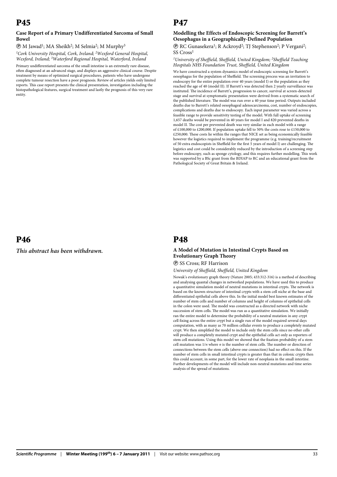#### **Case Report of a Primary Undifferentiated Sarcoma of Small Bowel**

 $\textcircled{P}$  M Jawad<sup>1</sup>; MA Sheikh<sup>2</sup>; M Selmia<sup>2</sup>; M Murphy<sup>3</sup>

*1Cork University Hospital, Cork, Ireland; 2Wexford General Hospital, Wexford, Ireland; 3Waterford Regional Hospital, Waterford, Ireland*

Primary undifferentiated sarcoma of the small intestine is an extremely rare disease, often diagnosed at an advanced stage, and displays an aggressive clinical course. Despite treatment by means of optimized surgical procedures, patients who have undergone complete tumour resection have a poor prognosis. Review of articles yields only limited reports. This case report presents the clinical presentation, investigation including the histopathological features, surgical treatment and lastly the prognosis of this very rare entity.

# **P47**

#### **Modelling the Effects of Endoscopic Screening for Barrett's Oesophagus in a Geographically-Defined Population**

P RC Gunasekera1; R Ackroyd2; TJ Stephenson2; P Vergani2; SS Cross<sup>1</sup>

#### *1University of Sheffield, Sheffield, United Kingdom; 2Sheffield Teaching Hospitals NHS Foundation Trust, Sheffield, United Kingdom*

We have constructed a system dynamics model of endoscopic screening for Barrett's oesophagus for the population of Sheffield. The screening process was an invitation to endoscopy for the entire population over 40 years (model I) or the population as they reached the age of 40 (model II). If Barrett's was detected then 2 yearly surveillance was instituted. The incidence of Barrett's, progression to cancer, survival at screen-detected stage and survival at symptomatic presentation were derived from a systematic search of the published literature. The model was run over a 40 year time period. Outputs included deaths due to Barrett's related oesophageal adenocarcinoma, cost, number of endoscopies, complications and deaths due to endoscopy. Each input parameter was varied across a feasible range to provide sensitivity testing of the model. With full uptake of screening 1,657 deaths would be prevented in 40 years for model I and 820 prevented deaths in model II. The cost per prevented death was very similar in each model with a range of £100,000 to £200,000. If population uptake fell to 50% the costs rose to £150,000 to £250,000. These costs lie within the ranges that NICE set as being economically feasible however the logistics required to implement the programme (e.g. training/recruitment of 50 extra endoscopists in Sheffield for the first 5 years of model I) are challenging. The logistics and cost could be considerably reduced by the introduction of a screening step before endoscopy, such as sponge cytology, and this requires further modelling. This work was supported by a BSc grant from the BDIAP to RC and an educational grant from the Pathological Society of Great Britain & Ireland.

# P46

*This abstract has been withdrawn.*

# **P48**

#### **A Model of Mutation in Intestinal Crypts Based on Evolutionary Graph Theory**

P SS Cross; RF Harrison

*University of Sheffield, Sheffield, United Kingdom*

Nowak's evolutionary graph theory (Nature 2005; 433:312-316) is a method of describing and analysing quantal changes in networked populations. We have used this to produce a quantitative simulation model of neutral mutations in intestinal crypts. The network is based on the known structure of intestinal crypts with a stem cell niche at the base and differentiated epithelial cells above this. In the initial model best known estimates of the number of stem cells and number of columns and height of columns of epithelial cells in the colon were used. The model was constructed as a directed network with niche succession of stem cells. The model was run as a quantitative simulation. We initially ran the entire model to determine the probability of a neutral mutation in any crypt cell fixing across the entire crypt but a single run of the model required several days computation, with as many as 70 million cellular events to produce a completely mutated crypt. We then simplified the model to include only the stem cells since no other cells will produce a completely mutated crypt and the epithelial cells act only as reporters of stem cell mutations. Using this model we showed that the fixation probability of a stem cell mutation was 1/*n* where *n* is the number of stem cells. The number or direction of connections between the stem cells (above one connection) had no effect on this. If the number of stem cells in small intestinal crypts is greater than that in colonic crypts then this could account, in some part, for the lower rate of neoplasia in the small intestine. Further developments of the model will include non-neutral mutations and time series analysis of the spread of mutations.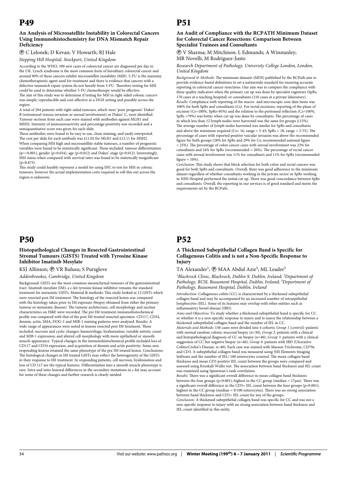#### **An Analysis of Microsatellite Instability in Colorectal Cancers Using Immunohistochemistry for DNA Mismatch Repair Deficiency**

#### P C Lelonek; D Kevan; V Howarth; RJ Hale

*Stepping Hill Hospital, Stockport, United Kingdom*

According to the WHO, 100 new cases of colorectal cancer are diagnosed per day in the UK. Lynch syndrome is the most common form of hereditary colorectal cancer and around 90% of these cancers exhibit microsatellite instability (MSI). 5-FU is the mainstay chemotherapeutic agent used for treatment and there is evidence that cancers with a defective mismatch repair system do not benefit from 5-FU. Therefore testing for MSI could be used to determine whether 5-FU chemotherapy would be effective. The aim of this study was to determine if testing for MSI in right sided colonic cancers was simple, reproducible and cost-effective in a DGH setting and possibly across the region.

A total of 204 patients with right-sided tumours, which were 'poor prognosis' Dukes' B (extramural venous invasion or serosal involvement) or Dukes' C, were identified. Tumour sections from each case were stained with antibodies against MLH1 and MSH2. Intensity of immunoreactivity and percentage positivity was recorded and a semiquantitative score was given for each slide.

These antibodies were found to be easy to use, clean staining, and easily interpreted. The cost per slide for each antibody was £11.02 for MLH1 and £12.11 for MSH2. When comparing MSI high and microsatellite stable tumours, a number of prognostic variables were found to be statistically significant. These included: tumour differentiation (p=<0.001), gender (p=0.034), age (p=0.012) and Dukes' stage (p=0.012). Interestingly, MSI status when compared with survival rates was found to be statistically insignificant  $(p=0.873)$ 

This study could feasibly represent a model for using IHC to test for MSI in colonic tumours, however the actual implementation costs required to roll this out across the region is unknown.

# **P51**

#### **An Audit of Compliance with the RCPATH Minimum Dataset for Colorectal Cancer Resections: Comparison Between Specialist Trainees and Consultants**

P V Sharma; M Mitchison; L Edmunds; A Winstanley; MR Novelli; M Rodriguez-Justo

*Research Department of Pathology, University College London, London, United Kingdom*

*Background & Methods:* The minimum datasets (MDS) published by the RCPath aim to provide evidence-based definitions to set a nationwide standard for ensuring accurate reporting in colorectal cancer resections. Our aim was to compare the compliance with these quality indicators when the primary cut up was done by specialist registrars (SpRs, 170 cases at a teaching hospital) or consultants (110 cases at a private laboratory). *Results:* Compliance with reporting of the macro- and microscopic core data items was 100% for both SpRs and consultants (Cs). For rectal excisions, reporting of the plane of excision (Cs=100%, SpRs=85%) and the relation to the peritoneal reflection (Cs=100%, SpRs =79%) was better when cut up was done by consultants. The percentage of cases in which less than 12 lymph nodes were harvested was the same for groups ((15%). The average number of lymph nodes harvested was similar for SpRs and consultants and above the minimum required (Cs=  $16$ , range =  $5-43$ ; SpRs =  $18$ , range =  $3-55$ ). The percentage of cases with reported positive vascular invasion was above the recommended figure for both groups (28% for SpRs and 29% for Cs; recommended national figure = 25%). The percentage of colon cancer cases with serosal involvement was 23% for consultants and 24% for SpRs (recommended = 20%). The percentage of rectal cancer cases with serosal involvement was 11% for consultants and 11% for SpRs (recommended figure =  $10\%$ ).

*Conclusion:* This study shows that block selection for both colon and rectal cancers was good for both SpRs and consultants. Overall, there was good adherence to the minimum dataset regardless of whether consultants working in the private sector or SpRs working in NHS Hospital performed the initial cut up. There was good concordance between SpRs and consultants. Overall, the reporting in our services is of good standard and meets the requirements set by the RCPath.

# **P50**

#### **Histopathological Changes in Resected Gastrointestinal Stromal Tumours (GISTS) Treated with Tyrosine Kinase Inhibitor Imatinib Mesylate**

#### KSJ Allinson;  $\circledR$  VR Bulusu; S Pursglove

#### *Addenbrookes, Cambridge, United Kingdom*

Background: GISTs are the most common mesenchymal tumours of the gastrointestinal tract. Imatinib mesylate (IM), a c-kit tyrosine kinase inhibitor remains the standard treatment for metastatic GISTs. Material & methods: This study looked at 12 GISTs which were resected post IM treatment. The histology of the resected lesion was compared with the histology taken prior to IM exposure (biopsy obtained from either the primary tumour or metastatic disease). The tumour architecture, cell morphology and nuclear characteristics on H&E were recorded. The pre IM treatment immunohistochemical profile was compared with that of the post IM treated resected specimen. CD117, CD34, desmin, actin, SMA, DOG-1 and MIB-1 staining patterns were analysed. Results: A wide range of appearances were noted in lesions resected post IM treatment. These included: necrosis and cystic changes; haemorrhage; hyalinization; variable mitotic count and MIB-1 expression; and altered cell morphology with more epithelioid or smooth muscle appearance. Typical changes in the immunohistochemical profile included loss of CD117 and CD34 expression, and acquisition of desmin and actin positivity. Some non responding lesions retained the same phenotype of the pre IM treated lesion. Conclusions: The histological changes in IM treated GISTs may reflect the heterogeneity of the GISTs in their response to IM treatment. In responding patients, cell necrosis, hyalinisation and loss of CD 117 are the typical features. Differentiation into a smooth muscle phenotype is rare. Intra and inter lesional differences in the secondary mutations in c-kit may account for some of these changes and further research is clearly needed.

# P52

#### **A Thickened Subepithelial Collagen Band is Specific for Collagenous Colitis and is not a Non-Specific Response to Injury**

#### TA Alexander<sup>1</sup>;  $\textcircled{P}$  MAA Abdul Aziz<sup>2</sup>; ML Leader<sup>3</sup>

*1Blackrock Clinic, Blackrock, Dublin 9, Dublin, Ireland; 2Department of Pathology, RCSI, Beaumont Hospital, Dublin, Ireland; 3Department of Pathology, Beaumont Hospital, Dublin, Ireland*

*Introduction:* Collagenous colitis (CC) is characterized by a thickened subepithelial collagen band and may be accompanied by an increased number of intraepithelial lymphocytes (IEL). Some of its features may overlap with other entities such as inflammatory bowel disease (IBD).

*Aims and Objectives:* To study whether a thickened subepithelial band is specific for CC or whether it is a non-specific response to injury and to assess the relationship between a thickened subepithelial collagen band and the number of IEL in CC.

*Materials and Methods:* 150 cases were divided into 4 cohorts; *Group 1 (control):* patients with normal random colonic mucosal biopsy (n=30), *Group 2:* patients with a clinical and histopathological diagnosis of CC on biopsy (n=40), *Group 3:* patients with a clinical suggestion of CC but negative biopsy (n=40), *Group 4:* patients with IBD (Ulcerative Colitis/Crohn's Disease, n=40). Each case was stained with Masson Trichrome, CD79a and CD3. A subepithelial collagen band was measured using NIS Elements Imaging Software and the number of IEL/ 100 enterocytes counted. The mean collagen band thickness and mean CD3 positive IEL count between the groups were compared and assessed using Kruskall-Wallis test. The association between band thickness and IEL count was examined using Spearman's rank correlation.

*Results:* There was a significant overall difference in mean collagen band thickness between the four groups (p<0.001); highest in the CC group (median =  $17 \mu m$ ). There was a significant overall difference in the CD3+ IEL count between the four groups (p<0.001); highest in the CC group (median = 9/100 enterocytes). There was no strong association between band thickness and CD3+ IEL count for any of the groups.

*Conclusion:* A thickened subepithelial collagen band was specific for CC and was not a non-specific response to injury with no strong association between band thickness and IEL count identified in this entity.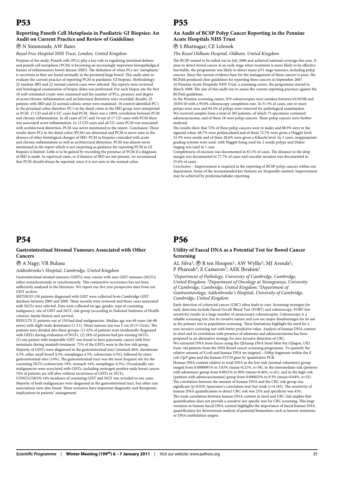### **Reporting Paneth Cell Metaplasia in Paediatric GI Biopsies: An Audit on Current Practice and Review of Guidelines**

### P N Simmonds; AW Bates

#### *Royal Free Hospital NHS Trust, London, United Kingdom*

Purpose of the study: Paneth cells (PCs) play a key role in regulating intestinal defense and paneth cell metaplasia (PCM) is becoming an increasingly important histopatholgical feature of inflammatory bowel disease (IBD). The definition of when PCs are 'metaplastic' is uncertain as they are found normally in the proximal large bowel. This audit aims to evaluate the current practice of reporting PCM in paediatric GI biopsies. Methodology: 22 random IBD and 22 normal control cases were selected. The reports were reviewed and histological examination of biopsy slides was performed. For each biopsy site the first 10 well-orientated crypts were examined and the number of PCs, presence and degree of acute/chronic inflammation and architectural distortion were recorded. Results: 22 patients with IBD and 22 normal colonic series were examined. 10 control identified PC's in the proximal colon therefore PC's in the distal colon in the IBD group were interpreted as PCM. 17 CD and all 4 UC cases had PCM. There was a 100% correlation between PCM and chronic inflammation. In all cases of UC and 14 out of 17 CD cases with PCM there was associated acute inflammation. In 13 CD cases and all UC cases PCM was associated with architectural distortion. PCM was never mentioned in the report. Conclusion: These results show PCs in the distal colon (PCM) are abnormal and PCM is never seen in the absence of other histological changes of IBD. PCM in biopsies coincided with acute and chronic inflammation as well as architectural distortion. PCM was almost never mentioned in the report which is not surprising as guidance for reporting PCM in GI biopsies is limited. Little is to be gained by recording the presence of PCM if a diagnosis of IBD is made. In equivocal cases, or if features of IBD are not present, we recommend that PCM should always be reported, since it is not seen in the normal colon.

# **P55**

#### **An Audit of BCSP Polyp Cancer Reporting in the Pennine Acute Hospitals NHS Trust**

#### P S Bhatnagar; CE Lelonek

#### *The Royal Oldham Hospital, Oldham, United Kingdom*

The BCSP started to be rolled out in July 2006 and achieved national coverage this year. It aims to detect bowel cancer at an early stage when treatment is more likely to be effective. Inevitably, the programme was likely to detect many pT1 stage tumours, including polyp cancers. Since the current evidence base for the management of these cancers is poor, the RCPath produced clear guidelines for reporting these cancers in September 2007. At Pennine Acute Hospitals NHS Trust, a screening centre, the programme started in

March 2008. The aim of this audit was to assess the current reporting practices against the RCPath guidelines.

In the Pennine screening centre, 870 colonoscopies were untaken between 01/03/08 and 10/05/10 with a 95.0% colonoscopy completion rate. In 51.5% of cases, one or more polyps were seen and 94.4% of polyps were removed for pathological examination. We received samples from a total of 385 patients, of which 75 specimens contained adenocarcinoma, and of these 18 were polyp cancers. These polyp cancers were further analysed.

The results show that 72% of these polyp cancers were in males and 88.9% were in the sigmoid colon. 66.7% were pedunculated and of these 72.7% were given a Haggitt level. 33.3% were sessile and of these 28.6% were given a Kikuchi level. In 3 cases, inappropriate grading systems were used, with Haggitt being used for 2 sessile polyps and Dukes' staging was used in 1 case.

Completeness of excision was documented in 83.3% of cases. The distance to the deep margin was documented in 77.7% of cases and vascular invasion was documented in 55.6% of cases.

*Conclusion* – Improvement is required in the reporting of BCSP polyp cancers within our department. Some of the recommended key features are frequently omitted. Improvement may be achieved by proforma/tabular reporting.

# P54

#### **Gastrointestinal Stromal Tumours Associated with Other Cancers**

#### P A Nagy; VR Bulusu

#### *Addenbrooke's Hospital, Cambridge, United Kingdom*

Gastrointestinal stromal tumours (GISTs) may coexist with non-GIST tumours (NGTs) either metachronously or synchronously. This conjunctive occurrence has not been sufficiently analysed in the literature. We report our five year prospective data from our GIST archive.

METHOD 150 patients diagnosed with GIST were collected from Cambridge GIST database between 2005 and 2009. These records were reviewed and those cases associated with NGTs were selected. Data were collected on age, gender, type of coexisting malignancy, site of GIST and NGT, risk group (according to National Institutes of Health criteria), family history and survival.

RESULTS 21 patients out of 150 had dual malignancies. Median age was 69 years (46-88 years) with slight male dominance (1.3:1). Mean tumour size was 5 cm (0.13-12cm). The patients were divided into three groups: (1) 62% of patients were incidentally diagnosed with GISTs during evaluation of NGTs, (2) 28% of patients had pre-existing NGTs, (3) one patient with inoperable GIST was found to have pancreatic cancer with liver metastasis during imatinib treatment. 71% of the GISTs were in the low risk group. Majority of GISTs were diagnosed in the gastrointestinal tract (stomach 66%, duodenum 4.5%, other small bowel 4.5%, oesophagus 4.5%, colorectum 4.5%), followed by extragastrointestinal sites (14%). The gastrointestinal tract was the most frequent site for the coexisting NGTs (colorectum 19%, stomach 14%, oesophagus 4.5%). Occasionally rare malignancies were associated with GISTs, including oestrogen positive male breast cancer. 76% of patients are still alive without recurrence of GISTs or NGTs.

CONCLUSION 14% incidence of coexisting GIST and NGT was revealed in our cases. Majority of both malignancies were diagnosed in the gastrointestinal tract, but other rare associations were also found. These scenarios have important diagnostic and therapeutic implications in patients' management.

# P56

#### **Utility of Faecal DNA as a Potential Test for Bowel Cancer Screening**

#### AL Silva<sup>1</sup>;  $\textcircled{P}$  R ten Hoopen<sup>1</sup>; AW Wyllie<sup>1</sup>; MJ Arends<sup>1</sup>; P Pharoah<sup>2</sup>; E Cameron<sup>3</sup>; AEK Ibrahim<sup>1</sup>

*1Department of Pathology, University of Cambridge, Cambridge, United Kingdom; 2Department of Oncology at Strangeways, University of Cambridge, Cambridge, United Kingdom; 3Department of Gastroenterology, Addenbrooke's Hospital, University of Cambridge, Cambridge, United Kingdom*

Early detection of colorectal cancer (CRC) often leads to cure. Screening strategies for early detection include Faecal Occult Blood Test (FOBT) and colonoscopy. FOBT low sensitivity results in a large number of unnecessary colonoscopies. Colonoscopy is a reliable screening test, but its invasive nature and cost are major disadvantages for its use as the primary test in population screening. These limitations highlight the need for a non-invasive screening test with better predictive value. Analysis of human DNA content in stool and its correlation with presence of adenoma and adenocarcinoma has been proposed as an alternative strategy for non-invasive detection of CRC.

We extracted DNA from faeces using the QIAamp DNA Stool Mini Kit (Qiagen, UK) from 144 patients from the NHS Bowel cancer screening programme. To quantify the relative amount of E.coli and human DNA we targeted ~150bp fragments within the E coli *ClpP* gene and the human *SYT10* gene by quantitative PCR.

Human DNA content relative to total DNA in the low-risk (normal volunteers) group ranged from 0.0000091% to 3.83% (mean=0.21%, n=58), in the intermediate-risk (patients with adenomas) group from 0.0021% to 90% (mean=0.46%, n=61), and in the high-risk (patients with adenocarcinomas) group from 0.000025% to 9.3% (mean=0.64%, n=25). The correlation between the amount of human DNA and the CRC risk group was significant (*p*=0.029, Spearman's correlation test) but weak (*r*=0.183). The sensitivity of human DNA quantification to detect CRC risk was 23% and specificity was 43%. The weak correlation between human DNA content in stool and CRC risk implies that quantification does not provide a sensitive nor specific test for CRC screening. This large variation in human faecal DNA content highlights the importance of faecal human DNA quantification for downstream analysis of potential biomarkers such as known mutations or DNA methylation targets.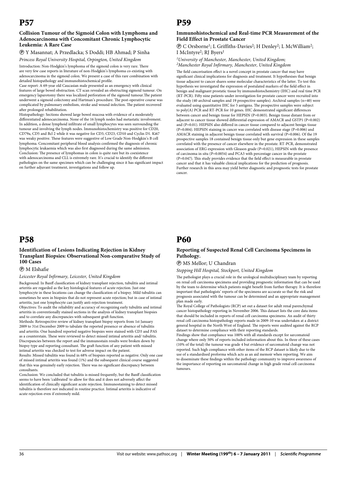#### **Collision Tumour of the Sigmoid Colon with Lymphoma and Adenocarcinoma with Concomitant Chronic Lymphocytic Leukemia: A Rare Case**

### P Y Masannat; A Przedlacka; S Doddi; HB Ahmad; P Sinha

*Princess Royal University Hospital, Orpington, United Kingdom*

Introduction: Non-Hodgkin's lymphoma of the sigmoid colon is very rare. There are very few case reports in literature of non-Hodgkin's lymphoma co-existing with adenocarcinoma in the sigmoid colon. We present a case of this rare combination with detailed histopathology and immunohistochemical profile.

Case report: A 69-year old Caucasian male presented as an emergency with clinical features of large bowel obstruction. CT scan revealed an obstructing sigmoid tumour. On emergency laparotomy there was localized perforation of the sigmoid tumour.The patient underwent a sigmoid colectomy and Hartman's procedure. The post-operative course was complicated by pulmonary embolism, stroke and wound infection. The patient recovered after prolonged rehabilitation.

Histopathology: Sections showed large bowel mucosa with evidence of a moderately differentiated adenocarcinoma. None of the 16 lymph nodes had metastatic involvement. In addition, a dense lymphoid infiltrate of small lymphocytes was seen surrounding the tumour and involving the lymph nodes. Immunohistochemistry was positive for CD20, CD79a, CD5 and Bcl 2 while it was negative for CD3, CD23, CD10 and Cyclin D1. Ki67 was weaky positive. These features were suggestive of Low Grade Non-Hodgkin's B cell lymphoma. Concomitant peripheral blood analysis confirmed the diagnosis of chronic lymphocytic leukaemia which was also first diagnosed during the same admission. Conclusion: The presence of lymphomas in colon is quite rare but its coexistence with adenocarcinoma and CLL is extremely rare. It's crucial to identify the different pathologies on the same specimen which can be challenging since it has significant impact on further adjuvant treatment, investigations and follow up.

# **P59**

#### **Immunohistochemical and Real-time PCR Measurement of the Field Effect in Prostate Cancer**

#### P C Orsborne1; L Griffiths-Davies2; H Denley2; L McWilliam2; I McIntyre<sup>2</sup>; RJ Byers<sup>1</sup>

*1University of Manchester, Manchester, United Kingdom; 2Manchester Royal Infirmary, Manchester, United Kingdom*

The field cancerisation effect is a novel concept in prostate cancer that may have significant clinical implications for diagnosis and treatment. It hypothesises that benign tissue adjacent to cancer shares some molecular characteristics of the latter. To test this hypothesis we investigated the expression of postulated markers of the field effect in benign and malignant prostatic tissue by immunohistochemistry (IHC) and real time PCR (RT-PCR). Fifty nine patients under investigation for prostate cancer were recruited into the study (40 archival samples and 19 prospective samples). Archival samples (n=40) were evaluated using quantitative IHC for 5 antigens. The prospective samples were subject to poly(A) PCR and RT-PCR for 10 genes. IHC demonstrated significant differences between cancer and benign tissue for HEPSIN (P=0.003). Benign tissue distant from or adjacent to cancer tissue showed differential expression of AMACR and GSTP1 (P=0.002) and (P=0.01). HEPSIN also differed in cancer tissue compared to adjacent benign tissue (P=0.004). HEPSIN staining in cancer was correlated with disease stage (P=0.006) and AMACR staining in adjacent benign tissue correlated with survival (P=0.006). Of the 19 prospective samples 18 contained benign tissue only but gene expression in these samples correlated with the presence of cancer elsewhere in the prostate. RT-PCR, demonstrated association of ERG expression with Gleason grade (P=0.021), HEPSIN with the presence of carcinoma in situ (P=0.0054) and PCA3 with percentage cancer in the prostate (P=0.047). This study provides evidence that the field effect is measurable in prostate cancer and that it has valuable clinical implications for the prediction of prognosis. Further research in this area may yield better diagnostic and prognostic tests for prostate cancer.

# P58

#### **Identification of Lesions Indicating Rejection in Kidney Transplant Biopsies: Observational Non-comparative Study of 100 Cases**

#### P M Elshafie

#### *Leicester Royal Infirmary, Leicester, United Kingdom*

Background: In Banff classification of kidney transplant rejection, tubulitis and intimal arteritis are regarded as the key histological features of acute rejection. Just one lymphocyte in these locations can change the classification of a biopsy. Mild tubulitis can sometimes be seen in biopsies that do not represent acute rejection; but in case of intimal arteritis, just one lymphocyte can justify anti-rejection treatment.

Objectives: To audit the reliability and accuracy of recognizing early tubulitis and intimal arteritis in conventionally stained sections in the analysis of kidney transplant biopsies and to correlate any discrepancies with subsequent graft function.

Methods: Retrospective review of kidney transplant biopsy reports from 1st January 2009 to 31st December 2009 to tabulate the reported presence or absence of tubulitis and arteritis. One hundred reported negative biopsies were stained with CD3 and PAS as a counterstain. These were reviewed to detect missed intimal arteritis and/ tubulitis. Discrepancies between the report and the immunostain results were broken down by biopsy type and reporting consultant. The graft function of any patient with missed intimal arteritis was checked to test for adverse impact on the patient.

Results: Missed tubulitis was found in 68% of biopsies reported as negative. Only one case of missed intimal arteritis was found (1%) and the subsequent clinical course suggested that this was genuinely early rejection. There was no significant discrepancy between consultants.

Conclusion: We concluded that tubulitis is missed frequently, but the Banff classification seems to have been 'calibrated' to allow for this and it does not adversely affect the identification of clinically significant acute rejection. Immunostaining to detect missed tubulitis is therefore not indicated in routine practice. Intimal arteritis is indicative of acute rejection even if extremely mild.

# **P60**

#### **Reporting of Suspected Renal Cell Carcinoma Specimens in Pathology.**

#### P MS Mellor; U Chandran

#### *Stepping Hill Hospital, Stockport, United Kingdom*

The pathologist plays a crucial role in the urological multidisciplinary team by reporting on renal cell carcinoma specimens and providing prognostic information that can be used by the team to determine which patients might benefit from further therapy. It is therefore important that pathologists' reports of the specimens are accurate so that the risk and prognosis associated with the tumour can be determined and an appropriate management plan made early.

The Royal College of Pathologists (RCP) set out a dataset for adult renal parenchymal cancer histopathology reporting in November 2006. This dataset lists the core data items that should be included in reports of renal cell carcinoma specimens. An audit of thirty renal cell carcinoma histopathology reports made in 2009-10 was undertaken at a district general hospital in the North West of England. The reports were audited against the RCP dataset to determine compliance with their reporting standards.

Findings show that compliance was 100% with all standards except for sarcomatoid change where only 50% of reports included information about this. In three of these cases (10% of the total) the tumour was grade 4 but evidence of sarcomatoid change was not reported. Such high compliance with other items of the RCP dataset is likely due to the use of a standardised proforma which acts as an aid memoir when reporting. We aim to disseminate these findings within the pathology community to improve awareness of the importance of reporting on sarcomatoid change in high grade renal cell carcinoma tumours.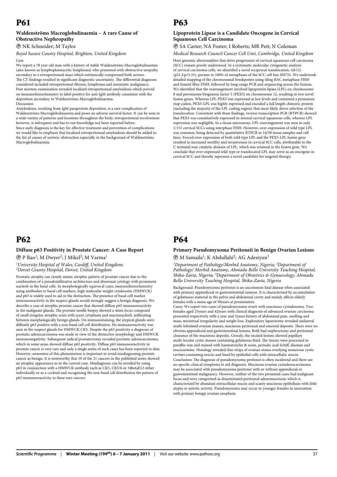#### **Waldenströms Macroglobulinaemia – A rare Cause of Obstructive Nephropathy**

### P NK Schneider; M Taylor

*Royal Sussex County Hospital, Brighton, United Kingdom*

#### Case

We report a 78 year old man with a history of stable Waldenströms Macroglobulinaemia (also known as lymphoplasmacytic lymphoma) who presented with obstructive uropathy secondary to a retroperitoneal mass which extrinsically compressed both ureters. The CT findings resulted in significant diagnostic uncertainty. The differential diagnoses considered included retroperitoneal fibrosis, lymphoma and metastatic malignancy. Post mortem examination revealed localised retroperitoneal amyloidosis which proved on immunohistochemistry to label positive for anti-IgM antibody consistent with the deposition secondary to Waldenströms Macroglobulinaemia. Discussion

Amyloidosis, resulting from IgM paraprotein deposition, is a rare complication of Waldenströms Macroglobulinaemia and poses an adverse survival factor. It can be seen in a wide variety of patterns and locations throughout the body; retroperitoneal involvement however, is infrequent and has to our knowledge not been reported before. Since early diagnosis is the key for effective treatment and prevention of complications we would like to emphasis that localised retroperitoneal amyloidosis should be added to the list of causes of ureteric obstruction especially in the background of Waldenströms

# **P63**

#### **Lipoprotein Lipase is a Candidate Oncogene in Cervical Squamous Cell Carcinoma**

### P SA Carter; NA Foster; I Roberts; MR Pett; N Coleman

*Medical Research Council Cancer Cell Unit, Cambridge, United Kingdom* Host genomic abnormalities that drive progression of cervical squamous cell carcinoma (SCC) remain poorly understood. In a systematic molecular cytogenetic analysis of cervical carcinoma cells, we identified a novel reciprocal translocation, t(8:12) (p21.3:p13.31), present in 100% of metaphases of the SCC cell line MS751. We undertook detailed mapping of the chromosomal breakpoints using tiling BAC metaphase-FISH and fosmid fibre-FISH, followed by long-range PCR and sequencing across the fusions. We identified that the rearrangement involved lipoprotein lipase (LPL) on chromosome 8 and peroxisome biogenesis factor 5 (PEX5) on chromosome 12, resulting in two novel fusion genes. Whereas LPL-PEX5 was expressed at low levels and contained a premature stop codon, PEX5-LPL was highly expressed and encoded a full length chimeric protein (including the majority of the LPL coding region) that most likely drove selection of the translocation. Consistent with these findings, reverse transcription PCR (RTPCR) showed that PEX5 was constitutively expressed in normal cervical squamous cells, whereas LPL expression was negligible. In a tissue microarray, LPL rearrangement was seen in only 1/151 cervical SCCs using interphase FISH. However, over-expression of wild type LPL was common, being detected by quantitative RTPCR in 14/38 tissue samples and cell lines. Forced over-expression of both wild type LPL and the PEX5-LPL fusion gene resulted in increased motility and invasiveness in cervical SCC cells, attributable to the C terminal non-catalytic domain of LPL, which was retained in the fusion gene. We conclude that over-expressed wild type or translocated LPL may serve as an oncogene in cervical SCC and thereby represent a novel candidate for targeted therapy.

## P62

Macroglobulinaemia.

#### **Diffuse p63 Positivity in Prostate Cancer: A Case Report**

 $\textcircled{P}$  P Rao<sup>1</sup>; M Dwyer<sup>2</sup>; J Mikel<sup>2</sup>; M Varma<sup>1</sup>

#### *1University Hospital of Wales, Cardiff, United Kingdom; 2Dorset County Hospital, Dorset, United Kingdom*

Prostatic atrophy can closely mimic atrophic pattern of prostate cancer due to the combination of a pseudoinfiltrative architecture and abnormal cytology with prominent nucleoli in the basal cells. In morphologically equivocal cases, immunohistochemistry using antibodies to basal cell markers, high molecular weight cytokeratin (HMWCK) and p63 is widely used to aid in the distinction. The presence of basal cell marker immunoreactivity in the suspect glands would strongly suggest a benign diagnosis. We describe a case of atrophic prostate cancer that showed diffuse p63 immunoreactivity in the malignant glands. The prostate needle biopsy showed a 4mm focus composed of small irregular atrophic acini with scant cytoplasm and macronucleoli, infiltrating between morphologically benign glands. On immunostaining, the atypical glands were diffusely p63 positive with a non-basal cell cell distribution. No immunoreactivity was seen in the suspect glands for HMWCK CK5. Despite the p63 positivity a diagnosis of prostatic adenocarcinoma was made in view of the distinctive morphology and HMWCK immunonegativity. Subsequent radical prostatectomy revealed prostatic adenocarcinoma, which in some areas showed diffuse p63 positivity. Diffuse p63 immunoreactivity in prostate cancer is very rare and only a single series of such cases has been reported to date. However, awareness of this phenomenon is important to avoid misdiagnosing prostate cancer as benign. It is noteworthy that 19 of the 21 cancers in the published series showed an atrophic appearance as in the current case. Misdiagnosis can be avoided by using p63 in conjunction with a HMWCK antibody such as CK5, CK5/6 or 34betaE12 either individually or as a cocktail and recognising the non-basal cell distribution the pattern of p63 immunoreactivity in these rare cancers.

# P64

#### **Primary Pseudomyxoma Peritoneii in Benign Ovarian Lesions**

 $\textcircled{P}$  M Samaila<sup>1</sup>; K Abdullahi<sup>2</sup>; AG Adesiyun<sup>3</sup>

*1Department of Pathology/Morbid Anatomy, Nigeria; 2Department of Pathology/ Morbid Anatomy, Ahmadu Bello University Teaching Hospital, Shika-Zaria, Nigeria; 3Department of Obstetrics & Gynaecology, Ahmadu Bello University Teaching Hospital, Shika-Zaria, Nigeria*

Background: Psuedomyxoma peritonei is an uncommon fatal disease often associated with primary appendiceal or gastrointestinal tumour. It is characterised by accumulation of gelatinous material in the pelvis and abdominal cavity and mainly affects elderly females with a mean age of 58years at presentation.

Cases: We report two cases of pseudomyxoma ovarii with mucinous cystadenoma. Two females aged 25years and 42years with clinical diagnosis of advanced ovarian carcinoma presented respectively with a year and 5years history of abdominal pain, swelling and mass, menstrual irregularity and weight loss. Exploratory laparotomy revealed unilateral multi-lobulated ovarian masses, mucinous peritoneal and omental deposits. There were no obvious appendiceal and gastrointestinal lesions. Both had oophrectomy and peritoneal clearance of the mucinous deposits. Grossly, the excised lesions showed papillary multi-locular cystic masses containing gelatinous fluid. The tissues were processed in paraffin wax and stained with haematoxylin & eosin, periodic acid Schiff, diastase and mucicarmine. Histology revealed thin strips of ovarian stoma overlying numerous cystic cavities containing mucin and lined by epithelial cells with intracellular mucin. Conclusion: The diagnosis of pseudomyxoma peritonei is often incidental and there are no specific clinical symptoms to aid diagnosis. Mucinous ovarian cystadenocarcinoma may be associated with pseudomyxoma peritonei with or without appendiceal or gastrointestinal malignancy. However, neither of the two presented cases had malignant focus and were categorized as disseminated peritoneal adenomucinosis which is characterized by abundant extracellular mucin and scanty mucinous epithelium with little atypia or mitotic activity. Pseudomyxoma may occur in younger females in association with primary benign ovarian neoplasm.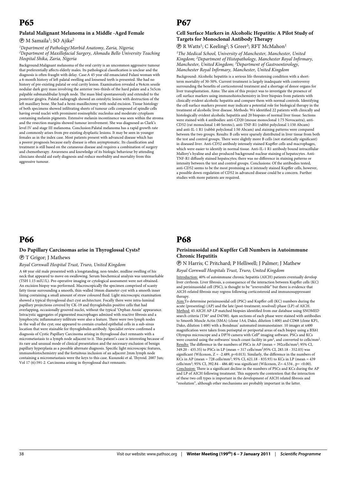#### **Palatal Malignant Melanoma in a Middle -Aged Female**

 $\textcircled{P}$  M Samaila<sup>1</sup>; SO Ajike<sup>2</sup>

*1Department of Pathology/Morbid Anatomy, Zaria, Nigeria; 2Department of Maxillofacial Surgery, Ahmadu Bello University Teaching Hospital Shika, Zaria, Nigeria*

Background:Malignant melanoma of the oral cavity is an uncommon aggressive tumour that preferentially affects elderly males. Its pathological classification is unclear and the diagnosis is often fraught with delay. Case:A 45 year old emanciated Fulani woman with a 6-month history of left palatal swelling and loosened teeth is presented. She had no history of pre-existing palatal or oral cavity lesion. Examination revealed a 9x4cm sessile nodular dark grey mass involving the anterior two-thirds of the hard palate and a 5x5cm palpable submandibular lymph node. The mass bled spontaneously and extended to the posterior gingiva. Palatal radiogragh showed an osteolytic lesion with destruction of the left maxillary bone. She had a hemi-maxillectomy with nodal excision. Tissue histology of both specimens showed infiltrating sheets of tumour cells composed of spindle cells having ovoid nuclei with prominent eosinophilic nucleolus and moderate cytoplasm containing melanin pigments. Extensive melanin incontinence was seen within the stroma and the resection margins showed tumour involvement. She was diagnosed as Clark's level IV and stage III melanoma. Conclusion:Palatal melanoma has a rapid growth rate and commonly arises from pre-existing dysplastic lesions. It may be seen in younger females as in the index case. Most patients present with advanced disease which has a poorer prognosis because early disease is often asymptomatic. Its classification and treatment is still based on the cutaneous disease and requires a combination of surgery and chemotherapy. Awareness and knowledge of its biologic behaviour by attending clinicians should aid early diagnosis and reduce morbidity and mortality from this aggressive tumour.

# **P67**

#### **Cell Surface Markers in Alcoholic Hepatitis: A Pilot Study of Targets for Monoclonal Antibody Therapy**

#### $\textcircled{P}$  R Watts<sup>1</sup>; C Keeling<sup>2</sup>; S Greer<sup>3</sup>; RFT McMahon<sup>1</sup>

*1The Medical School, University of Manchester, Manchester, United Kingdom; 2Department of Histopathology, Manchester Royal Infirmary, Manchester, United Kingdom; 3Department of Gastroenterology, Manchester Royal Infirmary, Manchester, United Kingdom*

Background: Alcoholic hepatitis is a serious life-threatening condition with a shortterm mortality of 30-50%. Current treatment is largely inadequate with controversy surrounding the benefits of corticosteroid treatment and a shortage of donor organs for liver transplantation. Aims: The aim of this project was to investigate the presence of cell surface markers using immunohistochemistry in liver biopsies from patients with clinically evident alcoholic hepatitis and compare them with normal controls. Identifying the cell surface markers present may indicate a potential role for biological therapy in the treatment of alcoholic liver disease. Methods: We identified 22 patients with clinically and histologically evident alcoholic hepatitis and 20 biopsies of normal liver tissue. Sections were stained with 4 antibodies: anti-CD20 (mouse monoclonal 1:75 Novocastra), anti-CD52 (rat monoclonal 1:40 Serotec), anti-TNF-R1 (rabbit polyclonal 1:150 Abcam) and anti-IL-1 R1 (rabbit polyclonal 1:50 Abcam) and staining patterns were compared between the two groups. Results: B cells were sparsely distributed in liver tissue from both the test and control groups. There were slightly more B cells (not statistically significant) in diseased liver. Anti-CD52 antibody intensely stained Kupffer cells and macrophages, which were easier to identify in normal tissue. Anti-IL-1 R1 antibody bound intracellular Mallory's hyaline and also produced background nuclear staining of hepatocytes. Anti-TNF-R1 diffusely stained hepatocytes; there was no difference in staining patterns or intensity between the test and control groups. Conclusions: Of the antibodies tested, anti-CD52 seems to be the most promising as it intensely stained Kupffer cells, however, a possible down-regulation of CD52 in advanced disease could be a concern. Further studies with more patients are required.

# **P66**

### **Do Papillary Carcinomas arise in Thyroglossal Cysts?**

P T Grigor; J Mathews

#### *Royal Cornwall Hospital Trust, Truro, United Kingdom*

A 68 year old male presented with a longstanding, non-tender, midline swelling of his neck that appeared to move on swallowing. Serum biochemical analysis was unremarkable (TSH 1.15 mIU/L). Pre-operative imaging or cytological assessment were not obtained. An excision biopsy was performed. Macroscopically the specimen comprised of scanty fatty tissue surrounding a smooth, thin-walled 16mm diameter cyst with a smooth inner lining containing a small amount of straw coloured fluid. Light microscopic examination showed a typical thyroglossal duct cyst architecture. Focally there were intra-luminal papillary projections covered by CK-19 and thyroglobulin positive cells that had overlapping, occasionally grooved nuclei, without the typical 'Orphan Annie' appearance. Intracystic aggregates of pigmented macrophages admixed with reactive fibrosis and a lymphocytic inflammatory infiltrate were also a feature. There were two lymph nodes in the wall of the cyst; one appeared to contain crushed epithelial cells in a sub-sinus location that were stainable for thyroglobulin antibody. Specialist review confirmed a diagnosis of Cystic Papillary Carcinoma arising in thyroglossal duct remnants with a micrometastasis to a lymph node adjacent to it. This patient's case is interesting because of its rare and unusual mode of clinical presentation and the necessary exclusion of benign papillary hyperplasia as a possible alternate diagnosis. Specific light microscopic features, immunohistochemistry and the fortuitous inclusion of an adjacent 2mm lymph node containing a micrometastasis were the keys to this case. Kusunoki et al. Thyroid. 2007 Jun; Vol 17 (6):591-2. Carcinoma arising in thyroglossal duct remnants.

### P68

#### **Perisinusoidal and Kupffer Cell Numbers in Autoimmune Chronic Hepatitis**

#### P N Harris; C Pritchard; P Helliwell; J Palmer; J Mathew

#### *Royal Cornwall Hospitals Trust, Truro, United Kingdom*

Introduction: 40% of autoimmune chronic hepatitis (AICH) patients eventually develop liver cirrhosis. Liver fibrosis, a consequence of the interaction between Kupffer cells (KC) and perisinusoidal cell (PSC), is thought to be "irreversible" but there is evidence that AICH-related fibrosis may regress following corticosteroid and immunosuppressant therapy.

Aim:To determine perisinusoidal cell (PSC) and Kupffer cell (KC) numbers during the acute (presenting) (AP) and the late (post-treatment; resolved) phase (LP) of AICH. Method: 45 AICH AP-LP matched biopsies identified from our database using SNOMED search criteria (T56\* and D4700). 4µm sections of each phase were stained with antibodies to Smooth Muscle Actin (SMA) (clone 1A4, Dako, dilution 1:400) and CD68 (clone KP1, Dako, dilution 1:400) with a Bondmax<sup>®</sup> automated immunostainer. 10 images at x400 magnification were taken from periseptal or periportal areas of each biopsy using a BX61 Olympus microscope and a DP70 camera with CellP imaging software. PSCs and KCs were counted using the softwares' touch count facility in  $\mu$ m<sup>2</sup>, and converted to cells/mm<sup>2</sup>. Results: The difference in the numbers of PSCs in AP (mean = 392cells/mm<sup>2</sup>; 95% CI,  $349.20 - 435.35$ ) to PSCs in LP (mean = 317 cells/mm<sup>2</sup>;95% CI, 283.18 - 352.03) was significant (Wilcoxon,  $Z = -2.489$ , p=0.013). Similarly, the difference in the numbers of KCs in AP (mean = 728 cells/mm2; 95% CI, 621.18 - 835.93) to KCs in LP (mean = 439 cells/mm2; 95% CI, 392.84 - 486.48) was significant (Wilcoxon, Z=-4.534 , p= <0.00). Conclusion: There is a significant decline in the numbers of PSCs and KCs during the AP and LP of AICH following treatment. This supports the contention that the interaction of these two cell types is important in the development of AICH related fibrosis and "resolution", although other mechanisms are probably important in the latter.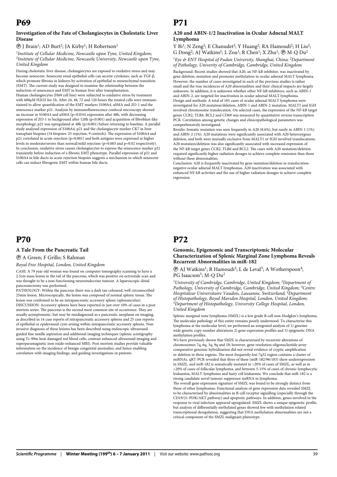### **Investigation of the Fate of Cholangiocytes in Cholestatic Liver Disease**

### $\textcircled{P}$  J Brain<sup>1</sup>; AD Burt<sup>2</sup>; JA Kirby<sup>1</sup>; H Robertson<sup>1</sup>

*1Institute of Cellular Medicine, Newcastle upon Tyne, United Kingdom; 2Institute of Cellular Medicine, Newcastle University, Newcastle upon Tyne, United Kingdom*

During cholestatic liver disease, cholangiocytes are exposed to oxidative stress and may become senescent. Senescent renal epithelial cells can secrete cytokines, such as TGF-β, which promote fibrosis in kidneys by activation of epithelial to mesenchymal transition (EMT). The current study was designed to examine the relationship between the induction of senescence and EMT in human liver after transplantation. Human cholangiocytes (H69 cell line) were subjected to oxidative stress by treatment with 600μM H2O2 for 1h. After 24, 48, 72 and 120 hours the treated cells were immunostained to allow quantification of the EMT markers S100A4, αSMA and ZO-1 and the senescence marker p21. Analysis by immunofluorescence confocal microscopy showed an increase in S100A4 and αSMA (p=0.034) expression after 48h, with decreasing expression of ZO-1 to background after 120h (p<0.001) and acquisition of fibroblast-like morphology; p21 was upregulated at 48h (p<0.001) before returning to baseline. A parallel study analysed expression of S100A4, p21 and the cholangiocyte marker CK7 in liver transplant biopsies (34 biopsies: 25 rejection, 9 controls). The expression of S100A4 and  $p21$  correlated in acute rejection ( $p=0.001$ ) and both antigens were expressed at higher levels in moderate/severe than normal/mild rejection ( $p=0.003$  and  $p=0.02$  respectively). In conclusion, oxidative stress causes cholangiocytes to express the senescence marker p21 transiently before induction of a fibrotic EMT phenotype. Parallel expression of p21 and S100A4 in bile ducts in acute rejection biopsies suggests a mechanism in which senescent cells can induce fibrogenic EMT within human bile ducts.

# P71

#### **A20 and ABIN-1/2 Inactivation in Ocular Adnexal MALT Lymphoma**

Y Bi<sup>1</sup>; N Zeng<sup>2</sup>; E Chanudet<sup>2</sup>; Y Huang<sup>2</sup>; RA Hamoudi<sup>2</sup>; H Liu<sup>2</sup>; G Dong<sup>2</sup>; AJ Watkins<sup>2</sup>; L Zou<sup>1</sup>; R Chen<sup>1</sup>; X Zhu<sup>1</sup>;  $\textcircled{P}$  M-Q Du<sup>2</sup>

*1Eye & ENT Hospital of Fudan University, Shanghai, China; 2Department of Pathology, Univerity of Cambridge, Cambridge, United Kingdom*

Background: Recent studies showed that A20, an NF-kB inhibitor, was inactivated by gene deletion, mutation and promoter methylation in ocular adnexal MALT lymphoma. However, the number of cases investigated in each of the previous studies is rather small and the true incidences of A20 abnormalities and their clinical impacts are largely unknown. In addition, it is unknown whether other NF-kB inhibitors, such as ABIN-1 and ABIN-2, are targeted for inactivation in ocular adnexal MALT lymphoma. Design and methods: A total of 105 cases of ocular adnexal MALT lymphoma were investigated for A20 mutation/deletion, ABIN-1 and ABIN-2 mutation, MALT1 and IGH involved chromosome translocation. On selected cases, the expression of the NF-kB target genes CCR2, TLR6, BCL2 and CD69 was measured by quantitative reverse transcription PCR. Correlation among genetic changes and clinicopathological parameters was comprehensively investigated.

Results: Somatic mutation was seen frequently in A20 (8.6%), but rarely in ABIN-1 (1%) and ABIN-2 (1%). A20 mutations were significantly associated with A20 heterozygous deletion, and both were mutually exclusive from MALT1 or IGH involved translocations. A20 mutation/deletion was also significantly associated with increased expression of the NF-kB target genes CCR2, TLR6 and BCL2. The cases with A20 mutation/deletion required significantly higher radiation dosages to achieve complete remission than those without these abnormalities.

Conclusion: A20 is frequently inactivated by gene mutation/deletion in translocationnegative ocular adnexal MALT lymphomas. A20 inactivation was associated with enhanced NF-kB activities and the use of higher radiation dosages to achieve complete regression.

# **P70**

#### **A Tale From the Pancreatic Tail**

#### P A Green; F Grillo; S Rahman

#### *Royal Free Hospital, London, United Kingdom*

CASE: A 79 year old woman was found on computer tomography scanning to have a 2.5cm mass lesion in the tail of the pancreas, which was positive on octreotide scan and was thought to be a non-functioning neuroendocrine tumour. A laparoscopic distal pancreatectomy was performed.

PATHOLOGY: Within the pancreas there was a dark tan coloured, well circumscribed 25mm lesion. Microscopically, the lesion was composed of normal splenic tissue. The lesion was confirmed to be an intrapancreatic accessory spleen (splenunculus). DISCUSSION: Accessory spleens have been reported in just over 10% of cases in a post mortem series. The pancreas is the second most common site of occurrence. They are usually asymptomatic, but may be misdiagnosed as a pancreatic neoplasm on imaging, as described in 14 case reports of intrapancreatic accessory spleens and 25 case reports of epithelial or epidermoid cysts arising within intrapancreatic accessory spleens. Noninvasive diagnosis of these lesions has been described using endoscopic ultrasound guided fine needle aspiration and additional imaging techniques (splenic scintigraphy using Tc-99m heat-damaged red blood cells, contrast enhanced ultrasound imaging and superparamagnetic iron oxide-enhanced MRI). Post mortem studies provide valuable information on the incidence of benign congenital anomalies, and hence enabling correlation with imaging findings, and guiding investigations in patients.

# P72

#### **Genomic, Epigenomic and Transcriptomic Molecular Characterization of Splenic Marginal Zone Lymphoma Reveals Recurrent Abnormalities in miR-182**

#### $\textcircled{P}$  AJ Watkins<sup>1</sup>; R Hamoudi<sup>2</sup>; L de Leval<sup>3</sup>; A Wotherspoon<sup>4</sup>; PG Isaacson<sup>5</sup>; M-O Du<sup>2</sup>

*1University of Cambridge, Cambridge, United Kingdom; 2Department of Pathology, University of Cambridge, Cambridge, United Kingdom; 3Centre Hospitaleur Universitaire Vaudois, Lausanne, Switzerland; 4Department of Histopathology, Royal Marsden Hospital, London, United Kingdom; 5Department of Histopathology, University College Hospital, London, United Kingdom*

Splenic marginal zone lymphoma (SMZL) is a low grade B-cell non-Hodgkin's lymphoma. The molecular pathology of this entity remains poorly understood. To characterise this lymphoma at the molecular level, we performed an integrated analysis of 1) genome wide genetic copy number alterations 2) gene expression profiles and 3) epigenetic DNA methylation profiles.

We have previously shown that SMZL is characterised by recurrent alterations of chromosomes 7q, 6q, 3q, 9q and 18; however, gene resolution oligonucleotide array comparative genomic hybridisation did not reveal evidence of cryptic amplification or deletion in these regions. The most frequently lost 7q32 region contains a cluster of miRNAs. qRT-PCR revealed that three of these (miR-182/96/183) show underexpression in SMZL, and miR-182 is somatically mutated in >20% of cases of SMZL, as well as in >20% of cases of follicular lymphoma, and between 5-15% of cases of chronic lymphocytic leukaemia, MALT-lymphoma and hairy cell leukaemia. We conclude that miR-182 is a strong candidate novel tumour suppressor miRNA in lymphoma.

The overall gene expression signature of SMZL was found to be strongly distinct from those of other lymphomas. Functional analysis of gene expression data revealed SMZL to be characterised by abnormalities in B-cell receptor signalling (especially through the CD19/21-PI3K/AKT pathway) and apoptotic pathways. In addition, genes involved in the response to viral infection appeared upregulated. SMZL shows a unique epigenetic profile, but analysis of differentially methylated genes showed few with methylation related transcriptional deregulation, suggesting that DNA methylation abnormalities are not a critical component of the SMZL malignant phenotype.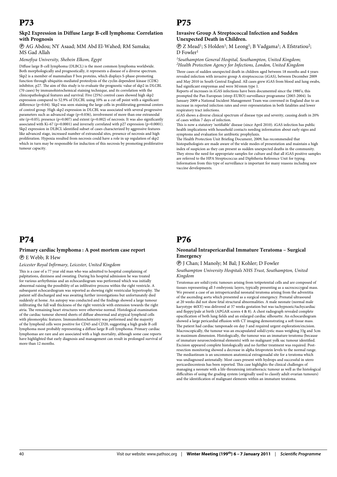#### **Skp2 Expression in Diffuse Large B-cell lymphoma: Correlation with Prognosis**

#### P AG Abdou; NY Asaad; MM Abd El-Wahed; RM Samaka; MS Gad Allah

*Menofiya University, Shebein Elkom, Egypt*

Diffuse large B-cell lymphoma (DLBCL) is the most common lymphoma worldwide. Both morphologically and prognostically, it represents a disease of a diverse spectrum. Skp2 is a member of mammalian F box proteins, which displays S-phase-promoting function through ubiquitin-mediated proteolysis of the cyclin dependent kinase (CDK) inhibitor, p27. The aim of this study is to evaluate the prognostic value of skp2 in DLCBL (70 cases) by immunohistochemical staining technique, and its correlation with the clinicopathological features and survival. Five (25%) control cases showed high skp2 expression compared to 52.9% of DLCBL using 10% as a cut off point with a significant difference (p=0.04). Skp2 was seen staining the large cells in proliferating germinal centers of control group. High skp2 expression in DLCBL was associated with several progressive parameters such as advanced stage (p=0.036), involvement of more than one extranodal site (p=0.05), presence (p=0.007) and extent (p=0.002) of necrosis. It was also significantly associated with Ki-67 (p=0.0001) and inversely correlated with p27 expression (p=0.0001). Skp2 expression in DLBCL identified subset of cases characterized by aggressive features like advanced stage, increased number of extranodal sites, presence of necrosis and high proliferation. Hypoxia resulted from necrosis could have a role in up regulation of skp2 which in turn may be responsible for induction of this necrosis by promoting proliferative tumour capacity.

# **P75**

#### **Invasive Group A Streptococcal Infection and Sudden Unexpected Death in Children.**

 $\textcircled{P}$  Z Mead<sup>1</sup>; S Holden<sup>1</sup>; M Leong<sup>1</sup>; B Vadgama<sup>1</sup>; A Efstratiou<sup>2</sup>; D Fowler<sup>1</sup>

#### *1Southampton General Hospital, Southampton, United Kingdom; 2Health Protection Agency for Infections, London, United Kingdom*

Three cases of sudden unexpected death in children aged between 18 months and 4 years revealed infection with invasive group A streptococcus (iGAS), between December 2009 and May 2010 in South Central England. All cases grew iGAS from blood and lung swabs, had significant empyemas and were M/emm type 1.

Reports of increases in iGAS infections have been documented since the 1980's; this prompted the Pan European (strep-EURO) surveillance programme (2003-2004). In January 2009 a National Incident Management Team was convened in England due to an increase in reported infection rates and over-representation in both fatalities and lower respiratory tract infections.

iGAS shows a diverse clinical spectrum of disease type and severity, causing death in 20% of cases within 7 days of infection.

This is now a statutory 'notifiable' disease (since April 2010). iGAS infection has public health implications with household contacts needing information about early signs and symptoms and evaluation for antibiotic prophylaxis.

The Health Protection Unit Briefing Document, 2009, has recommended that histopathologists are made aware of the wide modes of presentation and maintain a high index of suspicion as they can present as sudden unexpected deaths in the community. They stress the need for appropriate samples for culture and that all iGAS positive samples are referred to the HPA Streptococcus and Diphtheria Reference Unit for typing. Information from this type of surveillance is important for many reasons including new vaccine developments.

# P74

#### **Primary cardiac lymphoma : A post mortem case report** P E Webb; R Hew

#### *Leicester Royal Infirmary, Leicester, United Kingdom*

This is a case of a 77 year old man who was admitted to hospital complaining of palpitations, dizziness and sweating. During his hospital admission he was treated for various arrhythmias and an echocardiogram was performed which was initially abnormal raising the possibility of an infiltrative process within the right ventricle. A subsequent echocardiogram was reported as showing right ventricular hypertrophy. The patient self discharged and was awaiting further investigations but unfortunately died suddenly at home. An autopsy was conducted and the findings showed a large tumour infiltrating the full wall thickness of the right ventricle with extension towards the right atria. The remaining heart structures were otherwise normal. Histological examination of the cardiac tumour showed sheets of diffuse abnormal and atypical lymphoid cells with pleomorphic features. Immunohistochemistry was performed and the majority of the lymphoid cells were positive for CD45 and CD20, suggesting a high grade B cell lymphoma most probably representing a diffuse large B cell lymphoma. Primary cardiac lymphomas are rare and are associated with a high mortality, although some case reports have highlighted that early diagnosis and management can result in prolonged survival of more than 12 months.

# P76

#### **Neonatal Intrapericardial Immature Teratoma – Surgical Emergency**

#### P J Chan; I Manoly; M Bal; J Kohler; D Fowler

#### *Southampton University Hospitals NHS Trust, Southampton, United Kingdom*

Teratomas are solid/cystic tumours arising from totipotential cells and are composed of tissues representing all 3 embryonic layers, typically presenting as a sacrococcygeal mass. We present a case of an intrapericardial neonatal teratoma arising from the adventitia of the ascending aorta which presented as a surgical emergency. Prenatal ultrasound at 20 weeks did not show fetal structural abnormalities. A male neonate (normal male karyotype 46XY) was delivered at 37 weeks gestation but was tachypnoeic/tachycardiac and floppy/pale at birth (APGAR scores 4 & 8). A chest radiograph revealed complete opacification of both lung fields and an enlarged cardiac silhouette. An echocardiogram showed a large pericardial effusion with CT imaging demonstrating a soft tissue mass. The patient had cardiac tamponade on day 3 and required urgent exploration/excision. Macroscopically, the tumour was an encapsulated solid/cystic mass weighing 33g and 5cm in maximum dimension. Histologically, the tumour was an immature teratoma (because of immature neuroectodermal elements) with no malignant yolk sac tumour identified. Excision appeared complete histologically and no further treatment was required. Postresection monitoring showed a decrease in alpha fetoprotein levels to the normal range. The mediastinum is an uncommon anatomical extragonadal site for a teratoma which was undiagnosed antenatally. Most cases present with hydrops and successful in utero pericardiocentesis has been reported. This case highlights the clinical challenges of managing a neonate with a life-threatening intrathoracic tumour as well as the histological difficulties of using the grading system (originally used to classify adult ovarian tumours) and the identification of malignant elements within an immature teratoma.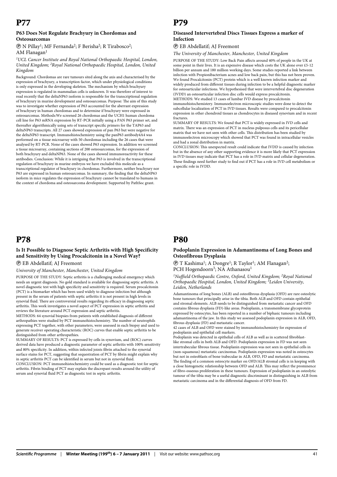# **P77**

#### **P63 Does Not Regulate Brachyury in Chordomas and Osteosarcomas**

#### P N Pillay1; MF Fernanda2; F Berisha2; R Tirabosco2; AM Flanagan $<sup>1</sup>$ </sup>

*1UCL Cancer Institute and Royal National Orthopaedic Hospital, London, United Kingdom; 2Royal National Orthopaedic Hospital, London, United Kingdom*

Background: Chordomas are rare tumours sited along the axis and characterised by the expression of brachyury, a transcription factor, which under physiological conditions is only expressed in the developing skeleton. The mechanism by which brachyury expression is regulated in mammalian cells is unknown. It was therefore of interest to read recently that the deltaNP63 isoform is responsible for the transcriptional regulation of brachyury in murine development and osteosarcomas. Purpose: The aim of this study was to investigate whether expression of P63 accounted for the aberrant expression of brachyury in human chordomas and to determine if brachyury were expressed in osteosarcomas. Methods:We screened 26 chordomas and the UCH1 human chordoma cell line for P63 mRNA expression by RT-PCR initially using a PAN P63 primer set, and thereafter algorithmically using sets of transcript specific primers for the TAP63 and deltaNP63 transcripts. All 27 cases showed expression of pan P63 but were negative for the deltaNP63 transcript. Immunohistochemistry using the panP63 antibody4A4 was performed on a tissue microarray with 50 chordomas including the 26 cases that were analysed by RT-PCR. None of the cases showed P63 expression. In addition we screened a tissue microarray, containing sections of 200 osteosarcomas, for the expression of both brachyury and deltaNP63. None of the cases showed immunoreactivity for these antibodies. Conclusion: While it is intriguing that P63 is involved in the transcriptional regulation of brachyury in murine embryos we have excluded this molecule as a transcriptional regulator of brachyury in chordomas. Furthermore, neither brachyury nor P63 are expressed in human osteosarcomas. In summary, the finding that the deltaNP63 isoform in mice regulates the expression of brachyury cannot be translated to humans in the context of chordoma and osteosarcoma development. Supported by PathSoc grant.

# P78

#### **Is It Possible to Diagnose Septic Arthritis with High Specificity and Sensitivity by Using Procalcitonin in a Novel Way?**

#### P EB Abdellatif; AJ Freemont

#### *University of Manchester, Manchester, United Kingdom*

PURPOSE OF THE STUDY: Septic arthritis is a challenging medical emergency which needs an urgent diagnosis. No gold standard is available for diagnosing septic arthritis. A novel diagnostic test with high specificity and sensitivity is required. Serum procalcitonin (PCT) is a biomarker which has been used widely to diagnose infection but although present in the serum of patients with septic arthritis it is not present in high levels in synovial fluid. There are controversial results regarding its efficacy in diagnosing septic arthritis. This work investigates a novel aspect of PCT expression in septic arthritis and reviews the literature around PCT expression and septic arthritis.

METHODS: 64 synovial biopsies from patients with established diagnosis of different arthropathies were studied by PCT immunohistochemistry. The number of neutrophils expressing PCT together, with other parameters, were assessed in each biopsy and used to generate receiver operating characteristic (ROC) curves that enable septic arthritis to be distinguished from other arthropathies.

SUMMARY OF RESULTS: PCT is expressed by cells in synovium, and (ROC) curves derived data have produced a diagnostic parameter of septic arthritis with 100% sensitivity and 80% specificity. In addition, within infected joints fibrin attached to the synovial surface stains for PCT, suggesting that sequestration of PCT by fibrin might explain why in septic arthritis PCT can be identified in serum but not in synovial fluid. CONCLUSION: PCT immunohistochemistry could be used as a diagnostic test for septic arthritis. Fibrin binding of PCT may explain the discrepant results around the utility of serum and synovial fluid PCT as diagnostic test in septic arthritis.

# P79

#### **Diseased Intervertebral Discs Tissues Express a marker of Infection**

#### P EB Abdellatif; AJ Freemont

#### *The University of Manchester, Manchester, United Kingdom*

PURPOSE OF THE STUDY: Low Back Pain affects around 40% of people in the UK at some point in their lives. It is an expensive disease which costs the UK alone over £5-12 billion per annum and 180 million working days. Some studies reported a link between infection with Propionibacterium acnes and low back pain, but this has not been proven. We found Procalcitonin (PCT) protein which is a well known infection marker and widely produced from different tissues during infection to be a helpful diagnostic marker for osteoarticular infections. We hypothesised that were intervertebral disc degeneration (IVDD) an osteoarticular infection disc cells would express procalcitonin. METHODS: We studied 13 cases of lumbar IVD disease by procalcitonin

immunohistochemistery. Immunoelectron microscopic studies were done to detect the subcellular localization of PCT in IVD tissues. Results were compared to procalcitonin expression in other chondroid tissues as chondrocytes in diseased synovium and in recent fractures.

SUMMARY OF RESULTS: We found that PCT is widely expressed in IVD cells and matrix. There was an expression of PCT in nucleus pulposus cells and its pericellular matrix that we have not seen with other cells. This distribution has been studied by immunoelectron microscopy which showed that PCT was found in intracellular vesicles and had a zonal distribution in matrix.

CONCLUSION: This unexpected result could indicate that IVDD is caused by infection but in the absence of any other supporting evidence it is more likely that PCT expression in IVD tissues may indicate that PCT has a role in IVD matrix and cellular degeneration. These findings need further study to find out if PCT has a role in IVD cell metabolism or a specific role in IVDD.

# **P80**

#### **Podoplanin Expression in Adamantinoma of Long Bones and Osteofibrous Dysplasia**

 $\textcircled{P}$  T Kashima<sup>1</sup>; A Dongre<sup>1</sup>; R Taylor<sup>1</sup>; AM Flanagan<sup>2</sup>; PCH Hogendoorn<sup>3</sup>; NA Athanasou<sup>1</sup>

*1Nuffield Orthopaedic Centre, Oxford, United Kingdom; 2Royal National Orthopaedic Hospital, London, United Kingdom; 3Leiden University, Leiden, Netherlands*

Adamantinoma of long bones (ALB) and osteofibrous dysplasia (OFD) are rare osteolytic bone tumours that principally arise in the tibia. Both ALB and OFD contain epithelial and stromal elements. ALB needs to be distinguished from metastatic cancer and OFD contains fibrous dysplasia (FD)-like areas. Podoplanin, a transmembrane glycoprotein expressed by osteocytes, has been reported in a number of biphasic tumours including adamantinoma of the jaw. In this study we assessed podoplanin expression in ALB, OFD, fibrous dysplasia (FD) and metastatic cancer.

42 cases of ALB and OFD were stained by immunohistochemistry for expression of podoplanin and epithelial cell markers.

Podoplanin was detected in epithelial cells of ALB as well as in scattered fibroblastlike stromal cells in both ALB and OFD. Podoplanin expression in FD was not seen intertrabecular fibrous tissue. Podoplanin expression was not seen in epithelial cells in (non-squamous) metastatic carcinomas. Podoplanin expression was noted in osteocytes but not in osteoblasts of bone trabeculae in ALB, OFD, FD and metastatic carcinoma. The finding of a common osteocyte marker on OFD/ALB stromal cells is in keeping with a close histogenetic relationship between OFD and ALB. This may reflect the prominence of fibro-osseous proliferation in these tumours. Expression of podoplanin in an osteolytic tumour of the tibia may be a useful diagnostic discriminant in distinguishing in ALB from metastatic carcinoma and in the differential diagnosis of OFD from FD.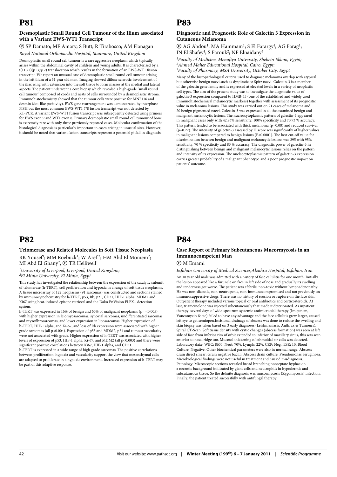#### **Desmoplastic Small Round Cell Tumour of the Ilium associated with a Variant EWS-WT1 Transcript**

### P SP Damato; MF Amary; S Butt; R Tirabosco; AM Flanagan

*Royal National Orthopaedic Hospital, Stanmore, United Kingdom*

Desmoplastic small round cell tumour is a rare aggressive neoplasm which typically arises within the abdominal cavity of children and young adults. It is characterised by a t(11;22)(p13;q12) translocation which results in the formation of an EWS-WT1 fusion transcript. We report an unusual case of desmoplastic small round cell tumour arising in the left ilium of a 31 year old man. Imaging showed diffuse sclerotic involvement of the iliac wing with extension into the soft tissue to form masses at the medial and lateral aspects. The patient underwent a core biopsy which revealed a high-grade 'small round cell tumour' composed of cords and nests of cells surrounded by a desmoplastic stroma. Immunohistochemistry showed that the tumour cells were positive for MNF116 and desmin (dot-like positivity). EWS gene rearrangement was demonstrated by interphase FISH but the most common EWS-WT1 7/8 fusion transcript was not detected by RT-PCR. A variant EWS-WT1 fusion transcript was subsequently detected using primers for EWS exon 9 and WT1 exon 8. Primary desmoplastic small round cell tumour of bone is extremely rare with only three previously reported cases. Molecular confirmation of the histological diagnosis is particularly important in cases arising in unusual sites. However, it should be noted that variant fusion transcripts represent a potential pitfall in diagnosis.

#### **Diagnostic and Prognostic Role of Galectin 3 Expression in Cutaneous Melanoma**

 $\textcircled{P}$  AG Abdou<sup>1</sup>; MA Hammam<sup>1</sup>; S El Farargy<sup>1</sup>; AG Farag<sup>1</sup>; IN El Shafey<sup>1</sup>; S Farouk<sup>2</sup>; NF Elnaidany<sup>3</sup>

*1Faculty of Medicine, Menofiya University, Shebein Elkom, Egypt; 2Ahmed Maher Educational Hospital, Cairo, Egypt; 3Faculty of Pharmacy, MSA University, October City, Egypt*

Many of the histopathological criteria used to diagnose melanoma overlap with atypical but otherwise benign naevi such as dysplastic or Spitz naevi. Galectin-3 is a member of the galectin gene family and is expressed at elevated levels in a variety of neoplastic cell types. The aim of the present study was to investigate the diagnostic value of galectin-3 expression compared to HMB-45 (one of the established and widely used immunohistochemical melanocytic markers) together with assessment of its prognostic value in melanoma lesions. This study was carried out on 21 cases of melanoma and 20 benign pigmented naevi. Galectin-3 was expressed in all the examined benign and malignant melanocytic lesions. The nucleocytoplasmic pattern of galectin-3 appeared in malignant cases only with 42.86% sensitivity, 100% specificity and 70.73 % accuracy. This pattern tended to be associated with thick melanoma (p=0.08) and reduced survival (p=0.22). The intensity of galectin-3 assessed by H score was significantly of higher values in malignant lesions compared to benign lesions (P<0.0001). The best cut-off value for discrimination between benign and malignant melanocytic lesions was 295 with 95% sensitivity, 70 % specificity and 83 % accuracy. The diagnostic power of galectin-3 in distinguishing between benign and malignant melanocytic lesions relies on the pattern and intensity of its expression. The nucleocytoplasmic pattern of galectin-3 expression carries greater probability of a malignant phenotype and a poor prognostic impact on patients' outcome.

# **P82**

#### **Telomerase and Related Molecules in Soft Tissue Neoplasia**

RK Yousef<sup>1</sup>; MM Roebuck<sup>1</sup>; W Aref<sup>2</sup>; HM Abd El Moniem<sup>2</sup>; MI Abd El Ghany<sup>2</sup>; <sup>®</sup> TR Helliwell<sup>1</sup>

*1University of Liverpool, Liverpool, United Kingdom; 2El Minia University, El Minia, Egypt*

This study has investigated the relationship between the expression of the catalytic subunit of telomerase (h-TERT), cell proliferation and hypoxia in a range of soft tissue neoplasms. A tissue microarray of 122 neoplasms (91 sarcomas) was constructed and sections stained by immunocytochemistry for h-TERT, p53, Rb, p21, CD31, HIF-1 alpha, MDM2 and Ki67 using heat-induced epitope retrieval and the Dako EnVision FLEX+ detection system.

h-TERT was expressed in 16% of benign and 65% of malignant neoplasms (p= <0.005) with higher expression in leiomyosarcomas, synovial sarcomas, undifferentiated sarcomas and myxofibrosarcomas, and lower expression in liposarcomas. Higher expression of h-TERT, HIF-1 alpha, and Ki-67, and loss of Rb expression were associated with higher grade sarcomas (all p<0.004). Expression of p53 and MDM2, p21 and tumour vascularity were not associated with grade. Higher expression of h-TERT was associated with higher levels of expression of p53, HIF-1 alpha, Ki-67, and MDM2 (all p<0.003) and there were significant positive correlations between Ki67, HIF-1 alpha, and CD31.

h-TERT is expressed in a wide range of high grade sarcomas. The positive correlations between proliferation, hypoxia and vascularity support the view that mesenchymal cells are adapted to proliferate in a hypoxic environment. Increased expression of h-TERT may be part of this adaptive response.

# P84

#### **Case Report of Primary Subcutaneous Mucormycosis in an Immunocompetent Man**

#### P M Emami

*Esfahan University of Medical Sciences,Alzahra Hospital, Esfahan, Iran* An 18 year old male was admitted with a history of face cellulitis for one month. Initially the lesion appeared like a furuncle on face in left side of nose and gradually its swelling and tenderness got worse. The patient was afebrile, non-toxic without lymphadenopathy. He was non-diabetic, non-neutropenic, non-immunocompromised and not previously on immunosuppressive drugs .There was no history of erosion or rupture on the face skin. Outpatient therapy included various topical or oral antibiotics and corticosteroids. At last, triamcinolone was injected subcutaneously that made it deteriorated. As inpatient therapy, several days of wide-spectrum systemic antimicrobial therapy (Imipenem, Vancomycin & etc) failed to have any advantage and the face cellulitis grew larger, caused left eye to get semiopen.Incisional drainage of abscess was done to reduce the swelling and skin biopsy was taken based on 3 early diagnoses (Leishmaniasis, Anthrax & Tumours). Spiral CT-Scan: Soft tissue density with cystic changes (abscess formation) was seen at left side of face from inferior rim of orbit extended to inferior of maxillary sinus, this was seen anterior to nasal ridge too. Mucosal thickening of ethmoidal air cells was detected. Laboratory data- WBC: 8600, Neut: 70%, Lymph: 22%, CRP: Neg., ESR: 10, Blood Culture: Negative .Other biochemical parameters were also in normal range. Abscess drain direct smear: Gram negative bacilli, Abscess drain culture: Pseudomonas aeruginosa. Microbiological findings were not useful in treatment and caused misdiagnosis. Pathology: Microscopic sections revealed broad branching nonseptate hyphae on a necrotic background infiltrated by giant cells and neutrophils in hypodermis and subcutaneous tissue. So the definite diagnosis was mucormycosis (Zygomycosis) infection. Finally, the patient treated successfully with antifungal therapy.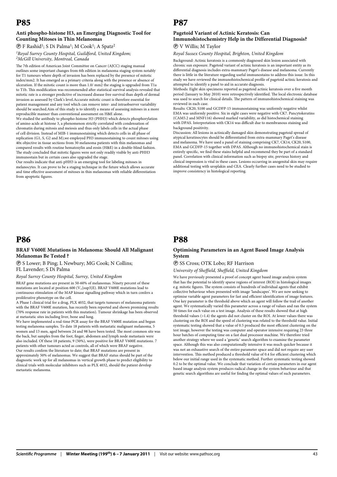#### **Anti phospho-histone H3, an Emerging Diagnostic Tool for Counting Mitoses in Thin Melanomas**

 $\textcircled{P}$  F Rashid<sup>1</sup>; S Di Palma<sup>1</sup>; M Cook<sup>1</sup>; A Spatz<sup>2</sup>

*1Royal Surrey County Hospital, Guildford, United Kingdom; 2McGill University, Montreal, Canada*

The 7th edition of American Joint Committee on Cancer (AJCC) staging manual outlines some important changes from 6th edition in melanoma staging system notably for T1 tumours where depth of invasion has been replaced by the presence of mitotic index/mm2. It has emerged as a primary criteria along with the presence or absence of ulceration. If the mitotic count is more than 1.0/ mm2 the staging is upgraded from T1a to T1b. This modification was recommended after statistical survival analysis revealed that mitotic rate is a stronger predictive of increased disease free survival than depth of dermal invasion as assessed by Clark's level.Accurate mitotic count is therefore essential for patient management and any tool which can remove inter- and intraobserver variability should be searched.Aim of this study is to identify a means of assessing mitoses in a more reproducible manner than conventional assessment on H&E alone.

We studied the antibody to phospho-histone H3 (PHH3) which detects phosphorylation of amino acids at histone 3, a phenomenon strictly correlated with condensation of chromatin during mitosis and meiosis and thus only labels cells in the actual phase of cell division. Instead of MIB-1 immunostaining which detects cells in all phase of replication (G1, S, G2 and M),we employed PH3 immunostaining to count mitoses using 40x objective in tissue sections from 30 melanoma patients with thin melanomas and compared results with routine hematoxylin and eosin (H&E) in a double-blind fashion. The study concluded that mitotic figures were not only readily visible by anti-PHH3 immunostain but in certain cases also upgraded the stage.

Our results indicate that anti-pHH3 is an emerging tool for labeling mitoses in melanocytes. It can prove to be a staging technique in the future which allows accurate and time effective assessment of mitoses in thin melanomas with reliable differentiation from apoptotic figures.

# P86

#### **BRAF V600E Mutations in Melanoma: Should All Malignant Melanomas Be Tested ?**

P S Lower; B Ping; L Newbury; MG Cook; N Collins; FL Lavender; S Di Palma

#### *Royal Surrey County Hospital, Surrey, United Kingdom*

BRAF gene mutations are present in 50-60% of melanomas. Ninety percent of these mutations are located at position 600 ( $V$ <sub>n</sub>{sup3}E). BRAF V600E mutations lead to continuous stimulation of the MAP kinase signalling pathway which in turn confers a proliferative phenotype on the cell.

A Phase I clinical trial for a drug, PLX 4032, that targets tumours of melanoma patients with the BRAF V600E mutation, has recently been reported and shown promising results (70% response rate in patients with this mutation). Tumour shrinkage has been observed at metastatic sites including liver, bone and lung.

We have implemented a real-time PCR assay for the BRAF V600E mutation and begun testing melanoma samples. To date 18 patients with metastatic malignant melanoma, 5 women and 13 men, aged between 24 and 98 have been tested. The most common site was the back, but samples from the foot, finger, abdomen and lymph node metastasis were also included. Of these 18 patients, 9 (50%), were positive for BRAF V600E mutations. 7 patients with other tumours acted as controls, all of which were BRAF negative. Our results confirm the literature to date; that BRAF mutations are present in approximately 50% of melanomas. We suggest that BRAF status should be part of the diagnostic work up for all melanomas in vertical growth phase to predict eligibility to clinical trials with molecular inhibitors such as PLX 4032, should the patient develop metastatic melanoma.

# **P87**

### **Pagetoid Variant of Actinic Keratosis: Can Immunohistochemistry Help in the Differential Diagnosis?**

### P V Willis; M Taylor

*Royal Sussex County Hospital, Brighton, United Kingdom*

Background: Actinic keratosis is a commonly diagnosed skin lesion associated with chronic sun exposure. Pagetoid variant of actinic keratosis is an important entity as its differential diagnosis includes extra-mammary Paget's disease and melanoma. Currently there is little in the literature regarding useful immunostains to address this issue. In this study we have reviewed the immunohistochemical profile of pagetoid actinic keratosis and attempted to identify a panel to aid in accurate diagnosis.

Methods: Eight skin specimens reported as pagetoid actinic keratosis over a five month period (January to May 2010) were retrospectively identified. The local electronic database was used to search for clinical details. The pattern of immunohistochemical staining was reviewed in each case.

Results: CK20, S100 and GCDFP-15 immunostaining was uniformly negative whilst EMA was uniformly positive. Six in eight cases were negative with CK7. Pancytokeratins (CAM5.2 and MNF116) showed marked variability, as did histochemical staining with DPAS. Interpretation with CK14 was difficult due to membranous staining and background positivity.

Discussion: All lesions in actinically damaged skin demonstrating pagetoid spread of atypical keratinocytes should be differentiated from extra-mammary Paget's disease and melanoma. We have used a panel of staining comprising CK7, CK14, CK20, S100, EMA and GCDFP-15 together with DPAS. Although no immunohistochemical stain is entirely specific, we find these stains helpful and recommend they be part of a standard panel. Correlation with clinical information such as biopsy site, previous history and clinical impression is vital in these cases. Lesions occurring in anogenital skin may require additional testing with uroplakin and CEA. Clearly further cases need to be studied to improve consistency in histological reporting.

## **P88**

#### **Optimising Parameters in an Agent Based Image Analysis System**

#### P SS Cross; OTK Lobo; RF Harrison

#### *University of Sheffield, Sheffield, United Kingdom*

We have previously presented a proof of concept agent based image analysis system that has the potential to identify sparse regions of interest (ROI) in histological images e.g. mitotic figures. The system consists of hundreds of individual agents that exhibit collective behaviour when presented with image 'landscapes'. We are now seeking to optimise variable agent parameters for fast and efficient identification of image features. One key parameter is the threshold above which an agent will follow the trail of another agent. We systematically varied this parameter across a range of values and ran the system 50 times for each value on a test image. Analysis of these results showed that at high threshold values (>1.4) the agents did not cluster on the ROI. At lower values there was clustering on the ROI and the speed of clustering was related to the threshold value. Initial systematic testing showed that a value of 0.5 produced the most efficient clustering on the test image, however the testing was computer and operator intensive requiring 23 three hour batches of computing time on a fast dual processor machine. We therefore tried another strategy where we used a 'genetic' search algorithm to examine the parameter space. Although this was also computationally intensive it was much quicker because it was not an exhaustive search of the entire parameter space and did not require any user intervention. This method produced a threshold value of 0.4 for efficient clustering which below our initial range used in the systematic method. Further systematic testing showed 0.2 to be the optimal value. We conclude that variation of certain parameters in our agent based image analysis system produces radical change in the system behaviour and that genetic search algorithms are useful for finding the optimal values of such parameters.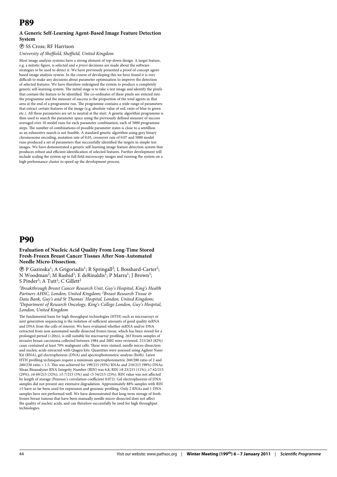#### **A Generic Self-Learning Agent-Based Image Feature Detection System**

#### P SS Cross; RF Harrison

#### *University of Sheffield, Sheffield, United Kingdom*

Most image analysis systems have a strong element of top-down design. A target feature, e.g. a mitotic figure, is selected and *a priori* decisions are made about the software strategies to be used to detect it. We have previously presented a proof of concept agentbased image analysis system. In the course of developing this we have found it is very difficult to make any decisions about parameter optimisation to improve the detection of selected features. We have therefore redesigned the system to produce a completely generic self-learning system. The initial stage is to take a test image and identify the pixels that contain the feature to be identified. The co-ordinates of these pixels are entered into the programme and the measure of success is the proportion of the total agents in that area at the end of a programme run. The programme contains a wide range of parameters that extract certain features of the image (e.g. absolute value of red, ratio of blue to green etc.). All these parameters are set to neutral at the start. A genetic algorithm programme is then used to search the parameter space using the previously defined measure of success averaged over 10 model runs for each parameter combination, each of 5000 programme steps. The number of combinations of possible parameter states is close to a sextillion so an exhaustive search is not feasible. A standard genetic algorithm using grey binary chromosome encoding, mutation rate of 0.03, crossover rate of 0.07 and 5000 model runs produced a set of parameters that successfully identified the targets in simple test images. We have demonstrated a generic self-learning image feature detection system that produces robust and efficient identification of selected features. Further development will include scaling the system up to full field microscopy images and running the system on a high performance cluster to speed up the development process.

# **P90**

#### **Evaluation of Nucleic Acid Quality From Long-Time Stored Fresh-Frozen Breast Cancer Tissues After Non-Automated Needle Micro-Dissection.**

P P Gazinska1; A Grigoriadis1; R Springall2; L Bosshard-Carter2; N Woodman<sup>2</sup>; M Rashid<sup>1</sup>; E deRinaldis<sup>1</sup>; P Marra<sup>1</sup>; J Brown<sup>3</sup>; S Pinder<sup>3</sup>; A Tutt<sup>1</sup>; C Gillett<sup>2</sup>

*1Breakthrough Breast Cancer Research Unit, Guy's Hospital, King's Health Partners AHSC, London, United Kingdom; 2Breast Research Tissue & Data Bank, Guy's and St Thomas' Hospital, London, United Kingdom; 3Department of Research Oncology, King's College London, Guy's Hospital, London, United Kingdom*

The fundamental basis for high throughput technologies (HTH) such as microarrays or next generation sequencing is the isolation of sufficient amounts of good quality mRNA and DNA from the cells of interest. We have evaluated whether mRNA and/or DNA extracted from non-automated needle dissected frozen tissue, which has been stored for a prolonged period (>20ys), is still suitable for microarray profiling. 263 frozen samples of invasive breast carcinoma collected between 1984 and 2002 were reviewed. 215/263 (82%) cases contained at least 70% malignant cells. These were stained, needle micro-dissection and nucleic acids extracted with Qiagen kits. Quantities were assessed using Agilent Nano Kit (RNA), gel electrophoresis (DNA) and spectrophotometric analysis (both). Latest HTH profiling techniques require a minimum spectrophotometric 260/280 ratio of 2 and 260/230 ratio > 1.5. This was achieved for 199/215 (93%) RNAs and 210/215 (98%) DNAs. Mean Bioanalyzer RNA Integrity Number (RIN) was 6.8, RIN ≥8 23/215 (11%); ≥7 62/215 (29%); ≥6 69/215 (32%); ≥5 7/215 (3%) and <5 54/215 (25%). RIN value was not affected by length of storage (Pearson's correlation coefficient 0.072). Gel electrophoresis of DNA samples did not present any extensive degradation. Approximately 88% samples with RIN  $\geq$ 5 have so far been used for expression and genomic profiling. Only 2 RNAs and 1 DNA samples have not performed well. We have demonstrated that long-term storage of freshfrozen breast tumour that have been manually needle micro-dissected does not affect the quality of nucleic acids, and can therefore successfully be used for high throughput technologies.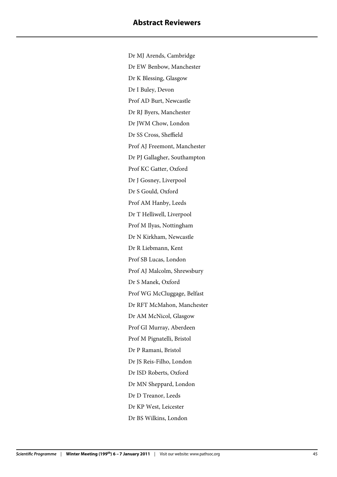Dr MJ Arends, Cambridge Dr EW Benbow, Manchester Dr K Blessing, Glasgow Dr I Buley, Devon Prof AD Burt, Newcastle Dr RJ Byers, Manchester Dr JWM Chow, London Dr SS Cross, Sheffield Prof AJ Freemont, Manchester Dr PJ Gallagher, Southampton Prof KC Gatter, Oxford Dr J Gosney, Liverpool Dr S Gould, Oxford Prof AM Hanby, Leeds Dr T Helliwell, Liverpool Prof M Ilyas, Nottingham Dr N Kirkham, Newcastle Dr R Liebmann, Kent Prof SB Lucas, London Prof AJ Malcolm, Shrewsbury Dr S Manek, Oxford Prof WG McCluggage, Belfast Dr RFT McMahon, Manchester Dr AM McNicol, Glasgow Prof GI Murray, Aberdeen Prof M Pignatelli, Bristol Dr P Ramani, Bristol Dr JS Reis-Filho, London Dr ISD Roberts, Oxford Dr MN Sheppard, London Dr D Treanor, Leeds Dr KP West, Leicester Dr BS Wilkins, London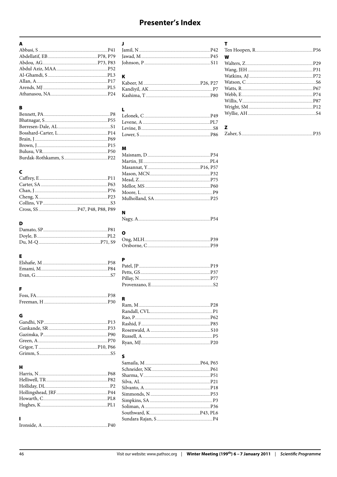# **Presenter's Index**

| A |  |
|---|--|
|   |  |
|   |  |
|   |  |
|   |  |
|   |  |
|   |  |
|   |  |
|   |  |

### $\overline{\mathbf{B}}$

| Burdak-Rothkamm, S |  |
|--------------------|--|

### D

### $\mathsf E$

### $\overline{F}$

## G

### $\mathbf{H}$

 $\mathbf{I}$ 

 $-46$ 

### $\mathbf{J}$

### $\mathbf K$

# $\mathbf{L}$

### M

### $\mathbf N$

|--|--|--|--|

# $\bullet$

# $\pmb{\mathsf{P}}$

# $\mathbf{R}$

### $\boldsymbol{\mathsf{s}}$

# $\ddot{\phantom{0}}$

| w |  |
|---|--|
|   |  |
|   |  |
|   |  |
|   |  |
|   |  |
|   |  |
|   |  |
|   |  |
|   |  |
|   |  |
|   |  |

### $\mathbf{z}$

Zaher, S..............